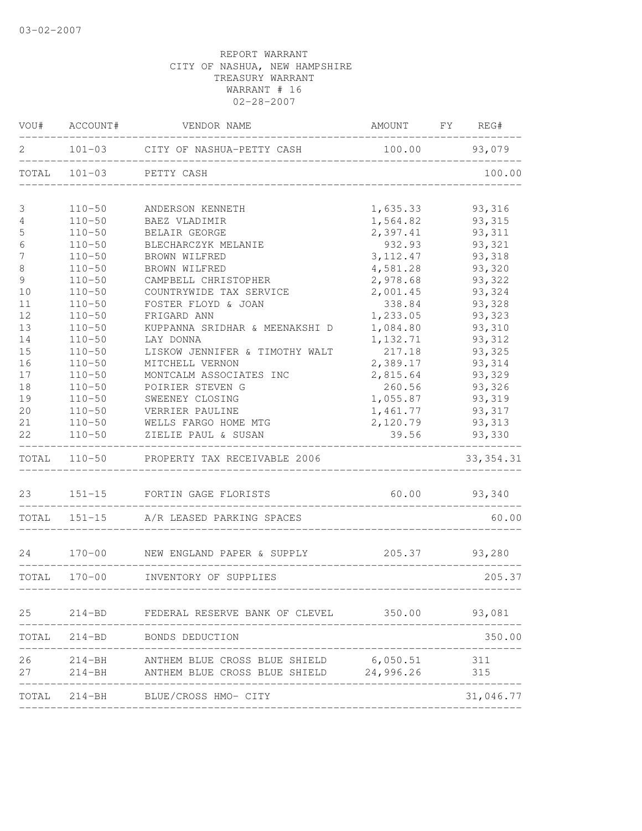|          | VOU# ACCOUNT#            | VENDOR NAME                                            | AMOUNT FY REG#    |                  |
|----------|--------------------------|--------------------------------------------------------|-------------------|------------------|
| 2        |                          | 101-03 CITY OF NASHUA-PETTY CASH                       | 100.00 93,079     |                  |
|          |                          | TOTAL 101-03 PETTY CASH                                |                   | 100.00           |
| 3        | $110 - 50$               | ANDERSON KENNETH                                       | 1,635.33          | 93,316           |
| 4        | $110 - 50$               | BAEZ VLADIMIR                                          | 1,564.82          | 93,315           |
| 5        | $110 - 50$               | BELAIR GEORGE                                          | 2,397.41          | 93, 311          |
| 6        | $110 - 50$               | BLECHARCZYK MELANIE                                    | 932.93            | 93,321           |
| 7        | $110 - 50$               | BROWN WILFRED                                          | 3, 112.47         | 93,318           |
| $\,8\,$  | $110 - 50$               | BROWN WILFRED                                          | 4,581.28          | 93,320           |
| 9        | $110 - 50$               | CAMPBELL CHRISTOPHER                                   | 2,978.68          | 93,322           |
| 10       | $110 - 50$               | COUNTRYWIDE TAX SERVICE                                | 2,001.45          | 93,324           |
| 11       | $110 - 50$               | FOSTER FLOYD & JOAN                                    | 338.84            | 93,328           |
| 12       | $110 - 50$               | FRIGARD ANN                                            | 1,233.05          | 93,323           |
| 13       | $110 - 50$               | KUPPANNA SRIDHAR & MEENAKSHI D                         | 1,084.80          | 93,310           |
| 14       | $110 - 50$               | LAY DONNA                                              | 1,132.71          | 93, 312          |
| 15       | $110 - 50$               | LISKOW JENNIFER & TIMOTHY WALT                         | 217.18            | 93,325           |
| 16       | $110 - 50$               | MITCHELL VERNON                                        | 2,389.17          | 93,314           |
| 17       | $110 - 50$               | MONTCALM ASSOCIATES INC                                | 2,815.64          | 93,329           |
| 18       | $110 - 50$               | POIRIER STEVEN G                                       | 260.56            | 93,326           |
| 19       | $110 - 50$               | SWEENEY CLOSING                                        | 1,055.87          | 93,319           |
| 20       | $110 - 50$               | VERRIER PAULINE                                        | 1,461.77          | 93,317           |
| 21<br>22 | $110 - 50$<br>$110 - 50$ | WELLS FARGO HOME MTG<br>ZIELIE PAUL & SUSAN            | 2,120.79<br>39.56 | 93,313<br>93,330 |
|          |                          |                                                        |                   |                  |
|          |                          | TOTAL 110-50 PROPERTY TAX RECEIVABLE 2006              |                   | 33, 354.31       |
| 23       |                          | 151-15 FORTIN GAGE FLORISTS                            | 60.00 93,340      |                  |
|          |                          | TOTAL 151-15 A/R LEASED PARKING SPACES                 |                   | 60.00            |
|          |                          | 24 170-00 NEW ENGLAND PAPER & SUPPLY                   |                   | 205.37 93,280    |
|          |                          | TOTAL 170-00 INVENTORY OF SUPPLIES                     |                   | 205.37           |
|          |                          |                                                        |                   |                  |
|          |                          | 25 214-BD FEDERAL RESERVE BANK OF CLEVEL 350.00 93,081 |                   |                  |
|          |                          | TOTAL 214-BD BONDS DEDUCTION                           |                   | 350.00           |
| 26       |                          | 214-BH ANTHEM BLUE CROSS BLUE SHIELD 6,050.51          |                   | 311              |
|          |                          | 27 214-BH ANTHEM BLUE CROSS BLUE SHIELD 24,996.26      |                   | 315              |
|          |                          | TOTAL 214-BH BLUE/CROSS HMO- CITY                      |                   | 31,046.77        |
|          |                          |                                                        |                   |                  |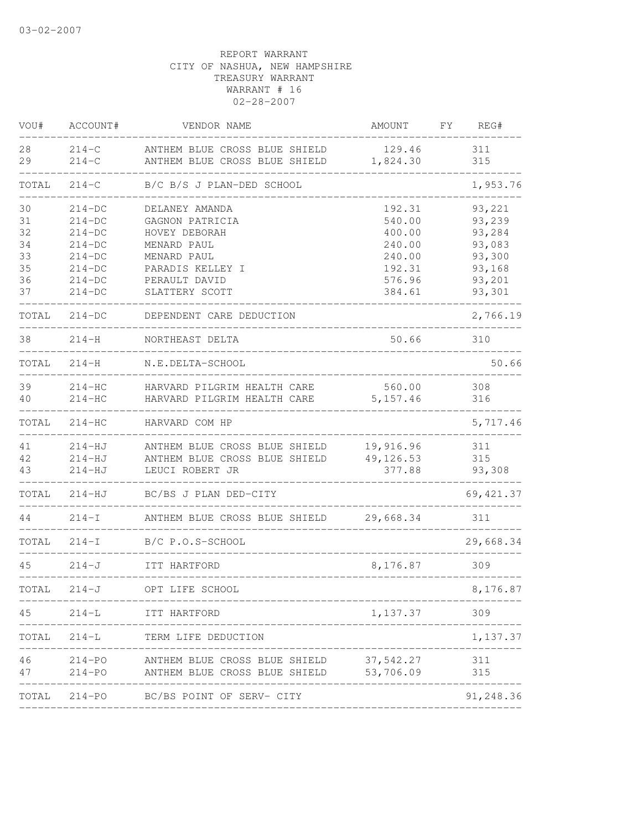| VOU#                       | ACCOUNT#                                                 | VENDOR NAME                                                                                         | AMOUNT                                         | FΥ | REG#                                           |
|----------------------------|----------------------------------------------------------|-----------------------------------------------------------------------------------------------------|------------------------------------------------|----|------------------------------------------------|
| 28<br>29                   | $214 - C$<br>$214-C$                                     | ANTHEM BLUE CROSS BLUE SHIELD<br>ANTHEM BLUE CROSS BLUE SHIELD                                      | 129.46<br>1,824.30                             |    | 311<br>315                                     |
| TOTAL                      | $214 - C$                                                | B/C B/S J PLAN-DED SCHOOL                                                                           |                                                |    | 1,953.76                                       |
| 30<br>31<br>32<br>34<br>33 | $214-DC$<br>$214-DC$<br>$214-DC$<br>$214-DC$<br>$214-DC$ | DELANEY AMANDA<br>GAGNON PATRICIA<br>HOVEY DEBORAH<br>MENARD PAUL<br>MENARD PAUL                    | 192.31<br>540.00<br>400.00<br>240.00<br>240.00 |    | 93,221<br>93,239<br>93,284<br>93,083<br>93,300 |
| 35<br>36<br>37             | $214-DC$<br>$214-DC$<br>$214-DC$                         | PARADIS KELLEY I<br>PERAULT DAVID<br>SLATTERY SCOTT                                                 | 192.31<br>576.96<br>384.61                     |    | 93,168<br>93,201<br>93,301                     |
| TOTAL                      | $214-DC$                                                 | DEPENDENT CARE DEDUCTION                                                                            |                                                |    | 2,766.19                                       |
| 38                         | $214-H$                                                  | NORTHEAST DELTA                                                                                     | 50.66                                          |    | 310                                            |
| TOTAL                      | $214-H$                                                  | N.E.DELTA-SCHOOL                                                                                    |                                                |    | 50.66                                          |
| 39<br>40                   | $214-HC$<br>$214-HC$                                     | HARVARD PILGRIM HEALTH CARE<br>HARVARD PILGRIM HEALTH CARE                                          | 560.00<br>5, 157.46                            |    | 308<br>316                                     |
| TOTAL                      | $214 - HC$                                               | HARVARD COM HP                                                                                      |                                                |    | 5,717.46                                       |
| 41<br>42<br>43             | 214-HJ<br>$214-HJ$<br>$214 - HJ$                         | ANTHEM BLUE CROSS BLUE SHIELD<br>ANTHEM BLUE CROSS BLUE SHIELD<br>LEUCI ROBERT JR                   | 19,916.96<br>49, 126.53<br>377.88              |    | 311<br>315<br>93,308                           |
| TOTAL                      | $214 - HJ$                                               | BC/BS J PLAN DED-CITY                                                                               |                                                |    | 69, 421.37                                     |
| 44                         | $214-I$                                                  | ANTHEM BLUE CROSS BLUE SHIELD                                                                       | 29,668.34                                      |    | 311                                            |
| TOTAL                      | $214 - I$                                                | B/C P.O.S-SCHOOL                                                                                    |                                                |    | 29,668.34                                      |
| 45                         | $214-J$                                                  | ITT HARTFORD                                                                                        | 8,176.87                                       |    | 309                                            |
| TOTAL                      | $214 - J$                                                | OPT LIFE SCHOOL                                                                                     |                                                |    | 8,176.87                                       |
| 45                         |                                                          | 214-L ITT HARTFORD                                                                                  | 1, 137.37 309                                  |    |                                                |
|                            |                                                          | TOTAL 214-L TERM LIFE DEDUCTION                                                                     |                                                |    | 1,137.37                                       |
| 47                         |                                                          | 46 214-PO ANTHEM BLUE CROSS BLUE SHIELD 37,542.27<br>214-PO ANTHEM BLUE CROSS BLUE SHIELD 53,706.09 |                                                |    | 311<br>315                                     |
|                            | _______________________                                  | TOTAL 214-PO BC/BS POINT OF SERV- CITY                                                              |                                                |    | --------------<br>91,248.36                    |
|                            |                                                          |                                                                                                     |                                                |    |                                                |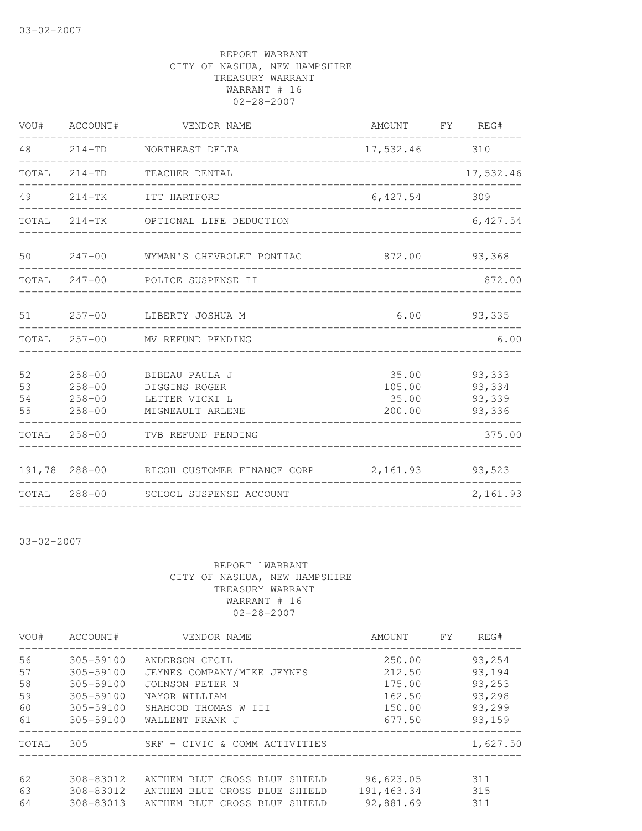|                      | VOU# ACCOUNT#                                        | VENDOR NAME                                                           | AMOUNT FY REG#                     |                                      |
|----------------------|------------------------------------------------------|-----------------------------------------------------------------------|------------------------------------|--------------------------------------|
| 48 — 18              |                                                      | 214-TD NORTHEAST DELTA                                                | 17,532.46 310                      |                                      |
| TOTAL                |                                                      | 214-TD TEACHER DENTAL                                                 |                                    | 17,532.46                            |
|                      |                                                      | 49 214-TK ITT HARTFORD                                                | 6,427.54 309                       |                                      |
|                      |                                                      | TOTAL 214-TK OPTIONAL LIFE DEDUCTION                                  |                                    | 6,427.54                             |
| 50                   |                                                      | 247-00 WYMAN'S CHEVROLET PONTIAC                                      |                                    | 872.00 93,368                        |
|                      |                                                      | TOTAL 247-00 POLICE SUSPENSE II                                       |                                    | 872.00                               |
|                      |                                                      | 51 257-00 LIBERTY JOSHUA M                                            |                                    | $6.00$ 93,335                        |
|                      |                                                      | TOTAL 257-00 MV REFUND PENDING                                        |                                    | 6.00                                 |
| 52<br>53<br>54<br>55 | $258 - 00$<br>$258 - 00$<br>$258 - 00$<br>$258 - 00$ | BIBEAU PAULA J<br>DIGGINS ROGER<br>LETTER VICKI L<br>MIGNEAULT ARLENE | 35.00<br>105.00<br>35.00<br>200.00 | 93,333<br>93,334<br>93,339<br>93,336 |
|                      |                                                      | TOTAL 258-00 TVB REFUND PENDING                                       |                                    | 375.00                               |
|                      |                                                      | 191,78 288-00 RICOH CUSTOMER FINANCE CORP 2,161.93 93,523             |                                    |                                      |
|                      |                                                      | TOTAL 288-00 SCHOOL SUSPENSE ACCOUNT                                  |                                    | 2,161.93                             |

03-02-2007

| VOU#  | ACCOUNT#      | VENDOR NAME                   | AMOUNT     | <b>FY</b> | REG#     |
|-------|---------------|-------------------------------|------------|-----------|----------|
| 56    | 305-59100     | ANDERSON CECIL                | 250.00     |           | 93,254   |
| 57    | 305-59100     | JEYNES COMPANY/MIKE JEYNES    | 212.50     |           | 93,194   |
| 58    | $305 - 59100$ | JOHNSON PETER N               | 175.00     |           | 93,253   |
| 59    | $305 - 59100$ | NAYOR WILLIAM                 | 162.50     |           | 93,298   |
| 60    | 305-59100     | SHAHOOD THOMAS W III          | 150.00     |           | 93,299   |
| 61    | 305-59100     | WALLENT FRANK J               | 677.50     |           | 93,159   |
| TOTAL | 305           | SRF - CIVIC & COMM ACTIVITIES |            |           | 1,627.50 |
|       |               |                               |            |           |          |
| 62    | 308-83012     | ANTHEM BLUE CROSS BLUE SHIELD | 96,623.05  |           | 311      |
| 63    | 308-83012     | ANTHEM BLUE CROSS BLUE SHIELD | 191,463.34 |           | 315      |
| 64    | 308-83013     | ANTHEM BLUE CROSS BLUE SHIELD | 92,881.69  |           | 311      |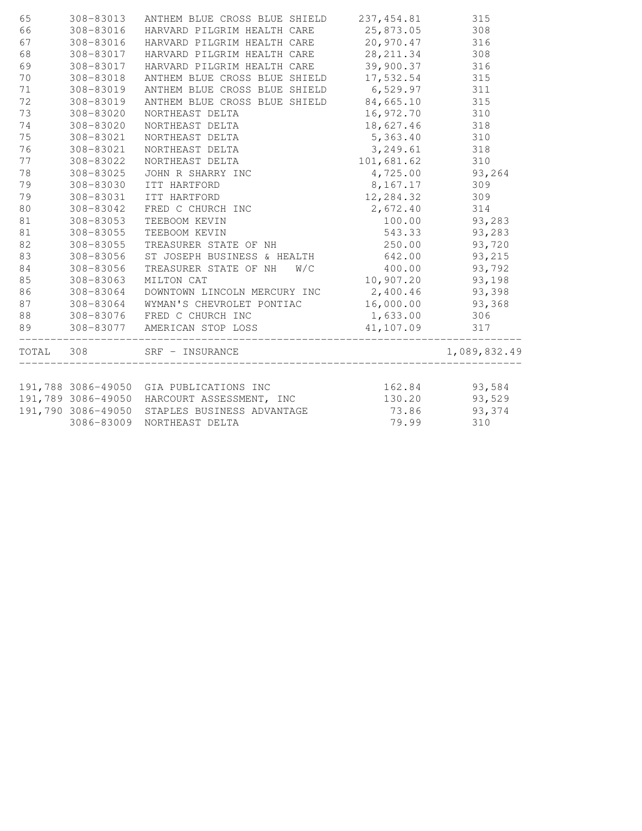| 65    | 308-83013  | ANTHEM BLUE CROSS BLUE SHIELD                 | 237, 454.81 | 315          |
|-------|------------|-----------------------------------------------|-------------|--------------|
| 66    | 308-83016  | HARVARD PILGRIM HEALTH CARE                   | 25,873.05   | 308          |
| 67    | 308-83016  | HARVARD PILGRIM HEALTH CARE                   | 20,970.47   | 316          |
| 68    | 308-83017  | HARVARD PILGRIM HEALTH CARE                   | 28, 211.34  | 308          |
| 69    | 308-83017  | HARVARD PILGRIM HEALTH CARE                   | 39,900.37   | 316          |
| 70    | 308-83018  | ANTHEM BLUE CROSS BLUE SHIELD                 | 17,532.54   | 315          |
| 71    | 308-83019  | ANTHEM BLUE CROSS BLUE SHIELD                 | 6,529.97    | 311          |
| 72    | 308-83019  | ANTHEM BLUE CROSS BLUE SHIELD 84,665.10       |             | 315          |
| 73    | 308-83020  | NORTHEAST DELTA                               | 16,972.70   | 310          |
| 74    | 308-83020  | NORTHEAST DELTA                               | 18,627.46   | 318          |
| 75    | 308-83021  | NORTHEAST DELTA                               | 5,363.40    | 310          |
| 76    | 308-83021  | NORTHEAST DELTA                               | 3,249.61    | 318          |
| 77    | 308-83022  | NORTHEAST DELTA                               | 101,681.62  | 310          |
| 78    | 308-83025  | JOHN R SHARRY INC                             | 4,725.00    | 93,264       |
| 79    | 308-83030  | ITT HARTFORD                                  | 8,167.17    | 309          |
| 79    | 308-83031  | ITT HARTFORD                                  | 12,284.32   | 309          |
| 80    | 308-83042  | FRED C CHURCH INC                             | 2,672.40    | 314          |
| 81    | 308-83053  | TEEBOOM KEVIN                                 | 100.00      | 93,283       |
| 81    | 308-83055  | TEEBOOM KEVIN                                 | 543.33      | 93,283       |
| 82    | 308-83055  | TREASURER STATE OF NH                         | 250.00      | 93,720       |
| 83    | 308-83056  | ST JOSEPH BUSINESS & HEALTH                   | 642.00      | 93,215       |
| 84    | 308-83056  | TREASURER STATE OF NH<br>W/C                  | 400.00      | 93,792       |
| 85    | 308-83063  | MILTON CAT                                    | 10,907.20   | 93,198       |
| 86    | 308-83064  | DOWNTOWN LINCOLN MERCURY INC                  | 2,400.46    | 93,398       |
| 87    | 308-83064  | WYMAN'S CHEVROLET PONTIAC                     | 16,000.00   | 93,368       |
| 88    | 308-83076  | FRED C CHURCH INC                             | 1,633.00    | 306          |
| 89    |            | 308-83077 AMERICAN STOP LOSS                  | 41,107.09   | 317          |
| TOTAL | 308        | SRF - INSURANCE                               |             | 1,089,832.49 |
|       |            |                                               |             |              |
|       |            | 191,788 3086-49050 GIA PUBLICATIONS INC       | 162.84      | 93,584       |
|       |            | 191,789 3086-49050 HARCOURT ASSESSMENT, INC   | 130.20      | 93,529       |
|       |            | 191,790 3086-49050 STAPLES BUSINESS ADVANTAGE | 73.86       | 93,374       |
|       | 3086-83009 | NORTHEAST DELTA                               | 79.99       | 310          |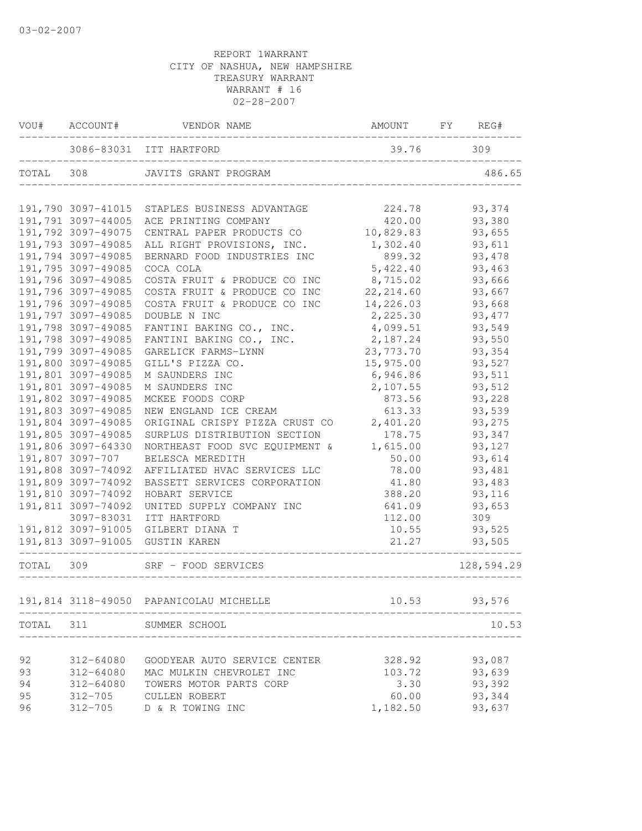| VOU#      | ACCOUNT#           | VENDOR NAME                             | AMOUNT     | FY<br>REG# |
|-----------|--------------------|-----------------------------------------|------------|------------|
|           |                    | 3086-83031 ITT HARTFORD                 | 39.76      | 309        |
| TOTAL     | 308                | JAVITS GRANT PROGRAM                    |            | 486.65     |
|           | 191,790 3097-41015 | STAPLES BUSINESS ADVANTAGE              | 224.78     | 93,374     |
|           | 191,791 3097-44005 | ACE PRINTING COMPANY                    | 420.00     | 93,380     |
|           | 191,792 3097-49075 | CENTRAL PAPER PRODUCTS CO               | 10,829.83  | 93,655     |
|           | 191,793 3097-49085 | ALL RIGHT PROVISIONS, INC.              | 1,302.40   | 93,611     |
|           | 191,794 3097-49085 | BERNARD FOOD INDUSTRIES INC             | 899.32     | 93, 478    |
|           | 191,795 3097-49085 | COCA COLA                               | 5,422.40   | 93,463     |
|           | 191,796 3097-49085 | COSTA FRUIT & PRODUCE CO INC            | 8,715.02   | 93,666     |
|           | 191,796 3097-49085 | COSTA FRUIT & PRODUCE CO INC            | 22, 214.60 | 93,667     |
|           | 191,796 3097-49085 | COSTA FRUIT & PRODUCE CO INC            | 14,226.03  | 93,668     |
|           | 191,797 3097-49085 | DOUBLE N INC                            | 2,225.30   | 93, 477    |
|           | 191,798 3097-49085 | FANTINI BAKING CO., INC.                | 4,099.51   | 93,549     |
|           | 191,798 3097-49085 | FANTINI BAKING CO., INC.                | 2,187.24   | 93,550     |
|           | 191,799 3097-49085 | GARELICK FARMS-LYNN                     | 23,773.70  | 93,354     |
|           | 191,800 3097-49085 | GILL'S PIZZA CO.                        | 15,975.00  | 93,527     |
|           | 191,801 3097-49085 | M SAUNDERS INC                          | 6,946.86   | 93,511     |
|           | 191,801 3097-49085 | M SAUNDERS INC                          | 2,107.55   | 93,512     |
|           | 191,802 3097-49085 | MCKEE FOODS CORP                        | 873.56     | 93,228     |
|           | 191,803 3097-49085 | NEW ENGLAND ICE CREAM                   | 613.33     | 93,539     |
|           | 191,804 3097-49085 | ORIGINAL CRISPY PIZZA CRUST CO          | 2,401.20   | 93,275     |
|           | 191,805 3097-49085 | SURPLUS DISTRIBUTION SECTION            | 178.75     | 93,347     |
|           | 191,806 3097-64330 | NORTHEAST FOOD SVC EQUIPMENT &          | 1,615.00   | 93,127     |
|           | 191,807 3097-707   | BELESCA MEREDITH                        | 50.00      | 93,614     |
|           | 191,808 3097-74092 | AFFILIATED HVAC SERVICES LLC            | 78.00      | 93,481     |
|           | 191,809 3097-74092 | BASSETT SERVICES CORPORATION            | 41.80      | 93,483     |
|           | 191,810 3097-74092 | HOBART SERVICE                          | 388.20     | 93,116     |
|           | 191,811 3097-74092 | UNITED SUPPLY COMPANY INC               | 641.09     | 93,653     |
|           | 3097-83031         | ITT HARTFORD                            | 112.00     | 309        |
|           |                    | 191,812 3097-91005 GILBERT DIANA T      | 10.55      | 93,525     |
|           |                    | 191,813 3097-91005 GUSTIN KAREN         | 21.27      | 93,505     |
| TOTAL 309 |                    | SRF - FOOD SERVICES                     |            | 128,594.29 |
|           |                    | 191,814 3118-49050 PAPANICOLAU MICHELLE | 10.53      | 93,576     |
| TOTAL     | 311                | SUMMER SCHOOL                           |            | 10.53      |
|           |                    |                                         |            |            |
| 92        | 312-64080          | GOODYEAR AUTO SERVICE CENTER            | 328.92     | 93,087     |
| 93        | 312-64080          | MAC MULKIN CHEVROLET INC                | 103.72     | 93,639     |
| 94        | 312-64080          | TOWERS MOTOR PARTS CORP                 | 3.30       | 93,392     |
| 95        | $312 - 705$        | <b>CULLEN ROBERT</b>                    | 60.00      | 93,344     |
| 96        | $312 - 705$        | D & R TOWING INC                        | 1,182.50   | 93,637     |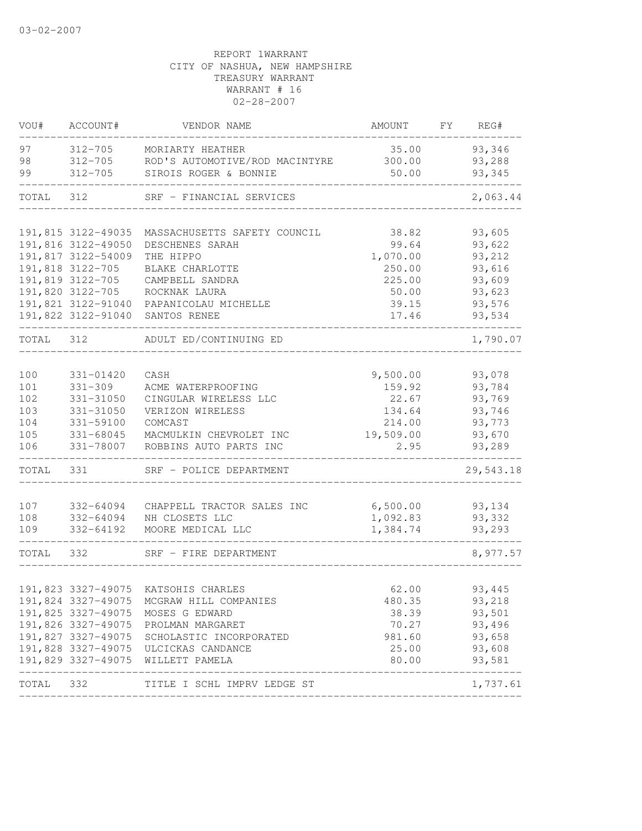| VOU#      | ACCOUNT#           | VENDOR NAME                                                          | AMOUNT    | FY | REG#                     |
|-----------|--------------------|----------------------------------------------------------------------|-----------|----|--------------------------|
| 97        | $312 - 705$        | MORIARTY HEATHER                                                     | 35.00     |    | 93,346                   |
| 98        | $312 - 705$        | ROD'S AUTOMOTIVE/ROD MACINTYRE                                       | 300.00    |    | 93,288                   |
| 99        | $312 - 705$        | SIROIS ROGER & BONNIE                                                | 50.00     |    | 93,345                   |
| TOTAL     | 312                | SRF - FINANCIAL SERVICES                                             |           |    | 2,063.44                 |
|           |                    |                                                                      |           |    |                          |
|           | 191,815 3122-49035 | MASSACHUSETTS SAFETY COUNCIL                                         | 38.82     |    | 93,605                   |
|           | 191,816 3122-49050 | DESCHENES SARAH                                                      | 99.64     |    | 93,622                   |
|           | 191,817 3122-54009 | THE HIPPO                                                            | 1,070.00  |    | 93,212                   |
|           | 191,818 3122-705   | BLAKE CHARLOTTE                                                      | 250.00    |    | 93,616                   |
|           | 191,819 3122-705   | CAMPBELL SANDRA                                                      | 225.00    |    | 93,609                   |
|           | 191,820 3122-705   | ROCKNAK LAURA                                                        | 50.00     |    | 93,623                   |
|           |                    | 191,821 3122-91040 PAPANICOLAU MICHELLE                              | 39.15     |    | 93,576                   |
|           | 191,822 3122-91040 | SANTOS RENEE                                                         | 17.46     |    | 93,534                   |
| TOTAL 312 |                    | ADULT ED/CONTINUING ED                                               |           |    | 1,790.07                 |
|           |                    |                                                                      |           |    |                          |
| 100       | 331-01420          | CASH                                                                 | 9,500.00  |    | 93,078                   |
| 101       | $331 - 309$        | ACME WATERPROOFING                                                   | 159.92    |    | 93,784                   |
| 102       | 331-31050          | CINGULAR WIRELESS LLC                                                | 22.67     |    | 93,769                   |
| 103       | 331-31050          | VERIZON WIRELESS                                                     | 134.64    |    | 93,746                   |
| 104       | 331-59100          | COMCAST                                                              | 214.00    |    | 93,773                   |
| 105       | $331 - 68045$      | MACMULKIN CHEVROLET INC                                              | 19,509.00 |    | 93,670                   |
| 106       | 331-78007          | ROBBINS AUTO PARTS INC                                               | 2.95      |    | 93,289                   |
| TOTAL     | 331                | SRF - POLICE DEPARTMENT                                              |           |    | 29,543.18                |
| 107       | 332-64094          | CHAPPELL TRACTOR SALES INC                                           | 6,500.00  |    | 93,134                   |
| 108       | 332-64094          | NH CLOSETS LLC                                                       | 1,092.83  |    | 93,332                   |
| 109       | 332-64192          | MOORE MEDICAL LLC                                                    | 1,384.74  |    | 93,293                   |
| TOTAL 332 |                    | SRF - FIRE DEPARTMENT                                                |           |    | 8,977.57                 |
|           |                    |                                                                      |           |    |                          |
|           |                    | 191,823 3327-49075 KATSOHIS CHARLES                                  | 62.00     |    | 93,445                   |
|           |                    | 191,824 3327-49075 MCGRAW HILL COMPANIES                             | 480.35    |    | 93,218                   |
|           | 191,825 3327-49075 | MOSES G EDWARD                                                       | 38.39     |    | 93,501                   |
|           |                    | 191,826 3327-49075 PROLMAN MARGARET                                  | 70.27     |    | 93,496                   |
|           | 191,827 3327-49075 | SCHOLASTIC INCORPORATED                                              | 981.60    |    | 93,658                   |
|           |                    | 191,828 3327-49075 ULCICKAS CANDANCE                                 | 25.00     |    | 93,608                   |
|           |                    | 191,829 3327-49075 WILLETT PAMELA<br>_______________________________ | 80.00     |    | 93,581<br>-------------- |
| TOTAL 332 |                    | TITLE I SCHL IMPRV LEDGE ST                                          |           |    | 1,737.61                 |
|           |                    |                                                                      |           |    |                          |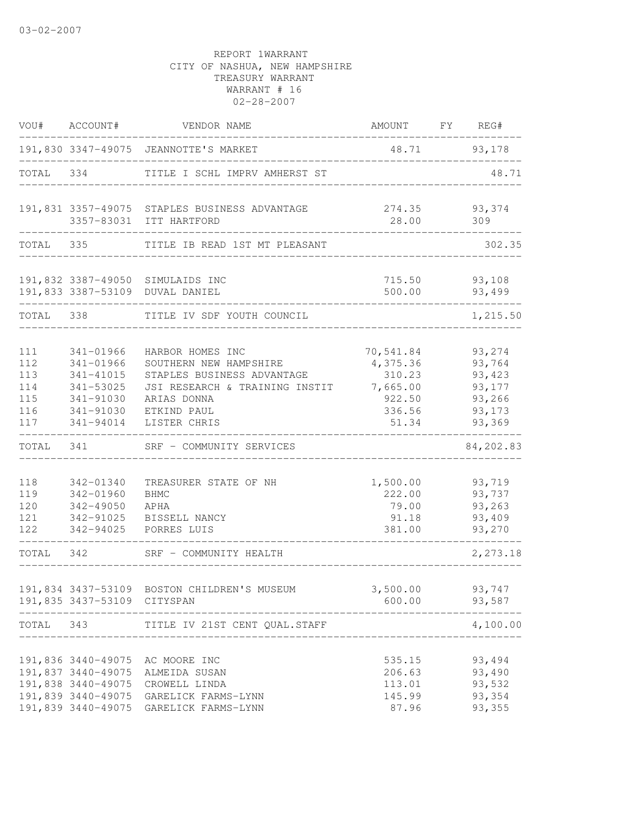| VOU#                                          | ACCOUNT#                                                                                | VENDOR NAME                                                                                                                                              | AMOUNT                                                                   | FX<br>REG#                                                         |
|-----------------------------------------------|-----------------------------------------------------------------------------------------|----------------------------------------------------------------------------------------------------------------------------------------------------------|--------------------------------------------------------------------------|--------------------------------------------------------------------|
|                                               |                                                                                         | 191,830 3347-49075 JEANNOTTE'S MARKET                                                                                                                    | 48.71                                                                    | 93,178                                                             |
| TOTAL                                         | 334                                                                                     | TITLE I SCHL IMPRV AMHERST ST                                                                                                                            |                                                                          | 48.71                                                              |
|                                               | ____________                                                                            | 191,831 3357-49075 STAPLES BUSINESS ADVANTAGE<br>3357-83031 ITT HARTFORD                                                                                 | 274.35<br>28.00<br>-----------------                                     | 93,374<br>309                                                      |
| TOTAL 335<br>__________                       |                                                                                         | TITLE IB READ 1ST MT PLEASANT                                                                                                                            |                                                                          | 302.35                                                             |
|                                               |                                                                                         | 191,832 3387-49050 SIMULAIDS INC<br>191,833 3387-53109 DUVAL DANIEL                                                                                      | 500.00                                                                   | 715.50 93,108<br>93,499                                            |
| TOTAL                                         | 338                                                                                     | TITLE IV SDF YOUTH COUNCIL                                                                                                                               |                                                                          | 1,215.50                                                           |
| 111<br>112<br>113<br>114<br>115<br>116<br>117 | 341-01966<br>341-01966<br>341-41015<br>341-53025<br>341-91030<br>341-91030<br>341-94014 | HARBOR HOMES INC<br>SOUTHERN NEW HAMPSHIRE<br>STAPLES BUSINESS ADVANTAGE<br>JSI RESEARCH & TRAINING INSTIT<br>ARIAS DONNA<br>ETKIND PAUL<br>LISTER CHRIS | 70,541.84<br>4,375.36<br>310.23<br>7,665.00<br>922.50<br>336.56<br>51.34 | 93,274<br>93,764<br>93,423<br>93,177<br>93,266<br>93,173<br>93,369 |
| TOTAL                                         | 341                                                                                     | SRF - COMMUNITY SERVICES                                                                                                                                 |                                                                          | 84,202.83                                                          |
| 118<br>119<br>120<br>121<br>122               | 342-01340<br>342-01960<br>342-49050<br>342-91025<br>342-94025                           | TREASURER STATE OF NH<br><b>BHMC</b><br>APHA<br>BISSELL NANCY<br>PORRES LUIS                                                                             | 1,500.00<br>222.00<br>79.00<br>91.18<br>381.00                           | 93,719<br>93,737<br>93,263<br>93,409<br>93,270                     |
| TOTAL                                         | 342                                                                                     | SRF - COMMUNITY HEALTH                                                                                                                                   |                                                                          | 2,273.18                                                           |
|                                               | 191,835 3437-53109 CITYSPAN                                                             | 191,834 3437-53109 BOSTON CHILDREN'S MUSEUM                                                                                                              | 3,500.00<br>600.00                                                       | 93,747<br>93,587                                                   |
| TOTAL 343                                     |                                                                                         | TITLE IV 21ST CENT QUAL.STAFF                                                                                                                            |                                                                          | 4,100.00                                                           |
|                                               | 191,837 3440-49075<br>191,838 3440-49075<br>191,839 3440-49075                          | 191,836 3440-49075 AC MOORE INC<br>ALMEIDA SUSAN<br>CROWELL LINDA<br>191,839 3440-49075 GARELICK FARMS-LYNN<br>GARELICK FARMS-LYNN                       | 535.15<br>206.63<br>113.01<br>145.99<br>87.96                            | 93,494<br>93,490<br>93,532<br>93,354<br>93,355                     |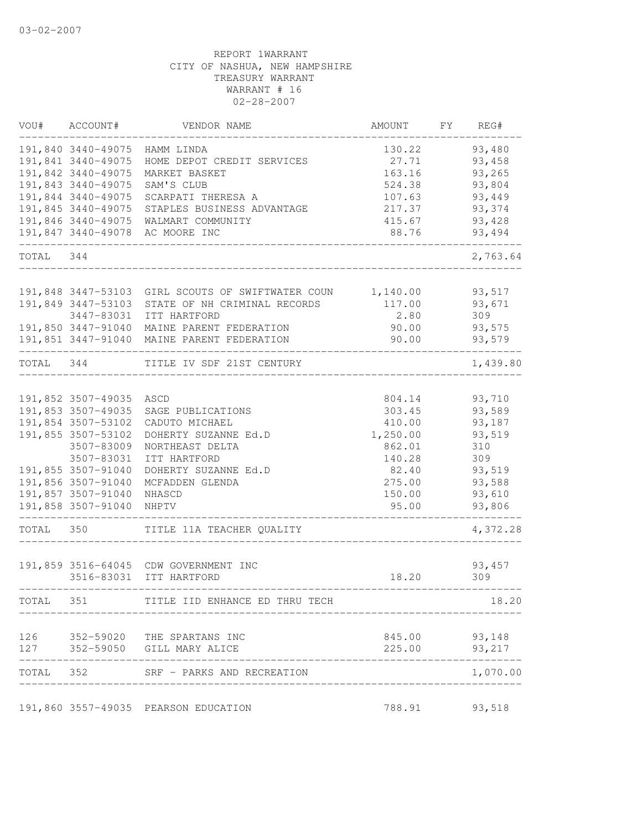|           | VOU# ACCOUNT#                            | VENDOR NAME                                                 | AMOUNT           | FY | REG#                    |
|-----------|------------------------------------------|-------------------------------------------------------------|------------------|----|-------------------------|
|           | 191,840 3440-49075                       | HAMM LINDA                                                  | 130.22           |    | 93,480                  |
|           | 191,841 3440-49075                       | HOME DEPOT CREDIT SERVICES                                  | 27.71            |    | 93,458                  |
|           | 191,842 3440-49075<br>191,843 3440-49075 | MARKET BASKET                                               | 163.16           |    | 93,265                  |
|           | 191,844 3440-49075                       | SAM'S CLUB<br>SCARPATI THERESA A                            | 524.38<br>107.63 |    | 93,804<br>93,449        |
|           | 191,845 3440-49075                       | STAPLES BUSINESS ADVANTAGE                                  | 217.37           |    | 93,374                  |
|           |                                          | 191,846 3440-49075 WALMART COMMUNITY                        | 415.67           |    | 93,428                  |
|           |                                          | 191,847 3440-49078 AC MOORE INC                             | 88.76            |    | 93,494                  |
| TOTAL 344 |                                          |                                                             |                  |    | 2,763.64                |
|           |                                          |                                                             |                  |    |                         |
|           | 191,848 3447-53103                       | GIRL SCOUTS OF SWIFTWATER COUN                              | 1,140.00         |    | 93,517                  |
|           | 191,849 3447-53103<br>3447-83031         | STATE OF NH CRIMINAL RECORDS<br>ITT HARTFORD                | 117.00<br>2.80   |    | 93,671<br>309           |
|           |                                          | 191,850 3447-91040 MAINE PARENT FEDERATION                  | 90.00            |    | 93,575                  |
|           |                                          | 191,851 3447-91040 MAINE PARENT FEDERATION                  | 90.00            |    | 93,579                  |
| TOTAL 344 |                                          | TITLE IV SDF 21ST CENTURY                                   |                  |    | 1,439.80                |
|           | 191,852 3507-49035                       | ASCD                                                        | 804.14           |    | 93,710                  |
|           | 191,853 3507-49035                       | SAGE PUBLICATIONS                                           | 303.45           |    | 93,589                  |
|           | 191,854 3507-53102                       | CADUTO MICHAEL                                              | 410.00           |    | 93,187                  |
|           | 191,855 3507-53102                       | DOHERTY SUZANNE Ed.D                                        | 1,250.00         |    | 93,519                  |
|           | 3507-83009                               | NORTHEAST DELTA                                             | 862.01           |    | 310                     |
|           | 3507-83031                               | ITT HARTFORD                                                | 140.28           |    | 309                     |
|           | 191,855 3507-91040                       | DOHERTY SUZANNE Ed.D                                        | 82.40            |    | 93,519                  |
|           | 191,856 3507-91040                       | MCFADDEN GLENDA                                             | 275.00           |    | 93,588                  |
|           | 191,857 3507-91040                       | NHASCD                                                      | 150.00           |    | 93,610                  |
|           | 191,858 3507-91040                       | NHPTV                                                       | 95.00            |    | 93,806                  |
| TOTAL 350 |                                          | TITLE 11A TEACHER QUALITY                                   |                  |    | 4,372.28                |
|           |                                          | 191,859 3516-64045 CDW GOVERNMENT INC                       |                  |    | 93,457                  |
|           |                                          | 3516-83031 ITT HARTFORD                                     | 18.20            |    | 309                     |
| TOTAL     | 351                                      | TITLE IID ENHANCE ED THRU TECH                              |                  |    | 18.20                   |
|           |                                          |                                                             |                  |    |                         |
| 127       |                                          | 126 352-59020 THE SPARTANS INC<br>352-59050 GILL MARY ALICE | 225.00           |    | 845.00 93,148<br>93,217 |
|           |                                          | TOTAL 352 SRF - PARKS AND RECREATION                        |                  |    | 1,070.00                |
|           |                                          |                                                             |                  |    |                         |
|           |                                          | 191,860 3557-49035 PEARSON EDUCATION                        | 788.91           |    | 93,518                  |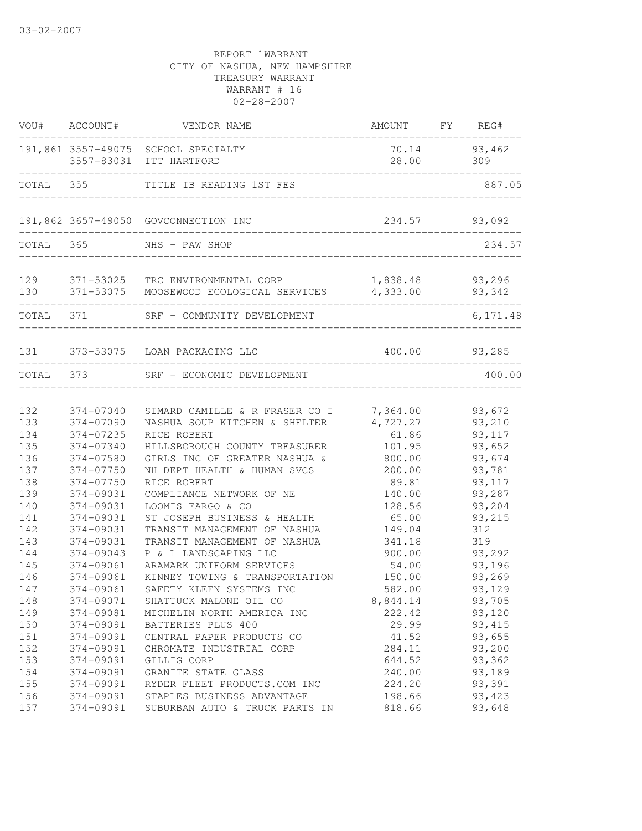| VOU#       | ACCOUNT#               | VENDOR NAME                                                                 | AMOUNT FY                   | REG#                |
|------------|------------------------|-----------------------------------------------------------------------------|-----------------------------|---------------------|
|            |                        | 191,861 3557-49075 SCHOOL SPECIALTY<br>3557-83031 ITT HARTFORD              | 28.00                       | 70.14 93,462<br>309 |
| TOTAL 355  |                        | TITLE IB READING 1ST FES                                                    |                             | 887.05              |
|            |                        | 191,862 3657-49050 GOVCONNECTION INC                                        |                             | 234.57 93,092       |
| TOTAL 365  |                        | NHS - PAW SHOP<br>__________________________                                |                             | 234.57              |
| 129<br>130 |                        | 371-53025 TRC ENVIRONMENTAL CORP<br>371-53075 MOOSEWOOD ECOLOGICAL SERVICES | 1,838.48 93,296<br>4,333.00 | 93,342              |
| TOTAL 371  |                        | SRF - COMMUNITY DEVELOPMENT                                                 |                             | 6,171.48            |
| 131        |                        | 373-53075 LOAN PACKAGING LLC                                                | 400.00                      | 93,285              |
|            |                        | TOTAL 373 SRF - ECONOMIC DEVELOPMENT                                        |                             | 400.00              |
| 132        | 374-07040              | SIMARD CAMILLE & R FRASER CO I 7,364.00                                     |                             | 93,672              |
| 133        | 374-07090              | NASHUA SOUP KITCHEN & SHELTER                                               | 4,727.27                    | 93,210              |
| 134        | 374-07235              | RICE ROBERT                                                                 | 61.86                       | 93,117              |
| 135        | 374-07340              | HILLSBOROUGH COUNTY TREASURER                                               | 101.95                      | 93,652              |
| 136<br>137 | 374-07580<br>374-07750 | GIRLS INC OF GREATER NASHUA &                                               | 800.00                      | 93,674<br>93,781    |
| 138        | 374-07750              | NH DEPT HEALTH & HUMAN SVCS<br>RICE ROBERT                                  | 200.00<br>89.81             | 93, 117             |
| 139        | 374-09031              | COMPLIANCE NETWORK OF NE                                                    | 140.00                      | 93,287              |
| 140        | 374-09031              | LOOMIS FARGO & CO                                                           | 128.56                      | 93,204              |
| 141        | 374-09031              | ST JOSEPH BUSINESS & HEALTH                                                 | 65.00                       | 93,215              |
| 142        | 374-09031              | TRANSIT MANAGEMENT OF NASHUA                                                | 149.04                      | 312                 |
| 143        | 374-09031              | TRANSIT MANAGEMENT OF NASHUA                                                | 341.18                      | 319                 |
| 144        | 374-09043              | P & L LANDSCAPING LLC                                                       | 900.00                      | 93,292              |
| 145        | 374-09061              | ARAMARK UNIFORM SERVICES                                                    | 54.00                       | 93,196              |
| 146        | 374-09061              | KINNEY TOWING & TRANSPORTATION                                              | 150.00                      | 93,269              |
| 147        | 374-09061              | SAFETY KLEEN SYSTEMS INC                                                    | 582.00                      | 93,129              |
| 148        | 374-09071              | SHATTUCK MALONE OIL CO                                                      | 8,844.14                    | 93,705              |
| 149        | 374-09081              | MICHELIN NORTH AMERICA INC                                                  | 222.42                      | 93,120              |
| 150        | 374-09091              | BATTERIES PLUS 400                                                          | 29.99                       | 93, 415             |
| 151        | 374-09091              | CENTRAL PAPER PRODUCTS CO                                                   | 41.52                       | 93,655              |
| 152        | 374-09091              | CHROMATE INDUSTRIAL CORP                                                    | 284.11                      | 93,200              |
| 153        | 374-09091              | GILLIG CORP                                                                 | 644.52                      | 93,362              |
| 154        | 374-09091              | GRANITE STATE GLASS                                                         | 240.00                      | 93,189              |
| 155        | 374-09091              | RYDER FLEET PRODUCTS.COM INC                                                | 224.20                      | 93,391              |
| 156        | 374-09091              | STAPLES BUSINESS ADVANTAGE                                                  | 198.66                      | 93,423              |
| 157        | 374-09091              | SUBURBAN AUTO & TRUCK PARTS IN                                              | 818.66                      | 93,648              |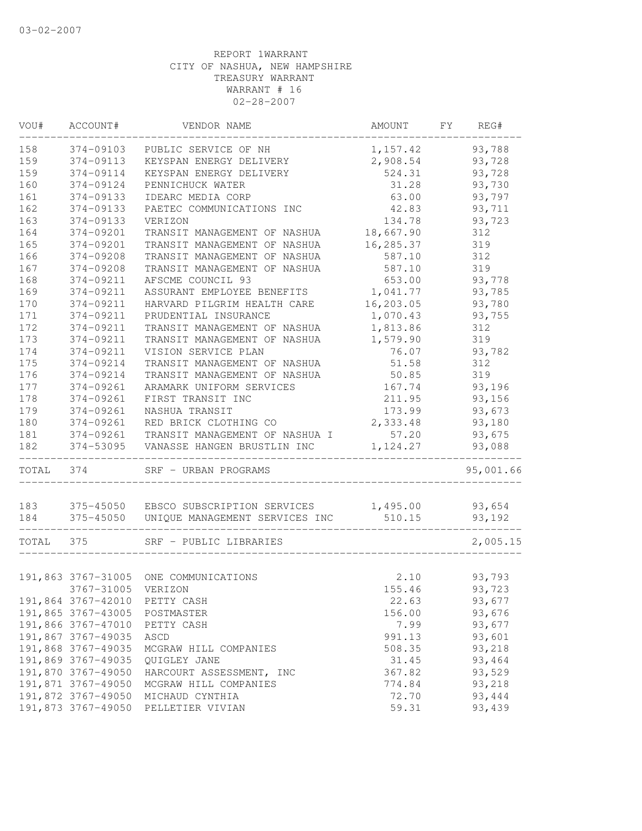| VOU#  | ACCOUNT#                      | VENDOR NAME                           | AMOUNT    | FY | REG#      |
|-------|-------------------------------|---------------------------------------|-----------|----|-----------|
| 158   | 374-09103                     | PUBLIC SERVICE OF NH                  | 1,157.42  |    | 93,788    |
| 159   | 374-09113                     | KEYSPAN ENERGY DELIVERY               | 2,908.54  |    | 93,728    |
| 159   | 374-09114                     | KEYSPAN ENERGY DELIVERY               | 524.31    |    | 93,728    |
| 160   | 374-09124                     | PENNICHUCK WATER                      | 31.28     |    | 93,730    |
| 161   | 374-09133                     | IDEARC MEDIA CORP                     | 63.00     |    | 93,797    |
| 162   | 374-09133                     | PAETEC COMMUNICATIONS INC             | 42.83     |    | 93,711    |
| 163   | 374-09133                     | VERIZON                               | 134.78    |    | 93,723    |
| 164   | 374-09201                     | TRANSIT MANAGEMENT OF NASHUA          | 18,667.90 |    | 312       |
| 165   | 374-09201                     | TRANSIT MANAGEMENT OF NASHUA          | 16,285.37 |    | 319       |
| 166   | 374-09208                     | TRANSIT MANAGEMENT OF NASHUA          | 587.10    |    | 312       |
| 167   | 374-09208                     | TRANSIT MANAGEMENT OF NASHUA          | 587.10    |    | 319       |
| 168   | 374-09211                     | AFSCME COUNCIL 93                     | 653.00    |    | 93,778    |
| 169   | 374-09211                     | ASSURANT EMPLOYEE BENEFITS            | 1,041.77  |    | 93,785    |
| 170   | 374-09211                     | HARVARD PILGRIM HEALTH CARE           | 16,203.05 |    | 93,780    |
| 171   | 374-09211                     | PRUDENTIAL INSURANCE                  | 1,070.43  |    | 93,755    |
| 172   | 374-09211                     | TRANSIT MANAGEMENT OF NASHUA          | 1,813.86  |    | 312       |
| 173   | 374-09211                     | TRANSIT MANAGEMENT OF NASHUA          | 1,579.90  |    | 319       |
| 174   | 374-09211                     | VISION SERVICE PLAN                   | 76.07     |    | 93,782    |
| 175   | 374-09214                     | TRANSIT MANAGEMENT OF NASHUA          | 51.58     |    | 312       |
| 176   | 374-09214                     | TRANSIT MANAGEMENT OF NASHUA          | 50.85     |    | 319       |
| 177   | 374-09261                     | ARAMARK UNIFORM SERVICES              | 167.74    |    | 93,196    |
| 178   | 374-09261                     | FIRST TRANSIT INC                     | 211.95    |    | 93,156    |
| 179   | 374-09261                     | NASHUA TRANSIT                        | 173.99    |    | 93,673    |
| 180   | 374-09261                     | RED BRICK CLOTHING CO                 | 2,333.48  |    | 93,180    |
| 181   | 374-09261                     | TRANSIT MANAGEMENT OF NASHUA I        | 57.20     |    | 93,675    |
| 182   | 374-53095                     | VANASSE HANGEN BRUSTLIN INC           | 1, 124.27 |    | 93,088    |
| TOTAL | 374                           | SRF - URBAN PROGRAMS                  |           |    | 95,001.66 |
| 183   |                               | 375-45050 EBSCO SUBSCRIPTION SERVICES | 1,495.00  |    | 93,654    |
| 184   | 375-45050                     | UNIQUE MANAGEMENT SERVICES INC        | 510.15    |    | 93,192    |
|       |                               |                                       |           |    |           |
| TOTAL | 375                           | SRF - PUBLIC LIBRARIES                |           |    | 2,005.15  |
|       |                               | 191,863 3767-31005 ONE COMMUNICATIONS | 2.10      |    | 93,793    |
|       | 3767-31005 VERIZON            |                                       | 155.46    |    | 93,723    |
|       | 191,864 3767-42010 PETTY CASH |                                       | 22.63     |    | 93,677    |
|       | 191,865 3767-43005            | POSTMASTER                            | 156.00    |    | 93,676    |
|       | 191,866 3767-47010            | PETTY CASH                            | 7.99      |    | 93,677    |
|       | 191,867 3767-49035            | ASCD                                  | 991.13    |    | 93,601    |
|       | 191,868 3767-49035            | MCGRAW HILL COMPANIES                 | 508.35    |    | 93,218    |
|       | 191,869 3767-49035            | QUIGLEY JANE                          | 31.45     |    | 93,464    |
|       | 191,870 3767-49050            | HARCOURT ASSESSMENT, INC              | 367.82    |    | 93,529    |
|       | 191,871 3767-49050            | MCGRAW HILL COMPANIES                 | 774.84    |    | 93,218    |
|       | 191,872 3767-49050            | MICHAUD CYNTHIA                       | 72.70     |    | 93,444    |
|       | 191,873 3767-49050            | PELLETIER VIVIAN                      | 59.31     |    | 93,439    |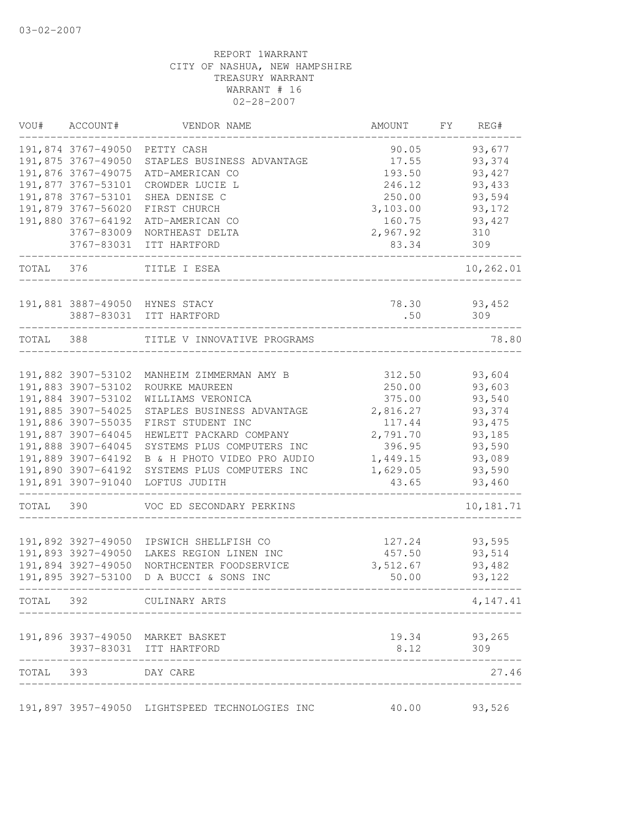| VOU#  | ACCOUNT#                                 | VENDOR NAME                                     | AMOUNT             | FΥ | REG#              |
|-------|------------------------------------------|-------------------------------------------------|--------------------|----|-------------------|
|       | 191,874 3767-49050                       | PETTY CASH                                      | 90.05              |    | 93,677            |
|       | 191,875 3767-49050                       | STAPLES BUSINESS ADVANTAGE                      | 17.55              |    | 93,374            |
|       | 191,876 3767-49075                       | ATD-AMERICAN CO                                 | 193.50             |    | 93, 427           |
|       | 191,877 3767-53101                       | CROWDER LUCIE L                                 | 246.12             |    | 93,433            |
|       | 191,878 3767-53101                       | SHEA DENISE C                                   | 250.00             |    | 93,594            |
|       | 191,879 3767-56020                       | FIRST CHURCH                                    | 3,103.00           |    | 93,172            |
|       | 191,880 3767-64192                       | ATD-AMERICAN CO                                 | 160.75             |    | 93, 427           |
|       | 3767-83009                               | NORTHEAST DELTA                                 | 2,967.92           |    | 310               |
|       | 3767-83031                               | ITT HARTFORD                                    | 83.34              |    | 309               |
| TOTAL | 376                                      | TITLE I ESEA                                    |                    |    | 10,262.01         |
|       |                                          |                                                 |                    |    |                   |
|       | 191,881 3887-49050                       | HYNES STACY                                     | 78.30              |    | 93,452            |
|       | 3887-83031                               | ITT HARTFORD                                    | .50                |    | 309               |
| TOTAL | 388                                      | TITLE V INNOVATIVE PROGRAMS                     |                    |    | 78.80             |
|       |                                          |                                                 |                    |    |                   |
|       | 191,882 3907-53102                       | MANHEIM ZIMMERMAN AMY B                         | 312.50             |    | 93,604            |
|       | 191,883 3907-53102                       | ROURKE MAUREEN                                  | 250.00             |    | 93,603            |
|       | 191,884 3907-53102                       | WILLIAMS VERONICA                               | 375.00             |    | 93,540            |
|       | 191,885 3907-54025<br>191,886 3907-55035 | STAPLES BUSINESS ADVANTAGE<br>FIRST STUDENT INC | 2,816.27<br>117.44 |    | 93,374<br>93, 475 |
|       | 191,887 3907-64045                       | HEWLETT PACKARD COMPANY                         | 2,791.70           |    | 93,185            |
|       | 191,888 3907-64045                       | SYSTEMS PLUS COMPUTERS INC                      | 396.95             |    | 93,590            |
|       | 191,889 3907-64192                       | B & H PHOTO VIDEO PRO AUDIO                     | 1,449.15           |    | 93,089            |
|       | 191,890 3907-64192                       | SYSTEMS PLUS COMPUTERS INC                      | 1,629.05           |    | 93,590            |
|       | 191,891 3907-91040                       | LOFTUS JUDITH                                   | 43.65              |    | 93,460            |
| TOTAL | 390                                      | VOC ED SECONDARY PERKINS                        |                    |    | 10,181.71         |
|       |                                          |                                                 |                    |    |                   |
|       | 191,892 3927-49050                       | IPSWICH SHELLFISH CO                            | 127.24             |    | 93,595            |
|       | 191,893 3927-49050                       | LAKES REGION LINEN INC                          | 457.50             |    | 93,514            |
|       | 191,894 3927-49050                       | NORTHCENTER FOODSERVICE                         | 3,512.67           |    | 93,482            |
|       | 191,895 3927-53100                       | D A BUCCI & SONS INC                            | 50.00              |    | 93,122            |
| TOTAL | 392                                      | CULINARY ARTS                                   |                    |    | 4,147.41          |
|       |                                          | 191,896 3937-49050 MARKET BASKET                | 19.34              |    | 93,265            |
|       | 3937-83031                               | ITT HARTFORD                                    | 8.12               |    | 309               |
| TOTAL | 393                                      | DAY CARE                                        |                    |    | 27.46             |
|       |                                          | 191,897 3957-49050 LIGHTSPEED TECHNOLOGIES INC  | 40.00              |    | 93,526            |
|       |                                          |                                                 |                    |    |                   |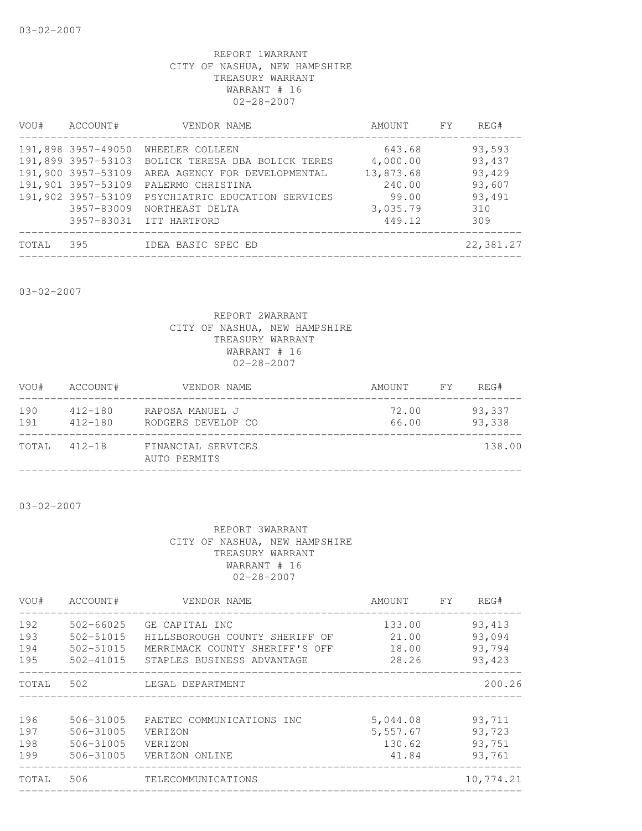| VOU#  | ACCOUNT#                                                                                                   | VENDOR NAME                                                                                                                                                                                        | AMOUNT FY                                                                | REG#                                                         |
|-------|------------------------------------------------------------------------------------------------------------|----------------------------------------------------------------------------------------------------------------------------------------------------------------------------------------------------|--------------------------------------------------------------------------|--------------------------------------------------------------|
|       | 191,898 3957-49050<br>191,899 3957-53103<br>191,900 3957-53109<br>191,901 3957-53109<br>191,902 3957-53109 | WHEELER COLLEEN<br>BOLICK TERESA DBA BOLICK TERES<br>AREA AGENCY FOR DEVELOPMENTAL<br>PALERMO CHRISTINA<br>PSYCHIATRIC EDUCATION SERVICES<br>3957-83009 NORTHEAST DELTA<br>3957-83031 ITT HARTFORD | 643.68<br>4,000.00<br>13,873.68<br>240.00<br>99.00<br>3,035.79<br>449.12 | 93,593<br>93,437<br>93,429<br>93,607<br>93,491<br>310<br>309 |
| TOTAL | 395                                                                                                        | IDEA BASIC SPEC ED                                                                                                                                                                                 |                                                                          | 22,381.27                                                    |

03-02-2007

#### REPORT 2WARRANT CITY OF NASHUA, NEW HAMPSHIRE TREASURY WARRANT WARRANT # 16 02-28-2007

| VOU#       | ACCOUNT#                   | VENDOR NAME                           | AMOUNT         | FY . | REG#             |
|------------|----------------------------|---------------------------------------|----------------|------|------------------|
| 190<br>191 | $412 - 180$<br>$412 - 180$ | RAPOSA MANUEL J<br>RODGERS DEVELOP CO | 72.00<br>66.00 |      | 93,337<br>93,338 |
| TOTAL      | $412 - 18$                 | FINANCIAL SERVICES<br>AUTO PERMITS    |                |      | 138.00           |

03-02-2007

| VOU#  | ACCOUNT#      | VENDOR NAME                    | AMOUNT   | FY. | REG#      |
|-------|---------------|--------------------------------|----------|-----|-----------|
| 192   | $502 - 66025$ | GE CAPITAL INC                 | 133.00   |     | 93,413    |
| 193   | $502 - 51015$ | HILLSBOROUGH COUNTY SHERIFF OF | 21.00    |     | 93,094    |
| 194   | 502-51015     | MERRIMACK COUNTY SHERIFF'S OFF | 18.00    |     | 93,794    |
| 195   | $502 - 41015$ | STAPLES BUSINESS ADVANTAGE     | 28.26    |     | 93,423    |
| TOTAL | 502           | LEGAL DEPARTMENT               |          |     | 200.26    |
| 196   | 506-31005     | PAETEC COMMUNICATIONS INC      | 5,044.08 |     | 93,711    |
| 197   | 506-31005     | VERIZON                        | 5,557.67 |     | 93,723    |
| 198   | 506-31005     | VERIZON                        | 130.62   |     | 93,751    |
| 199   | 506-31005     | VERIZON ONLINE                 | 41.84    |     | 93,761    |
| TOTAL | 506           | TELECOMMUNICATIONS             |          |     | 10,774.21 |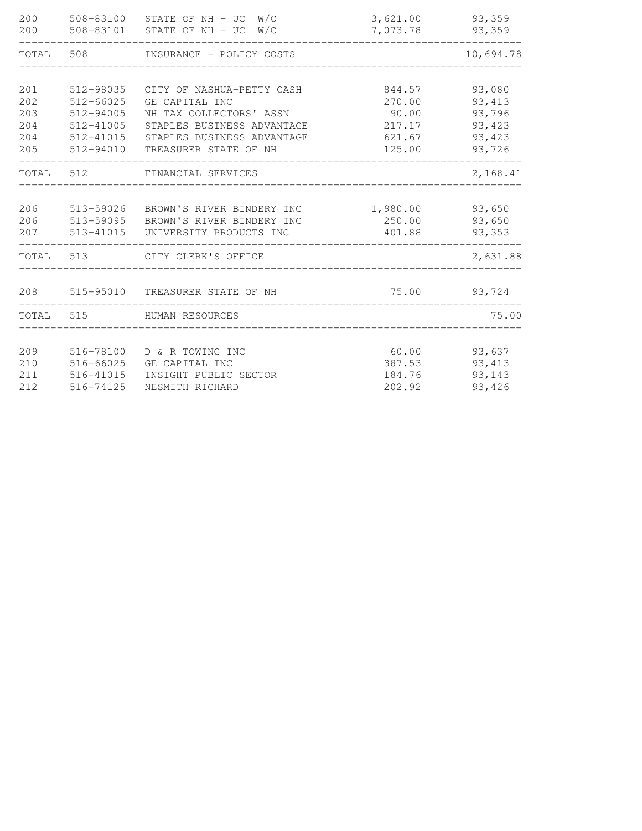| 200<br>200 |               | 508-83100 STATE OF NH - UC W/C<br>508-83101 STATE OF NH - UC W/C | 3,621.00<br>7,073.78 | 93,359<br>93,359 |
|------------|---------------|------------------------------------------------------------------|----------------------|------------------|
| TOTAL      |               | 508 INSURANCE - POLICY COSTS                                     |                      | 10,694.78        |
|            |               |                                                                  |                      |                  |
| 201        | 512-98035     | CITY OF NASHUA-PETTY CASH                                        | 844.57               | 93,080           |
| 202        | $512 - 66025$ | GE CAPITAL INC                                                   | 270.00               | 93, 413          |
| 203        | 512-94005     | NH TAX COLLECTORS' ASSN                                          | 90.00                | 93,796           |
| 204        | 512-41005     | STAPLES BUSINESS ADVANTAGE                                       | 217.17               | 93,423           |
| 204        | 512-41015     | STAPLES BUSINESS ADVANTAGE                                       | 621.67               | 93,423           |
| 205        | 512-94010     | TREASURER STATE OF NH                                            | 125.00               | 93,726           |
| TOTAL      | 512           | FINANCIAL SERVICES                                               |                      | 2,168.41         |
| 206        |               | 513-59026 BROWN'S RIVER BINDERY INC                              | 1,980.00             | 93,650           |
| 206        | 513-59095     | BROWN'S RIVER BINDERY INC                                        | 250.00               | 93,650           |
| 207        |               | 513-41015 UNIVERSITY PRODUCTS INC                                | 401.88               | 93,353           |
| TOTAL      | 513           | CITY CLERK'S OFFICE                                              |                      | 2,631.88         |
|            |               |                                                                  |                      |                  |
| 208        |               | 515-95010 TREASURER STATE OF NH                                  | 75.00 93,724         |                  |
| TOTAL 515  |               | HUMAN RESOURCES                                                  |                      | 75.00            |
|            |               |                                                                  |                      |                  |
| 209        | 516-78100     | D & R TOWING INC                                                 | 60.00                | 93,637           |
| 210        | 516-66025     | GE CAPITAL INC                                                   | 387.53               | 93, 413          |
| 211        | 516-41015     | INSIGHT PUBLIC SECTOR                                            | 184.76               | 93,143           |
| 212        | 516-74125     | NESMITH RICHARD                                                  | 202.92               | 93,426           |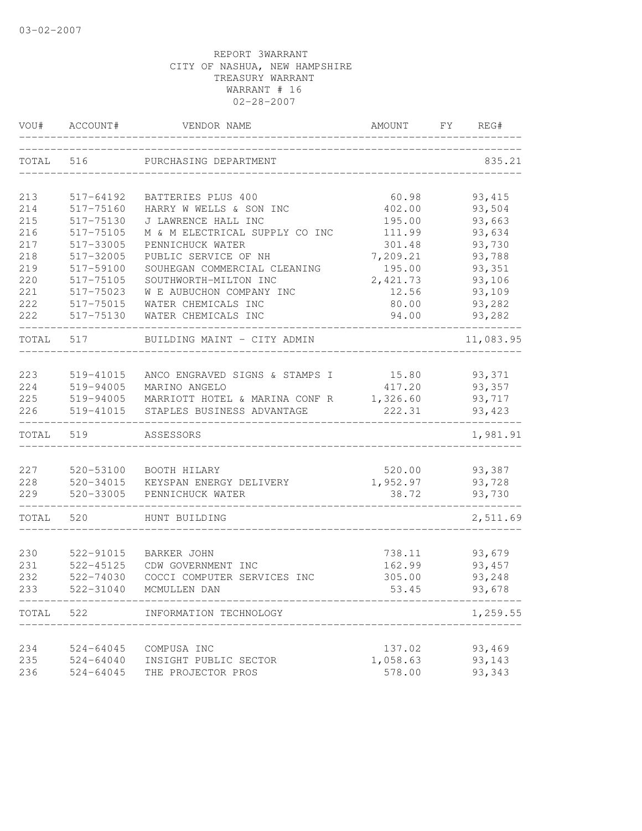| VOU#       | ACCOUNT#                   | VENDOR NAME                                     | AMOUNT             | FY.<br>REG#      |
|------------|----------------------------|-------------------------------------------------|--------------------|------------------|
| TOTAL      | 516                        | PURCHASING DEPARTMENT                           |                    | 835.21           |
| 213        | 517-64192                  | BATTERIES PLUS 400                              | 60.98              | 93, 415          |
| 214        | 517-75160                  | HARRY W WELLS & SON INC                         | 402.00             | 93,504           |
| 215        | 517-75130                  | J LAWRENCE HALL INC                             | 195.00             | 93,663           |
| 216        | 517-75105                  | M & M ELECTRICAL SUPPLY CO INC                  | 111.99             | 93,634           |
| 217        | 517-33005                  | PENNICHUCK WATER                                | 301.48             | 93,730           |
| 218        | 517-32005                  | PUBLIC SERVICE OF NH                            | 7,209.21           | 93,788           |
| 219        | 517-59100                  | SOUHEGAN COMMERCIAL CLEANING                    | 195.00             | 93,351           |
| 220        | 517-75105                  | SOUTHWORTH-MILTON INC                           | 2,421.73           | 93,106           |
| 221        | 517-75023                  | W E AUBUCHON COMPANY INC                        | 12.56              | 93,109           |
| 222        | 517-75015                  | WATER CHEMICALS INC                             | 80.00              | 93,282           |
| 222        | 517-75130                  | WATER CHEMICALS INC                             | 94.00              | 93,282           |
| TOTAL      | 517                        | BUILDING MAINT - CITY ADMIN                     |                    | 11,083.95        |
| 223        |                            |                                                 |                    |                  |
| 224        | 519-41015<br>519-94005     | ANCO ENGRAVED SIGNS & STAMPS I<br>MARINO ANGELO | 15.80<br>417.20    | 93,371<br>93,357 |
| 225        | 519-94005                  | MARRIOTT HOTEL & MARINA CONF R                  | 1,326.60           | 93,717           |
| 226        | 519-41015                  | STAPLES BUSINESS ADVANTAGE                      | 222.31             | 93, 423          |
| TOTAL      | 519                        | ASSESSORS                                       |                    | 1,981.91         |
|            |                            |                                                 |                    |                  |
| 227        | 520-53100                  | BOOTH HILARY                                    | 520.00             | 93,387           |
| 228        | 520-34015                  | KEYSPAN ENERGY DELIVERY                         | 1,952.97           | 93,728           |
| 229        | 520-33005                  | PENNICHUCK WATER                                | 38.72              | 93,730           |
| TOTAL      | 520                        | HUNT BUILDING                                   |                    | 2,511.69         |
|            |                            |                                                 |                    |                  |
| 230        | 522-91015                  | BARKER JOHN                                     | 738.11             | 93,679           |
| 231        | 522-45125                  | CDW GOVERNMENT INC                              | 162.99             | 93, 457          |
| 232        | 522-74030                  | COCCI COMPUTER SERVICES INC                     | 305.00             | 93,248           |
| 233        | 522-31040                  | MCMULLEN DAN<br>_______________________________ | 53.45              | 93,678           |
| TOTAL      | 522                        | INFORMATION TECHNOLOGY<br>______________        |                    | 1,259.55         |
|            |                            |                                                 |                    | 93,469           |
| 234<br>235 | 524-64045<br>$524 - 64040$ | COMPUSA INC<br>INSIGHT PUBLIC SECTOR            | 137.02<br>1,058.63 | 93,143           |
| 236        | $524 - 64045$              | THE PROJECTOR PROS                              | 578.00             | 93,343           |
|            |                            |                                                 |                    |                  |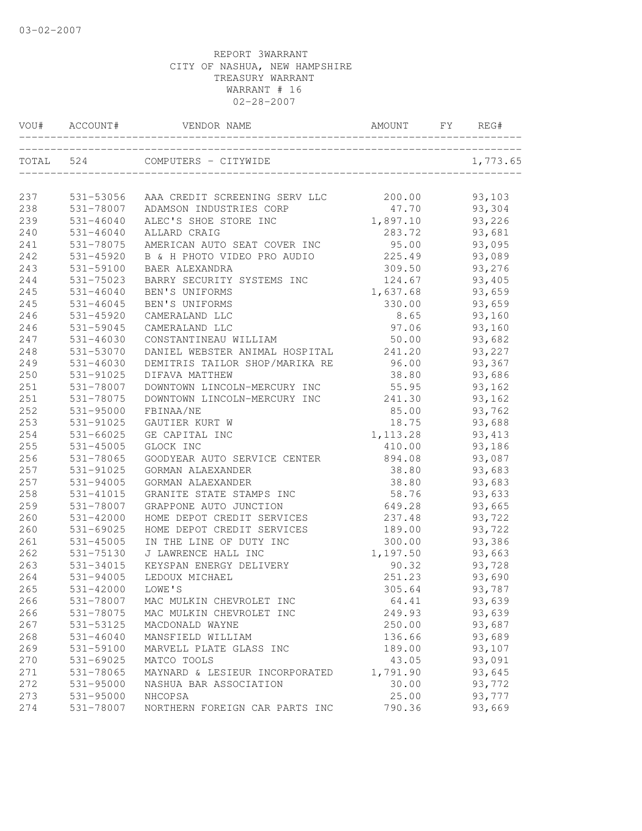|     | VOU# ACCOUNT#    | VENDOR NAME                                                    | AMOUNT    | FY | REG#     |
|-----|------------------|----------------------------------------------------------------|-----------|----|----------|
|     | TOTAL 524        | COMPUTERS - CITYWIDE<br>)E<br>-------------------------------- |           |    | 1,773.65 |
|     |                  |                                                                |           |    |          |
| 237 |                  | 531-53056 AAA CREDIT SCREENING SERV LLC 200.00                 |           |    | 93,103   |
| 238 | 531-78007        | ADAMSON INDUSTRIES CORP                                        | 47.70     |    | 93,304   |
| 239 | 531-46040        | ALEC'S SHOE STORE INC                                          | 1,897.10  |    | 93,226   |
| 240 | 531-46040        | ALLARD CRAIG                                                   | 283.72    |    | 93,681   |
| 241 | 531-78075        | AMERICAN AUTO SEAT COVER INC                                   | 95.00     |    | 93,095   |
| 242 | 531-45920        | B & H PHOTO VIDEO PRO AUDIO                                    | 225.49    |    | 93,089   |
| 243 | 531-59100        | BAER ALEXANDRA                                                 | 309.50    |    | 93,276   |
| 244 | 531-75023        | BARRY SECURITY SYSTEMS INC                                     | 124.67    |    | 93,405   |
| 245 | 531-46040        | BEN'S UNIFORMS                                                 | 1,637.68  |    | 93,659   |
| 245 | 531-46045        | BEN'S UNIFORMS                                                 | 330.00    |    | 93,659   |
| 246 | 531-45920        | CAMERALAND LLC                                                 | 8.65      |    | 93,160   |
| 246 | 531-59045        | CAMERALAND LLC                                                 | 97.06     |    | 93,160   |
| 247 | $531 - 46030$    | CONSTANTINEAU WILLIAM                                          | 50.00     |    | 93,682   |
| 248 | 531-53070        | DANIEL WEBSTER ANIMAL HOSPITAL                                 | 241.20    |    | 93,227   |
| 249 | 531-46030        | DEMITRIS TAILOR SHOP/MARIKA RE                                 | 96.00     |    | 93,367   |
| 250 | 531-91025        | DIFAVA MATTHEW                                                 | 38.80     |    | 93,686   |
| 251 | 531-78007        | DOWNTOWN LINCOLN-MERCURY INC                                   | 55.95     |    | 93,162   |
| 251 | 531-78075        | DOWNTOWN LINCOLN-MERCURY INC                                   | 241.30    |    | 93,162   |
| 252 | 531-95000        | FBINAA/NE                                                      | 85.00     |    | 93,762   |
| 253 | 531-91025        | GAUTIER KURT W                                                 | 18.75     |    | 93,688   |
| 254 | 531-66025        | GE CAPITAL INC                                                 | 1, 113.28 |    | 93, 413  |
| 255 | 531-45005        | GLOCK INC                                                      | 410.00    |    | 93,186   |
| 256 | 531-78065        | GOODYEAR AUTO SERVICE CENTER                                   | 894.08    |    | 93,087   |
| 257 | 531-91025        | GORMAN ALAEXANDER                                              | 38.80     |    | 93,683   |
| 257 | 531-94005        | GORMAN ALAEXANDER                                              | 38.80     |    | 93,683   |
| 258 | 531-41015        | GRANITE STATE STAMPS INC                                       | 58.76     |    | 93,633   |
| 259 | 531-78007        | GRAPPONE AUTO JUNCTION                                         | 649.28    |    | 93,665   |
| 260 | 531-42000        | HOME DEPOT CREDIT SERVICES                                     | 237.48    |    | 93,722   |
| 260 | 531-69025        | HOME DEPOT CREDIT SERVICES                                     | 189.00    |    | 93,722   |
| 261 | 531-45005        | IN THE LINE OF DUTY INC                                        | 300.00    |    | 93,386   |
| 262 | 531-75130        | J LAWRENCE HALL INC                                            | 1,197.50  |    | 93,663   |
| 263 | 531-34015        | KEYSPAN ENERGY DELIVERY                                        | 90.32     |    | 93,728   |
| 264 | 531-94005        | LEDOUX MICHAEL                                                 | 251.23    |    | 93,690   |
| 265 | 531-42000 LOWE'S |                                                                | 305.64    |    | 93,787   |
| 266 | 531-78007        | MAC MULKIN CHEVROLET INC                                       | 64.41     |    | 93,639   |
| 266 | 531-78075        | MAC MULKIN CHEVROLET INC                                       | 249.93    |    | 93,639   |
| 267 | 531-53125        | MACDONALD WAYNE                                                | 250.00    |    | 93,687   |
| 268 | $531 - 46040$    | MANSFIELD WILLIAM                                              | 136.66    |    | 93,689   |
| 269 | 531-59100        | MARVELL PLATE GLASS INC                                        | 189.00    |    | 93,107   |
| 270 | 531-69025        | MATCO TOOLS                                                    | 43.05     |    | 93,091   |
| 271 | 531-78065        | MAYNARD & LESIEUR INCORPORATED                                 | 1,791.90  |    | 93,645   |
| 272 | 531-95000        | NASHUA BAR ASSOCIATION                                         | 30.00     |    | 93,772   |
| 273 | 531-95000        | NHCOPSA                                                        | 25.00     |    | 93,777   |
| 274 | 531-78007        | NORTHERN FOREIGN CAR PARTS INC                                 | 790.36    |    | 93,669   |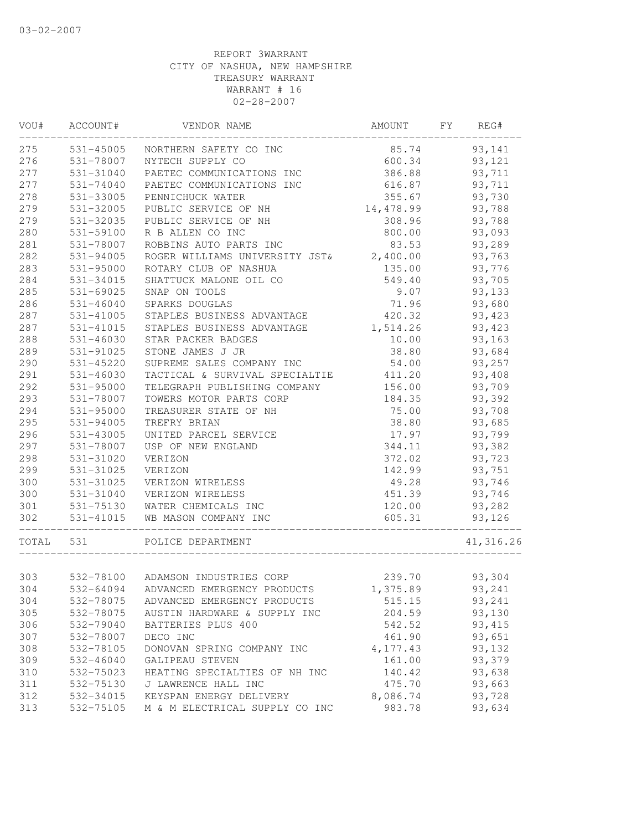| VOU#      | ACCOUNT#      | VENDOR NAME                             | AMOUNT    | FY | REG#       |
|-----------|---------------|-----------------------------------------|-----------|----|------------|
| 275       | 531-45005     | NORTHERN SAFETY CO INC                  | 85.74     |    | 93,141     |
| 276       | 531-78007     | NYTECH SUPPLY CO                        | 600.34    |    | 93,121     |
| 277       | 531-31040     | PAETEC COMMUNICATIONS INC               | 386.88    |    | 93,711     |
| 277       | 531-74040     | PAETEC COMMUNICATIONS INC               | 616.87    |    | 93,711     |
| 278       | 531-33005     | PENNICHUCK WATER                        | 355.67    |    | 93,730     |
| 279       | 531-32005     | PUBLIC SERVICE OF NH                    | 14,478.99 |    | 93,788     |
| 279       | 531-32035     | PUBLIC SERVICE OF NH                    | 308.96    |    | 93,788     |
| 280       | 531-59100     | R B ALLEN CO INC                        | 800.00    |    | 93,093     |
| 281       | 531-78007     | ROBBINS AUTO PARTS INC                  | 83.53     |    | 93,289     |
| 282       | 531-94005     | ROGER WILLIAMS UNIVERSITY JST& 2,400.00 |           |    | 93,763     |
| 283       | 531-95000     | ROTARY CLUB OF NASHUA                   | 135.00    |    | 93,776     |
| 284       | 531-34015     | SHATTUCK MALONE OIL CO                  | 549.40    |    | 93,705     |
| 285       | 531-69025     | SNAP ON TOOLS                           | 9.07      |    | 93,133     |
| 286       | $531 - 46040$ | SPARKS DOUGLAS                          | 71.96     |    | 93,680     |
| 287       | 531-41005     | STAPLES BUSINESS ADVANTAGE              | 420.32    |    | 93,423     |
| 287       | 531-41015     | STAPLES BUSINESS ADVANTAGE              | 1,514.26  |    | 93,423     |
| 288       | 531-46030     | STAR PACKER BADGES                      | 10.00     |    | 93,163     |
| 289       | 531-91025     | STONE JAMES J JR                        | 38.80     |    | 93,684     |
| 290       | 531-45220     | SUPREME SALES COMPANY INC               | 54.00     |    | 93,257     |
| 291       | 531-46030     | TACTICAL & SURVIVAL SPECIALTIE          | 411.20    |    | 93,408     |
| 292       | 531-95000     | TELEGRAPH PUBLISHING COMPANY            | 156.00    |    | 93,709     |
| 293       | 531-78007     | TOWERS MOTOR PARTS CORP                 | 184.35    |    | 93,392     |
| 294       | 531-95000     | TREASURER STATE OF NH                   | 75.00     |    | 93,708     |
| 295       | 531-94005     | TREFRY BRIAN                            | 38.80     |    | 93,685     |
| 296       | 531-43005     | UNITED PARCEL SERVICE                   | 17.97     |    | 93,799     |
| 297       | 531-78007     | USP OF NEW ENGLAND                      | 344.11    |    | 93,382     |
| 298       | 531-31020     | VERIZON                                 | 372.02    |    | 93,723     |
| 299       | 531-31025     | VERIZON                                 | 142.99    |    | 93,751     |
| 300       | 531-31025     | VERIZON WIRELESS                        | 49.28     |    | 93,746     |
| 300       | 531-31040     | VERIZON WIRELESS                        | 451.39    |    | 93,746     |
| 301       | 531-75130     | WATER CHEMICALS INC                     | 120.00    |    | 93,282     |
| 302       | 531-41015     | WB MASON COMPANY INC                    | 605.31    |    | 93,126     |
| TOTAL 531 |               | POLICE DEPARTMENT                       |           |    | 41, 316.26 |
|           |               |                                         |           |    |            |
| 303       |               | 532-78100 ADAMSON INDUSTRIES CORP       | 239.70    |    | 93,304     |
| 304       | 532-64094     | ADVANCED EMERGENCY PRODUCTS             | 1,375.89  |    | 93,241     |
| 304       | 532-78075     | ADVANCED EMERGENCY PRODUCTS             | 515.15    |    | 93,241     |
| 305       | 532-78075     | AUSTIN HARDWARE & SUPPLY INC            | 204.59    |    | 93,130     |
| 306       | 532-79040     | BATTERIES PLUS 400                      | 542.52    |    | 93, 415    |
| 307       | 532-78007     | DECO INC                                | 461.90    |    | 93,651     |
| 308       | 532-78105     | DONOVAN SPRING COMPANY INC              | 4,177.43  |    | 93,132     |
| 309       | $532 - 46040$ | GALIPEAU STEVEN                         | 161.00    |    | 93,379     |
| 310       | 532-75023     | HEATING SPECIALTIES OF NH INC           | 140.42    |    | 93,638     |
| 311       | 532-75130     | J LAWRENCE HALL INC                     | 475.70    |    | 93,663     |
| 312       | 532-34015     | KEYSPAN ENERGY DELIVERY                 | 8,086.74  |    | 93,728     |
| 313       | 532-75105     | M & M ELECTRICAL SUPPLY CO INC          | 983.78    |    | 93,634     |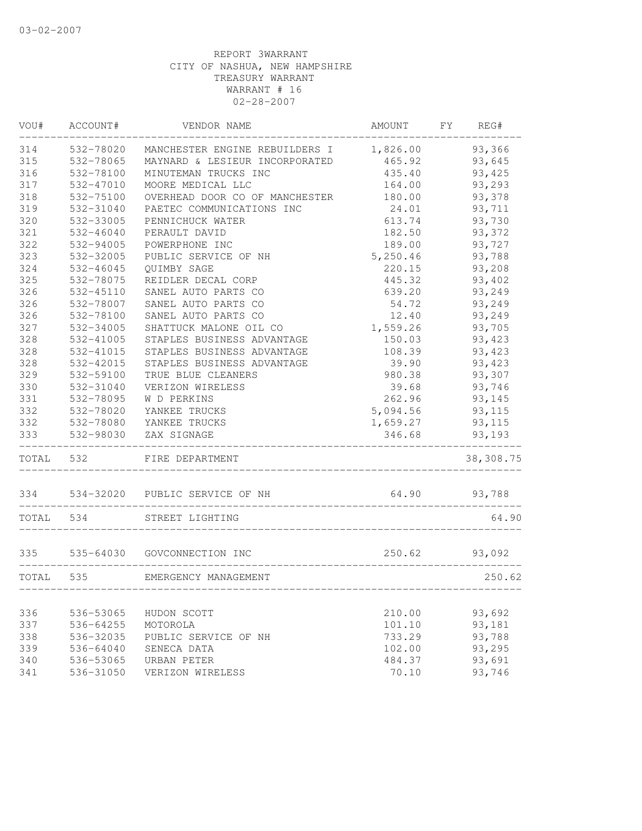| VOU#      | ACCOUNT#  | VENDOR NAME                             | AMOUNT                                | FY | REG#          |
|-----------|-----------|-----------------------------------------|---------------------------------------|----|---------------|
| 314       | 532-78020 | MANCHESTER ENGINE REBUILDERS I 1,826.00 |                                       |    | 93,366        |
| 315       | 532-78065 | MAYNARD & LESIEUR INCORPORATED          | 465.92                                |    | 93,645        |
| 316       | 532-78100 | MINUTEMAN TRUCKS INC                    | 435.40                                |    | 93,425        |
| 317       | 532-47010 | MOORE MEDICAL LLC                       | 164.00                                |    | 93,293        |
| 318       | 532-75100 | OVERHEAD DOOR CO OF MANCHESTER          | 180.00                                |    | 93,378        |
| 319       | 532-31040 | PAETEC COMMUNICATIONS INC               | 24.01                                 |    | 93,711        |
| 320       | 532-33005 | PENNICHUCK WATER                        | 613.74                                |    | 93,730        |
| 321       | 532-46040 | PERAULT DAVID                           | 182.50                                |    | 93,372        |
| 322       | 532-94005 | POWERPHONE INC                          | 189.00                                |    | 93,727        |
| 323       | 532-32005 | PUBLIC SERVICE OF NH                    | 5,250.46                              |    | 93,788        |
| 324       | 532-46045 | <b>OUIMBY SAGE</b>                      | 220.15                                |    | 93,208        |
| 325       | 532-78075 | REIDLER DECAL CORP                      | 445.32                                |    | 93,402        |
| 326       | 532-45110 | SANEL AUTO PARTS CO                     | 639.20                                |    | 93,249        |
| 326       | 532-78007 | SANEL AUTO PARTS CO                     | 54.72                                 |    | 93,249        |
| 326       | 532-78100 | SANEL AUTO PARTS CO                     | 12.40                                 |    | 93,249        |
| 327       | 532-34005 | SHATTUCK MALONE OIL CO                  | 1,559.26                              |    | 93,705        |
| 328       | 532-41005 | STAPLES BUSINESS ADVANTAGE              | 150.03                                |    | 93,423        |
| 328       | 532-41015 | STAPLES BUSINESS ADVANTAGE              | 108.39                                |    | 93,423        |
| 328       | 532-42015 | STAPLES BUSINESS ADVANTAGE              | 39.90                                 |    | 93,423        |
| 329       | 532-59100 | TRUE BLUE CLEANERS                      | 980.38                                |    | 93,307        |
| 330       | 532-31040 | VERIZON WIRELESS                        | 39.68                                 |    | 93,746        |
| 331       | 532-78095 | W D PERKINS                             | 262.96                                |    | 93,145        |
| 332       | 532-78020 | YANKEE TRUCKS                           | 5,094.56                              |    | 93,115        |
| 332       | 532-78080 | YANKEE TRUCKS                           | 1,659.27                              |    | 93, 115       |
| 333       | 532-98030 | ZAX SIGNAGE                             | 346.68                                |    | 93,193        |
| TOTAL 532 |           | FIRE DEPARTMENT                         |                                       |    | 38,308.75     |
|           |           | 334 534-32020 PUBLIC SERVICE OF NH      | 64.90                                 |    | 93,788        |
| TOTAL 534 |           | STREET LIGHTING                         |                                       |    | 64.90         |
|           |           | 335 535-64030 GOVCONNECTION INC         |                                       |    | 250.62 93,092 |
| TOTAL 535 |           | EMERGENCY MANAGEMENT                    |                                       |    | 250.62        |
|           |           |                                         | _____________________________________ |    |               |
| 336       | 536-53065 | HUDON SCOTT                             | 210.00                                |    | 93,692        |
| 337       | 536-64255 | MOTOROLA                                | 101.10                                |    | 93,181        |
| 338       | 536-32035 | PUBLIC SERVICE OF NH                    | 733.29                                |    | 93,788        |
| 339       | 536-64040 | SENECA DATA                             | 102.00                                |    | 93,295        |
| 340       | 536-53065 | URBAN PETER                             | 484.37                                |    | 93,691        |
| 341       | 536-31050 | VERIZON WIRELESS                        | 70.10                                 |    | 93,746        |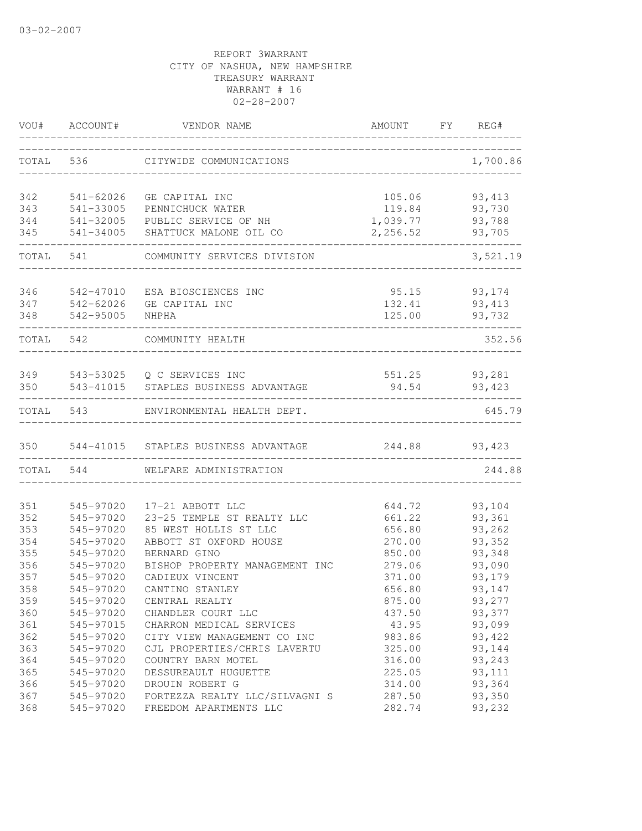| VOU#       | ACCOUNT#               | VENDOR NAME                                              | AMOUNT           | FY | REG#              |
|------------|------------------------|----------------------------------------------------------|------------------|----|-------------------|
| TOTAL      | 536                    | CITYWIDE COMMUNICATIONS                                  |                  |    | 1,700.86          |
| 342        | 541-62026              | GE CAPITAL INC                                           | 105.06           |    | 93, 413           |
| 343        | 541-33005              | PENNICHUCK WATER                                         | 119.84           |    | 93,730            |
| 344        | 541-32005              | PUBLIC SERVICE OF NH                                     | 1,039.77         |    | 93,788            |
| 345        | 541-34005              | SHATTUCK MALONE OIL CO                                   | 2,256.52         |    | 93,705            |
| TOTAL      | 541                    | COMMUNITY SERVICES DIVISION                              |                  |    | 3,521.19          |
| 346        | 542-47010              | ESA BIOSCIENCES INC                                      | 95.15            |    | 93,174            |
| 347        | 542-62026              | GE CAPITAL INC                                           | 132.41           |    | 93, 413           |
| 348        | 542-95005              | NHPHA                                                    | 125.00           |    | 93,732            |
| TOTAL 542  |                        | COMMUNITY HEALTH                                         |                  |    | 352.56            |
|            |                        |                                                          |                  |    |                   |
| 349<br>350 | 543-41015              | 543-53025 Q C SERVICES INC<br>STAPLES BUSINESS ADVANTAGE | 551.25<br>94.54  |    | 93,281<br>93, 423 |
|            |                        |                                                          |                  |    |                   |
| TOTAL      | 543                    | ENVIRONMENTAL HEALTH DEPT.                               |                  |    | 645.79            |
| 350        | 544-41015              | STAPLES BUSINESS ADVANTAGE                               | 244.88           |    | 93,423            |
| TOTAL      | 544                    | WELFARE ADMINISTRATION                                   |                  |    | 244.88            |
|            |                        |                                                          |                  |    |                   |
| 351        | 545-97020              | 17-21 ABBOTT LLC                                         | 644.72           |    | 93,104            |
| 352        | 545-97020              | 23-25 TEMPLE ST REALTY LLC                               | 661.22           |    | 93,361            |
| 353        | 545-97020              | 85 WEST HOLLIS ST LLC                                    | 656.80           |    | 93,262            |
| 354        | 545-97020<br>545-97020 | ABBOTT ST OXFORD HOUSE                                   | 270.00           |    | 93,352            |
| 355<br>356 | 545-97020              | BERNARD GINO                                             | 850.00           |    | 93,348<br>93,090  |
| 357        | 545-97020              | BISHOP PROPERTY MANAGEMENT INC<br>CADIEUX VINCENT        | 279.06<br>371.00 |    |                   |
|            | 545-97020              |                                                          |                  |    | 93,179            |
| 358        |                        | CANTINO STANLEY                                          | 656.80           |    | 93,147            |
| 359        | 545-97020              | CENTRAL REALTY                                           | 875.00           |    | 93,277            |
| 360        | 545-97020              | CHANDLER COURT LLC                                       | 437.50           |    | 93,377            |
| 361        | 545-97015              | CHARRON MEDICAL SERVICES                                 | 43.95            |    | 93,099            |
| 362        | 545-97020              | CITY VIEW MANAGEMENT CO INC                              | 983.86           |    | 93,422            |
| 363        | 545-97020              | CJL PROPERTIES/CHRIS LAVERTU                             | 325.00           |    | 93,144            |
| 364        | 545-97020              | COUNTRY BARN MOTEL                                       | 316.00           |    | 93,243            |
| 365        | 545-97020              | DESSUREAULT HUGUETTE                                     | 225.05           |    | 93, 111           |
| 366        | 545-97020              | DROUIN ROBERT G                                          | 314.00           |    | 93,364            |
| 367        | 545-97020              | FORTEZZA REALTY LLC/SILVAGNI S                           | 287.50           |    | 93,350            |
| 368        | 545-97020              | FREEDOM APARTMENTS LLC                                   | 282.74           |    | 93,232            |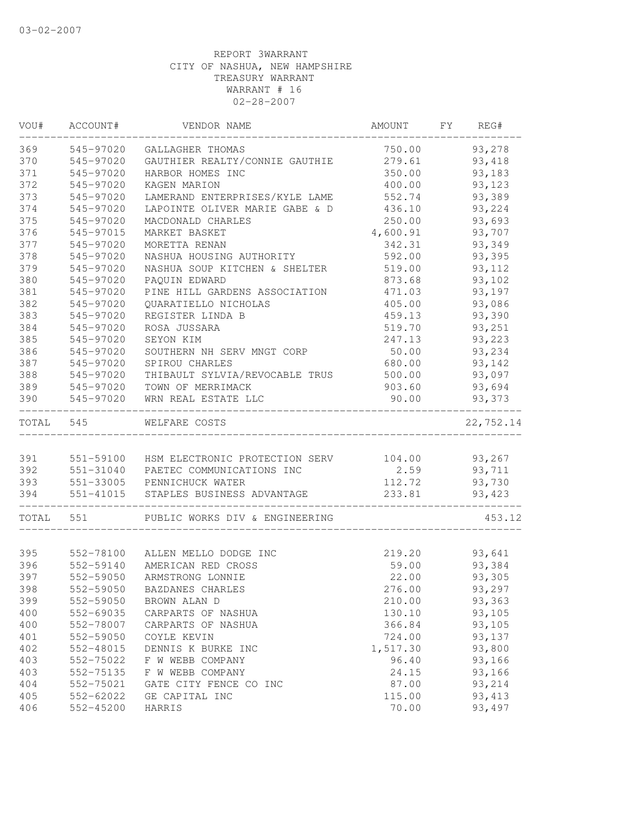| VOU#      | ACCOUNT#  | VENDOR NAME                    | AMOUNT   | FY | REG#             |
|-----------|-----------|--------------------------------|----------|----|------------------|
| 369       | 545-97020 | GALLAGHER THOMAS               | 750.00   |    | 93,278           |
| 370       | 545-97020 | GAUTHIER REALTY/CONNIE GAUTHIE | 279.61   |    | 93, 418          |
| 371       | 545-97020 | HARBOR HOMES INC               | 350.00   |    | 93,183           |
| 372       | 545-97020 | KAGEN MARION                   | 400.00   |    | 93,123           |
| 373       | 545-97020 | LAMERAND ENTERPRISES/KYLE LAME | 552.74   |    | 93,389           |
| 374       | 545-97020 | LAPOINTE OLIVER MARIE GABE & D | 436.10   |    | 93,224           |
| 375       | 545-97020 | MACDONALD CHARLES              | 250.00   |    | 93,693           |
| 376       | 545-97015 | MARKET BASKET                  | 4,600.91 |    | 93,707           |
| 377       | 545-97020 | MORETTA RENAN                  | 342.31   |    | 93,349           |
| 378       | 545-97020 | NASHUA HOUSING AUTHORITY       | 592.00   |    | 93,395           |
| 379       | 545-97020 | NASHUA SOUP KITCHEN & SHELTER  | 519.00   |    | 93, 112          |
| 380       | 545-97020 | PAQUIN EDWARD                  | 873.68   |    | 93,102           |
| 381       | 545-97020 | PINE HILL GARDENS ASSOCIATION  | 471.03   |    | 93,197           |
| 382       | 545-97020 | QUARATIELLO NICHOLAS           | 405.00   |    | 93,086           |
| 383       | 545-97020 | REGISTER LINDA B               | 459.13   |    | 93,390           |
| 384       | 545-97020 | ROSA JUSSARA                   | 519.70   |    | 93,251           |
| 385       | 545-97020 | SEYON KIM                      | 247.13   |    | 93,223           |
| 386       | 545-97020 | SOUTHERN NH SERV MNGT CORP     | 50.00    |    | 93,234           |
| 387       | 545-97020 | SPIROU CHARLES                 | 680.00   |    | 93,142           |
| 388       | 545-97020 | THIBAULT SYLVIA/REVOCABLE TRUS | 500.00   |    | 93,097           |
| 389       | 545-97020 | TOWN OF MERRIMACK              | 903.60   |    | 93,694           |
| 390       | 545-97020 | WRN REAL ESTATE LLC            | 90.00    |    | 93,373           |
| TOTAL 545 |           | WELFARE COSTS                  |          |    | 22,752.14        |
| 391       | 551-59100 | HSM ELECTRONIC PROTECTION SERV | 104.00   |    |                  |
| 392       | 551-31040 | PAETEC COMMUNICATIONS INC      | 2.59     |    | 93,267<br>93,711 |
| 393       |           | 551-33005 PENNICHUCK WATER     | 112.72   |    | 93,730           |
| 394       | 551-41015 | STAPLES BUSINESS ADVANTAGE     | 233.81   |    | 93,423           |
|           |           |                                |          |    |                  |
| TOTAL     | 551       | PUBLIC WORKS DIV & ENGINEERING |          |    | 453.12           |
|           |           |                                |          |    |                  |
| 395       | 552-78100 | ALLEN MELLO DODGE INC          | 219.20   |    | 93,641           |
| 396       | 552-59140 | AMERICAN RED CROSS             | 59.00    |    | 93,384           |
| 397       | 552-59050 | ARMSTRONG LONNIE               | 22.00    |    | 93,305           |
| 398       | 552-59050 | BAZDANES CHARLES               | 276.00   |    | 93,297           |
| 399       | 552-59050 | BROWN ALAN D                   | 210.00   |    | 93,363           |
| 400       | 552-69035 | CARPARTS OF NASHUA             | 130.10   |    | 93,105           |
| 400       | 552-78007 | CARPARTS OF NASHUA             | 366.84   |    | 93,105           |
| 401       | 552-59050 | COYLE KEVIN                    | 724.00   |    | 93,137           |
| 402       | 552-48015 | DENNIS K BURKE INC             | 1,517.30 |    | 93,800           |
| 403       | 552-75022 | F W WEBB COMPANY               | 96.40    |    | 93,166           |
| 403       | 552-75135 | F W WEBB COMPANY               | 24.15    |    | 93,166           |
| 404       | 552-75021 | GATE CITY FENCE CO INC         | 87.00    |    | 93,214           |
| 405       | 552-62022 | GE CAPITAL INC                 | 115.00   |    | 93, 413          |
| 406       | 552-45200 | HARRIS                         | 70.00    |    | 93,497           |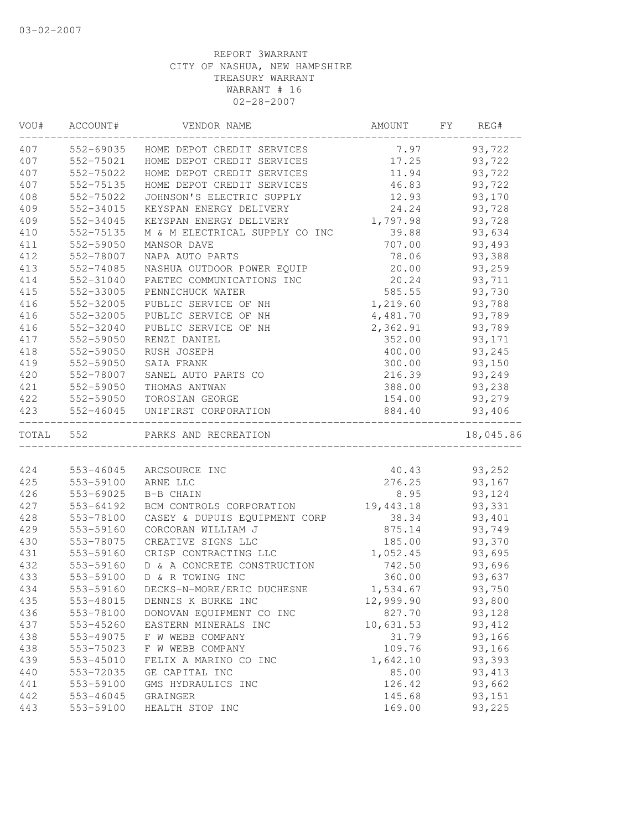| VOU#  | ACCOUNT#  | VENDOR NAME                    | AMOUNT    | FY | REG#      |
|-------|-----------|--------------------------------|-----------|----|-----------|
| 407   | 552-69035 | HOME DEPOT CREDIT SERVICES     | 7.97      |    | 93,722    |
| 407   | 552-75021 | HOME DEPOT CREDIT SERVICES     | 17.25     |    | 93,722    |
| 407   | 552-75022 | HOME DEPOT CREDIT SERVICES     | 11.94     |    | 93,722    |
| 407   | 552-75135 | HOME DEPOT CREDIT SERVICES     | 46.83     |    | 93,722    |
| 408   | 552-75022 | JOHNSON'S ELECTRIC SUPPLY      | 12.93     |    | 93,170    |
| 409   | 552-34015 | KEYSPAN ENERGY DELIVERY        | 24.24     |    | 93,728    |
| 409   | 552-34045 | KEYSPAN ENERGY DELIVERY        | 1,797.98  |    | 93,728    |
| 410   | 552-75135 | M & M ELECTRICAL SUPPLY CO INC | 39.88     |    | 93,634    |
| 411   | 552-59050 | MANSOR DAVE                    | 707.00    |    | 93,493    |
| 412   | 552-78007 | NAPA AUTO PARTS                | 78.06     |    | 93,388    |
| 413   | 552-74085 | NASHUA OUTDOOR POWER EQUIP     | 20.00     |    | 93,259    |
| 414   | 552-31040 | PAETEC COMMUNICATIONS INC      | 20.24     |    | 93,711    |
| 415   | 552-33005 | PENNICHUCK WATER               | 585.55    |    | 93,730    |
| 416   | 552-32005 | PUBLIC SERVICE OF NH           | 1,219.60  |    | 93,788    |
| 416   | 552-32005 | PUBLIC SERVICE OF NH           | 4,481.70  |    | 93,789    |
| 416   | 552-32040 | PUBLIC SERVICE OF NH           | 2,362.91  |    | 93,789    |
| 417   | 552-59050 | RENZI DANIEL                   | 352.00    |    | 93,171    |
| 418   | 552-59050 | RUSH JOSEPH                    | 400.00    |    | 93,245    |
| 419   | 552-59050 | SAIA FRANK                     | 300.00    |    | 93,150    |
| 420   | 552-78007 | SANEL AUTO PARTS CO            | 216.39    |    | 93,249    |
| 421   | 552-59050 | THOMAS ANTWAN                  | 388.00    |    | 93,238    |
| 422   | 552-59050 | TOROSIAN GEORGE                | 154.00    |    | 93,279    |
| 423   | 552-46045 | UNIFIRST CORPORATION           | 884.40    |    | 93,406    |
| TOTAL | 552       | PARKS AND RECREATION           |           |    | 18,045.86 |
|       |           |                                |           |    |           |
| 424   | 553-46045 | ARCSOURCE INC                  | 40.43     |    | 93,252    |
| 425   | 553-59100 | ARNE LLC                       | 276.25    |    | 93,167    |
| 426   | 553-69025 | B-B CHAIN                      | 8.95      |    | 93,124    |
| 427   | 553-64192 | BCM CONTROLS CORPORATION       | 19,443.18 |    | 93,331    |
| 428   | 553-78100 | CASEY & DUPUIS EQUIPMENT CORP  | 38.34     |    | 93,401    |
| 429   | 553-59160 | CORCORAN WILLIAM J             | 875.14    |    | 93,749    |
| 430   | 553-78075 | CREATIVE SIGNS LLC             | 185.00    |    | 93,370    |
| 431   | 553-59160 | CRISP CONTRACTING LLC          | 1,052.45  |    | 93,695    |
| 432   | 553-59160 | D & A CONCRETE CONSTRUCTION    | 742.50    |    | 93,696    |
| 433   | 553-59100 | D & R TOWING INC               | 360.00    |    | 93,637    |
| 434   | 553-59160 | DECKS-N-MORE/ERIC DUCHESNE     | 1,534.67  |    | 93,750    |
| 435   | 553-48015 | DENNIS K BURKE INC             | 12,999.90 |    | 93,800    |
| 436   | 553-78100 | DONOVAN EQUIPMENT CO INC       | 827.70    |    | 93,128    |
| 437   | 553-45260 | EASTERN MINERALS INC           | 10,631.53 |    | 93, 412   |
| 438   | 553-49075 | F W WEBB COMPANY               | 31.79     |    | 93,166    |
| 438   | 553-75023 | F W WEBB COMPANY               | 109.76    |    | 93,166    |
| 439   | 553-45010 | FELIX A MARINO CO INC          | 1,642.10  |    | 93,393    |
| 440   | 553-72035 | GE CAPITAL INC                 | 85.00     |    | 93, 413   |
| 441   | 553-59100 | GMS HYDRAULICS INC             | 126.42    |    | 93,662    |
| 442   | 553-46045 | GRAINGER                       | 145.68    |    | 93,151    |
| 443   | 553-59100 | HEALTH STOP INC                | 169.00    |    | 93,225    |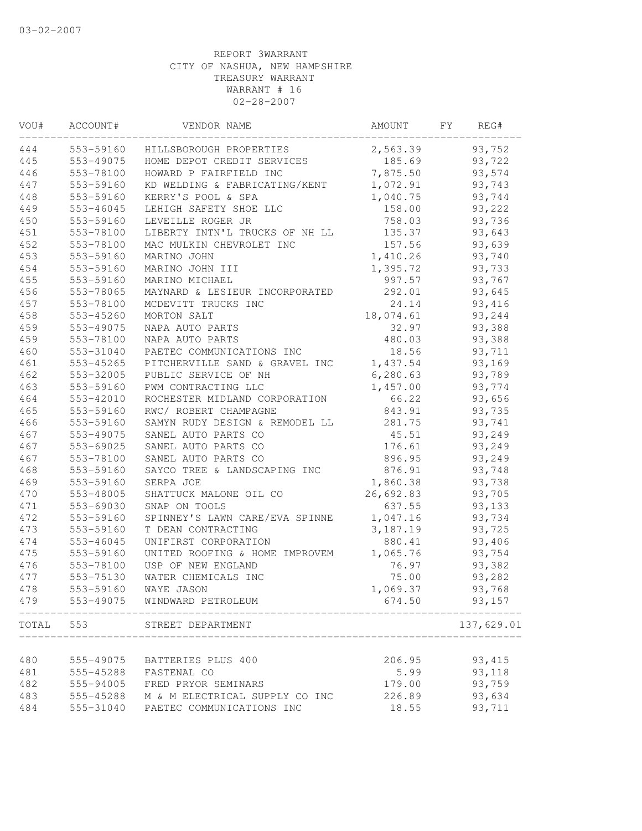| VOU#  | ACCOUNT#  | VENDOR NAME                    | AMOUNT    | FY. | REG#       |
|-------|-----------|--------------------------------|-----------|-----|------------|
| 444   | 553-59160 | HILLSBOROUGH PROPERTIES        | 2,563.39  |     | 93,752     |
| 445   | 553-49075 | HOME DEPOT CREDIT SERVICES     | 185.69    |     | 93,722     |
| 446   | 553-78100 | HOWARD P FAIRFIELD INC         | 7,875.50  |     | 93,574     |
| 447   | 553-59160 | KD WELDING & FABRICATING/KENT  | 1,072.91  |     | 93,743     |
| 448   | 553-59160 | KERRY'S POOL & SPA             | 1,040.75  |     | 93,744     |
| 449   | 553-46045 | LEHIGH SAFETY SHOE LLC         | 158.00    |     | 93,222     |
| 450   | 553-59160 | LEVEILLE ROGER JR              | 758.03    |     | 93,736     |
| 451   | 553-78100 | LIBERTY INTN'L TRUCKS OF NH LL | 135.37    |     | 93,643     |
| 452   | 553-78100 | MAC MULKIN CHEVROLET INC       | 157.56    |     | 93,639     |
| 453   | 553-59160 | MARINO JOHN                    | 1,410.26  |     | 93,740     |
| 454   | 553-59160 | MARINO JOHN III                | 1,395.72  |     | 93,733     |
| 455   | 553-59160 | MARINO MICHAEL                 | 997.57    |     | 93,767     |
| 456   | 553-78065 | MAYNARD & LESIEUR INCORPORATED | 292.01    |     | 93,645     |
| 457   | 553-78100 | MCDEVITT TRUCKS INC            | 24.14     |     | 93,416     |
| 458   | 553-45260 | MORTON SALT                    | 18,074.61 |     | 93,244     |
| 459   | 553-49075 | NAPA AUTO PARTS                | 32.97     |     | 93,388     |
| 459   | 553-78100 | NAPA AUTO PARTS                | 480.03    |     | 93,388     |
| 460   | 553-31040 | PAETEC COMMUNICATIONS INC      | 18.56     |     | 93,711     |
| 461   | 553-45265 | PITCHERVILLE SAND & GRAVEL INC | 1,437.54  |     | 93,169     |
| 462   | 553-32005 | PUBLIC SERVICE OF NH           | 6,280.63  |     | 93,789     |
| 463   | 553-59160 | PWM CONTRACTING LLC            | 1,457.00  |     | 93,774     |
| 464   | 553-42010 | ROCHESTER MIDLAND CORPORATION  | 66.22     |     | 93,656     |
| 465   | 553-59160 | RWC/ ROBERT CHAMPAGNE          | 843.91    |     | 93,735     |
| 466   | 553-59160 | SAMYN RUDY DESIGN & REMODEL LL | 281.75    |     | 93,741     |
| 467   | 553-49075 | SANEL AUTO PARTS CO            | 45.51     |     | 93,249     |
| 467   | 553-69025 | SANEL AUTO PARTS CO            | 176.61    |     | 93,249     |
| 467   | 553-78100 | SANEL AUTO PARTS CO            | 896.95    |     | 93,249     |
| 468   | 553-59160 | SAYCO TREE & LANDSCAPING INC   | 876.91    |     | 93,748     |
| 469   | 553-59160 | SERPA JOE                      | 1,860.38  |     | 93,738     |
| 470   | 553-48005 | SHATTUCK MALONE OIL CO         | 26,692.83 |     | 93,705     |
| 471   | 553-69030 | SNAP ON TOOLS                  | 637.55    |     | 93,133     |
| 472   | 553-59160 | SPINNEY'S LAWN CARE/EVA SPINNE | 1,047.16  |     | 93,734     |
| 473   | 553-59160 | T DEAN CONTRACTING             | 3,187.19  |     | 93,725     |
| 474   | 553-46045 | UNIFIRST CORPORATION           | 880.41    |     | 93,406     |
| 475   | 553-59160 | UNITED ROOFING & HOME IMPROVEM | 1,065.76  |     | 93,754     |
| 476   | 553-78100 | USP OF NEW ENGLAND             | 76.97     |     | 93,382     |
| 477   | 553-75130 | WATER CHEMICALS INC            | 75.00     |     | 93,282     |
| 478   | 553-59160 | WAYE JASON                     | 1,069.37  |     | 93,768     |
| 479   | 553-49075 | WINDWARD PETROLEUM             | 674.50    |     | 93,157     |
| TOTAL | 553       | STREET DEPARTMENT              |           |     | 137,629.01 |
|       |           |                                |           |     |            |
| 480   | 555-49075 | BATTERIES PLUS 400             | 206.95    |     | 93, 415    |
| 481   | 555-45288 | FASTENAL CO                    | 5.99      |     | 93,118     |
| 482   | 555-94005 | FRED PRYOR SEMINARS            | 179.00    |     | 93,759     |
| 483   | 555-45288 | M & M ELECTRICAL SUPPLY CO INC | 226.89    |     | 93,634     |
| 484   | 555-31040 | PAETEC COMMUNICATIONS INC      | 18.55     |     | 93,711     |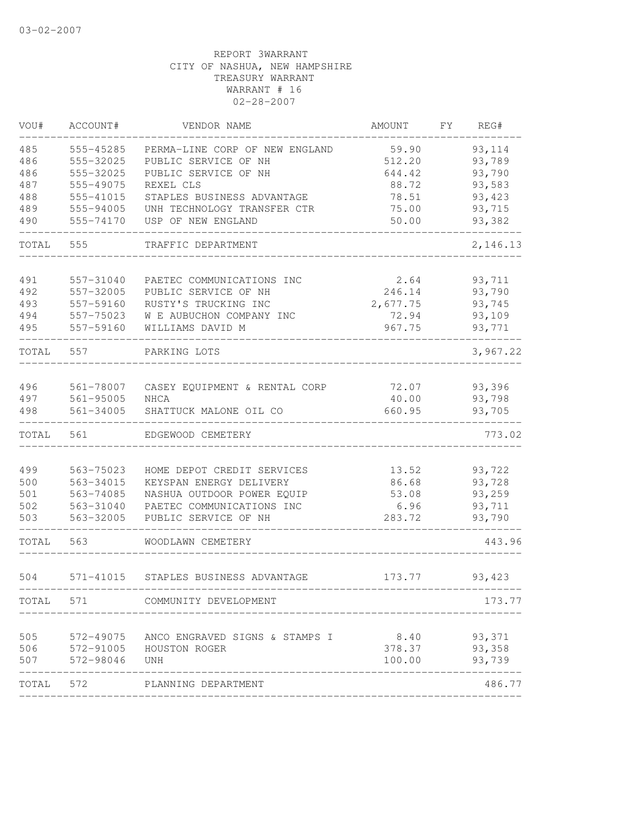| VOU#       | ACCOUNT#               | VENDOR NAME                                       | AMOUNT         | FY. | REG#             |
|------------|------------------------|---------------------------------------------------|----------------|-----|------------------|
| 485        | 555-45285              | PERMA-LINE CORP OF NEW ENGLAND                    | 59.90          |     | 93,114           |
| 486        | 555-32025              | PUBLIC SERVICE OF NH                              | 512.20         |     | 93,789           |
| 486        | 555-32025              | PUBLIC SERVICE OF NH                              | 644.42         |     | 93,790           |
| 487        | 555-49075              | REXEL CLS                                         | 88.72          |     | 93,583           |
| 488        | 555-41015              | STAPLES BUSINESS ADVANTAGE                        | 78.51          |     | 93,423           |
| 489        | 555-94005              | UNH TECHNOLOGY TRANSFER CTR                       | 75.00          |     | 93,715           |
| 490        | 555-74170              | USP OF NEW ENGLAND                                | 50.00          |     | 93,382           |
| TOTAL      | 555                    | TRAFFIC DEPARTMENT                                |                |     | 2,146.13         |
| 491        | 557-31040              | PAETEC COMMUNICATIONS INC                         | 2.64           |     | 93,711           |
| 492        | 557-32005              | PUBLIC SERVICE OF NH                              | 246.14         |     | 93,790           |
| 493        | 557-59160              | RUSTY'S TRUCKING INC                              | 2,677.75       |     | 93,745           |
| 494        | 557-75023              | W E AUBUCHON COMPANY INC                          | 72.94          |     | 93,109           |
| 495        | 557-59160              | WILLIAMS DAVID M                                  | 967.75         |     | 93,771           |
| TOTAL      | 557                    | PARKING LOTS                                      |                |     | 3,967.22         |
|            |                        |                                                   |                |     |                  |
| 496        | 561-78007              | CASEY EQUIPMENT & RENTAL CORP                     | 72.07          |     | 93,396           |
| 497        | 561-95005              | <b>NHCA</b>                                       | 40.00          |     | 93,798           |
| 498        | 561-34005              | SHATTUCK MALONE OIL CO                            | 660.95         |     | 93,705           |
| TOTAL      | 561                    | EDGEWOOD CEMETERY                                 |                |     | 773.02           |
|            |                        |                                                   |                |     |                  |
| 499        | 563-75023              | HOME DEPOT CREDIT SERVICES                        | 13.52          |     | 93,722           |
| 500        | 563-34015              | KEYSPAN ENERGY DELIVERY                           | 86.68          |     | 93,728           |
| 501        | 563-74085              | NASHUA OUTDOOR POWER EQUIP                        | 53.08          |     | 93,259           |
| 502<br>503 | 563-31040<br>563-32005 | PAETEC COMMUNICATIONS INC<br>PUBLIC SERVICE OF NH | 6.96<br>283.72 |     | 93,711<br>93,790 |
| TOTAL      | 563                    | WOODLAWN CEMETERY                                 |                |     | 443.96           |
|            |                        |                                                   |                |     |                  |
| 504        | 571-41015              | STAPLES BUSINESS ADVANTAGE                        | 173.77         |     | 93,423           |
| TOTAL      | 571                    | COMMUNITY DEVELOPMENT                             |                |     | 173.77           |
| 505        |                        | 572-49075 ANCO ENGRAVED SIGNS & STAMPS I          | 8.40 93,371    |     |                  |
| 506        |                        | 572-91005 HOUSTON ROGER                           |                |     | 378.37 93,358    |
| 507        | 572-98046 UNH          |                                                   | 100.00         |     | 93,739           |
| TOTAL 572  |                        | PLANNING DEPARTMENT                               |                |     | 486.77           |
|            |                        |                                                   |                |     |                  |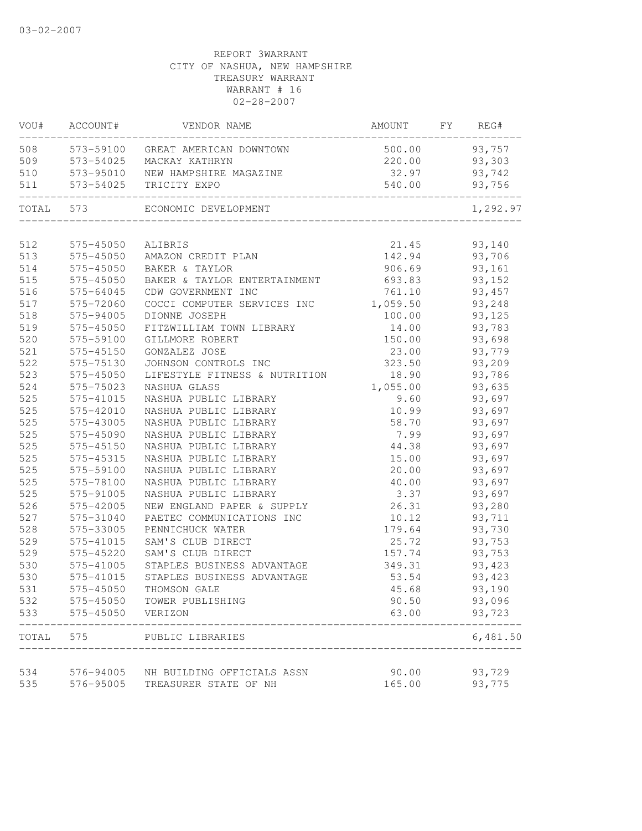| VOU#  | ACCOUNT#               | VENDOR NAME                                        | AMOUNT           | FY | REG#             |
|-------|------------------------|----------------------------------------------------|------------------|----|------------------|
| 508   |                        | 573-59100 GREAT AMERICAN DOWNTOWN                  | 500.00           |    | 93,757           |
| 509   | 573-54025              | MACKAY KATHRYN                                     | 220.00           |    | 93,303           |
| 510   | 573-95010              | NEW HAMPSHIRE MAGAZINE                             | 32.97            |    | 93,742           |
| 511   | 573-54025              | TRICITY EXPO                                       | 540.00           |    | 93,756           |
| TOTAL | 573                    | ECONOMIC DEVELOPMENT                               |                  |    | 1,292.97         |
| 512   |                        |                                                    | 21.45            |    |                  |
| 513   | 575-45050<br>575-45050 | ALIBRIS                                            | 142.94           |    | 93,140<br>93,706 |
| 514   | 575-45050              | AMAZON CREDIT PLAN<br>BAKER & TAYLOR               | 906.69           |    |                  |
| 515   | 575-45050              |                                                    |                  |    | 93,161           |
| 516   | 575-64045              | BAKER & TAYLOR ENTERTAINMENT<br>CDW GOVERNMENT INC | 693.83<br>761.10 |    | 93,152<br>93,457 |
| 517   | 575-72060              |                                                    |                  |    |                  |
|       |                        | COCCI COMPUTER SERVICES INC                        | 1,059.50         |    | 93,248           |
| 518   | 575-94005              | DIONNE JOSEPH                                      | 100.00           |    | 93,125           |
| 519   | 575-45050              | FITZWILLIAM TOWN LIBRARY                           | 14.00            |    | 93,783           |
| 520   | 575-59100              | GILLMORE ROBERT                                    | 150.00           |    | 93,698           |
| 521   | 575-45150              | GONZALEZ JOSE                                      | 23.00            |    | 93,779           |
| 522   | 575-75130              | JOHNSON CONTROLS INC                               | 323.50           |    | 93,209           |
| 523   | 575-45050              | LIFESTYLE FITNESS & NUTRITION                      | 18.90            |    | 93,786           |
| 524   | 575-75023              | NASHUA GLASS                                       | 1,055.00         |    | 93,635           |
| 525   | 575-41015              | NASHUA PUBLIC LIBRARY                              | 9.60             |    | 93,697           |
| 525   | 575-42010              | NASHUA PUBLIC LIBRARY                              | 10.99            |    | 93,697           |
| 525   | 575-43005              | NASHUA PUBLIC LIBRARY                              | 58.70            |    | 93,697           |
| 525   | 575-45090              | NASHUA PUBLIC LIBRARY                              | 7.99             |    | 93,697           |
| 525   | 575-45150              | NASHUA PUBLIC LIBRARY                              | 44.38            |    | 93,697           |
| 525   | 575-45315              | NASHUA PUBLIC LIBRARY                              | 15.00            |    | 93,697           |
| 525   | 575-59100              | NASHUA PUBLIC LIBRARY                              | 20.00            |    | 93,697           |
| 525   | 575-78100              | NASHUA PUBLIC LIBRARY                              | 40.00            |    | 93,697           |
| 525   | 575-91005              | NASHUA PUBLIC LIBRARY                              | 3.37             |    | 93,697           |
| 526   | 575-42005              | NEW ENGLAND PAPER & SUPPLY                         | 26.31            |    | 93,280           |
| 527   | 575-31040              | PAETEC COMMUNICATIONS INC                          | 10.12            |    | 93,711           |
| 528   | 575-33005              | PENNICHUCK WATER                                   | 179.64           |    | 93,730           |
| 529   | 575-41015              | SAM'S CLUB DIRECT                                  | 25.72            |    | 93,753           |
| 529   | 575-45220              | SAM'S CLUB DIRECT                                  | 157.74           |    | 93,753           |
| 530   | 575-41005              | STAPLES BUSINESS ADVANTAGE                         | 349.31           |    | 93,423           |
| 530   | 575-41015              | STAPLES BUSINESS ADVANTAGE                         | 53.54            |    | 93,423           |
| 531   | 575-45050              | THOMSON GALE                                       | 45.68            |    | 93,190           |
| 532   |                        | 575-45050 TOWER PUBLISHING                         | 90.50            |    | 93,096           |
| 533   | 575-45050              | VERIZON                                            | 63.00            |    | 93,723           |
| TOTAL | 575                    | PUBLIC LIBRARIES                                   |                  |    | 6,481.50         |
|       |                        |                                                    |                  |    |                  |
| 534   | 576-94005              | NH BUILDING OFFICIALS ASSN                         | 90.00            |    | 93,729           |
| 535   | 576-95005              | TREASURER STATE OF NH                              | 165.00           |    | 93,775           |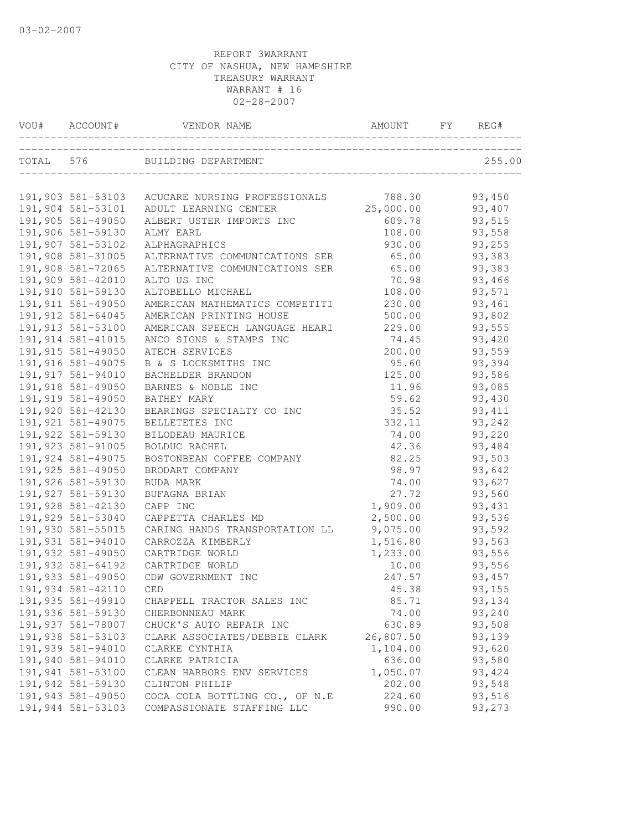| VOU# ACCOUNT#      | VENDOR NAME                                     | AMOUNT    | FY | REG#    |
|--------------------|-------------------------------------------------|-----------|----|---------|
|                    | TOTAL 576 BUILDING DEPARTMENT                   |           |    | 255.00  |
|                    |                                                 |           |    |         |
|                    | 191,903 581-53103 ACUCARE NURSING PROFESSIONALS | 788.30    |    | 93,450  |
| 191,904 581-53101  | ADULT LEARNING CENTER                           | 25,000.00 |    | 93,407  |
| 191,905 581-49050  | ALBERT USTER IMPORTS INC                        | 609.78    |    | 93,515  |
| 191,906 581-59130  | ALMY EARL                                       | 108.00    |    | 93,558  |
| 191,907 581-53102  | ALPHAGRAPHICS                                   | 930.00    |    | 93,255  |
| 191,908 581-31005  | ALTERNATIVE COMMUNICATIONS SER                  | 65.00     |    | 93,383  |
| 191,908 581-72065  | ALTERNATIVE COMMUNICATIONS SER                  | 65.00     |    | 93,383  |
| 191,909 581-42010  | ALTO US INC                                     | 70.98     |    | 93,466  |
| 191,910 581-59130  | ALTOBELLO MICHAEL                               | 108.00    |    | 93,571  |
| 191, 911 581-49050 | AMERICAN MATHEMATICS COMPETITI                  | 230.00    |    | 93,461  |
| 191, 912 581-64045 | AMERICAN PRINTING HOUSE                         | 500.00    |    | 93,802  |
| 191, 913 581-53100 | AMERICAN SPEECH LANGUAGE HEARI                  | 229.00    |    | 93,555  |
| 191, 914 581-41015 | ANCO SIGNS & STAMPS INC                         | 74.45     |    | 93,420  |
| 191, 915 581-49050 | ATECH SERVICES                                  | 200.00    |    | 93,559  |
| 191,916 581-49075  | B & S LOCKSMITHS INC                            | 95.60     |    | 93,394  |
| 191, 917 581-94010 | BACHELDER BRANDON                               | 125.00    |    | 93,586  |
| 191,918 581-49050  | BARNES & NOBLE INC                              | 11.96     |    | 93,085  |
| 191,919 581-49050  | BATHEY MARY                                     | 59.62     |    | 93,430  |
| 191,920 581-42130  | BEARINGS SPECIALTY CO INC                       | 35.52     |    | 93, 411 |
| 191, 921 581-49075 | BELLETETES INC                                  | 332.11    |    | 93,242  |
| 191,922 581-59130  | BILODEAU MAURICE                                | 74.00     |    | 93,220  |
| 191, 923 581-91005 | BOLDUC RACHEL                                   | 42.36     |    | 93,484  |
| 191,924 581-49075  | BOSTONBEAN COFFEE COMPANY                       | 82.25     |    | 93,503  |
| 191, 925 581-49050 | BRODART COMPANY                                 | 98.97     |    | 93,642  |
| 191,926 581-59130  | BUDA MARK                                       | 74.00     |    | 93,627  |
| 191,927 581-59130  | BUFAGNA BRIAN                                   | 27.72     |    | 93,560  |
| 191,928 581-42130  | CAPP INC                                        | 1,909.00  |    | 93,431  |
| 191,929 581-53040  | CAPPETTA CHARLES MD                             | 2,500.00  |    | 93,536  |
| 191,930 581-55015  | CARING HANDS TRANSPORTATION LL                  | 9,075.00  |    | 93,592  |
| 191,931 581-94010  | CARROZZA KIMBERLY                               | 1,516.80  |    | 93,563  |
| 191,932 581-49050  | CARTRIDGE WORLD                                 | 1,233.00  |    | 93,556  |
| 191,932 581-64192  | CARTRIDGE WORLD                                 | 10.00     |    | 93,556  |
| 191,933 581-49050  | CDW GOVERNMENT INC                              | 247.57    |    | 93,457  |
| 191,934 581-42110  | CED                                             | 45.38     |    | 93,155  |
| 191, 935 581-49910 | CHAPPELL TRACTOR SALES INC                      | 85.71     |    | 93,134  |
| 191,936 581-59130  | CHERBONNEAU MARK                                | 74.00     |    | 93,240  |
| 191,937 581-78007  | CHUCK'S AUTO REPAIR INC                         | 630.89    |    | 93,508  |
| 191,938 581-53103  | CLARK ASSOCIATES/DEBBIE CLARK                   | 26,807.50 |    | 93,139  |
| 191,939 581-94010  | CLARKE CYNTHIA                                  | 1,104.00  |    | 93,620  |
| 191,940 581-94010  | CLARKE PATRICIA                                 | 636.00    |    | 93,580  |
| 191,941 581-53100  | CLEAN HARBORS ENV SERVICES                      | 1,050.07  |    | 93, 424 |
| 191,942 581-59130  | CLINTON PHILIP                                  | 202.00    |    | 93,548  |
| 191,943 581-49050  | COCA COLA BOTTLING CO., OF N.E                  |           |    |         |
|                    |                                                 | 224.60    |    | 93,516  |
| 191,944 581-53103  | COMPASSIONATE STAFFING LLC                      | 990.00    |    | 93,273  |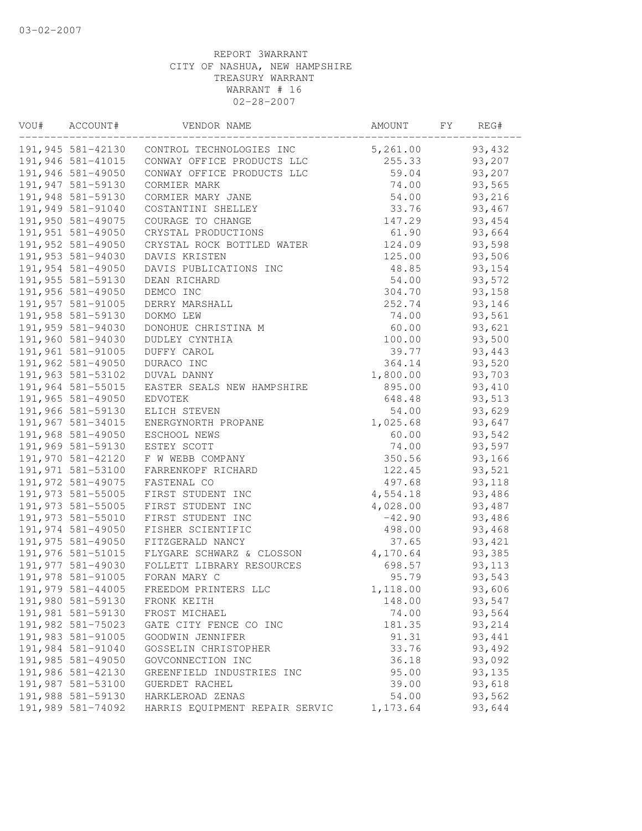| VOU# | ACCOUNT#           | VENDOR NAME                                  | AMOUNT   | FY | REG#    |
|------|--------------------|----------------------------------------------|----------|----|---------|
|      |                    | 191,945 581-42130 CONTROL TECHNOLOGIES INC   | 5,261.00 |    | 93,432  |
|      |                    | 191,946 581-41015 CONWAY OFFICE PRODUCTS LLC | 255.33   |    | 93,207  |
|      | 191,946 581-49050  | CONWAY OFFICE PRODUCTS LLC                   | 59.04    |    | 93,207  |
|      | 191, 947 581-59130 | CORMIER MARK                                 | 74.00    |    | 93,565  |
|      | 191,948 581-59130  | CORMIER MARY JANE                            | 54.00    |    | 93,216  |
|      | 191,949 581-91040  | COSTANTINI SHELLEY                           | 33.76    |    | 93,467  |
|      | 191,950 581-49075  | COURAGE TO CHANGE                            | 147.29   |    | 93,454  |
|      | 191,951 581-49050  | CRYSTAL PRODUCTIONS                          | 61.90    |    | 93,664  |
|      | 191,952 581-49050  | CRYSTAL ROCK BOTTLED WATER                   | 124.09   |    | 93,598  |
|      | 191,953 581-94030  | DAVIS KRISTEN                                | 125.00   |    | 93,506  |
|      | 191,954 581-49050  | DAVIS PUBLICATIONS INC                       | 48.85    |    | 93,154  |
|      | 191,955 581-59130  | DEAN RICHARD                                 | 54.00    |    | 93,572  |
|      | 191,956 581-49050  | DEMCO INC                                    | 304.70   |    | 93,158  |
|      | 191,957 581-91005  | DERRY MARSHALL                               | 252.74   |    | 93,146  |
|      | 191,958 581-59130  | DOKMO LEW                                    | 74.00    |    | 93,561  |
|      | 191,959 581-94030  | DONOHUE CHRISTINA M                          | 60.00    |    | 93,621  |
|      | 191,960 581-94030  | DUDLEY CYNTHIA                               | 100.00   |    | 93,500  |
|      | 191,961 581-91005  | DUFFY CAROL                                  | 39.77    |    | 93,443  |
|      | 191,962 581-49050  | DURACO INC                                   | 364.14   |    | 93,520  |
|      | 191,963 581-53102  | DUVAL DANNY                                  | 1,800.00 |    | 93,703  |
|      | 191,964 581-55015  | EASTER SEALS NEW HAMPSHIRE                   | 895.00   |    | 93,410  |
|      | 191,965 581-49050  | EDVOTEK                                      | 648.48   |    | 93,513  |
|      | 191,966 581-59130  | ELICH STEVEN                                 | 54.00    |    | 93,629  |
|      | 191,967 581-34015  | ENERGYNORTH PROPANE                          | 1,025.68 |    | 93,647  |
|      | 191,968 581-49050  | ESCHOOL NEWS                                 | 60.00    |    | 93,542  |
|      | 191,969 581-59130  | ESTEY SCOTT                                  | 74.00    |    | 93,597  |
|      | 191,970 581-42120  | F W WEBB COMPANY                             | 350.56   |    | 93,166  |
|      | 191,971 581-53100  | FARRENKOPF RICHARD                           | 122.45   |    | 93,521  |
|      | 191,972 581-49075  | FASTENAL CO                                  | 497.68   |    | 93,118  |
|      | 191,973 581-55005  | FIRST STUDENT INC                            | 4,554.18 |    | 93,486  |
|      | 191, 973 581-55005 | FIRST STUDENT INC                            | 4,028.00 |    | 93,487  |
|      | 191, 973 581-55010 | FIRST STUDENT INC                            | $-42.90$ |    | 93,486  |
|      | 191,974 581-49050  | FISHER SCIENTIFIC                            | 498.00   |    | 93,468  |
|      | 191,975 581-49050  | FITZGERALD NANCY                             | 37.65    |    | 93,421  |
|      | 191,976 581-51015  | FLYGARE SCHWARZ & CLOSSON                    | 4,170.64 |    | 93,385  |
|      | 191,977 581-49030  | FOLLETT LIBRARY RESOURCES                    | 698.57   |    | 93, 113 |
|      | 191,978 581-91005  | FORAN MARY C                                 | 95.79    |    | 93,543  |
|      | 191,979 581-44005  | FREEDOM PRINTERS LLC                         | 1,118.00 |    | 93,606  |
|      | 191,980 581-59130  | FRONK KEITH                                  | 148.00   |    | 93,547  |
|      | 191,981 581-59130  | FROST MICHAEL                                | 74.00    |    | 93,564  |
|      | 191,982 581-75023  | GATE CITY FENCE CO INC                       | 181.35   |    | 93,214  |
|      | 191,983 581-91005  | GOODWIN JENNIFER                             | 91.31    |    | 93,441  |
|      | 191,984 581-91040  | GOSSELIN CHRISTOPHER                         | 33.76    |    | 93,492  |
|      | 191,985 581-49050  | GOVCONNECTION INC                            | 36.18    |    | 93,092  |
|      | 191,986 581-42130  | GREENFIELD INDUSTRIES INC                    | 95.00    |    | 93,135  |
|      | 191,987 581-53100  | GUERDET RACHEL                               | 39.00    |    | 93,618  |
|      | 191,988 581-59130  | HARKLEROAD ZENAS                             | 54.00    |    | 93,562  |
|      | 191,989 581-74092  | HARRIS EQUIPMENT REPAIR SERVIC               | 1,173.64 |    | 93,644  |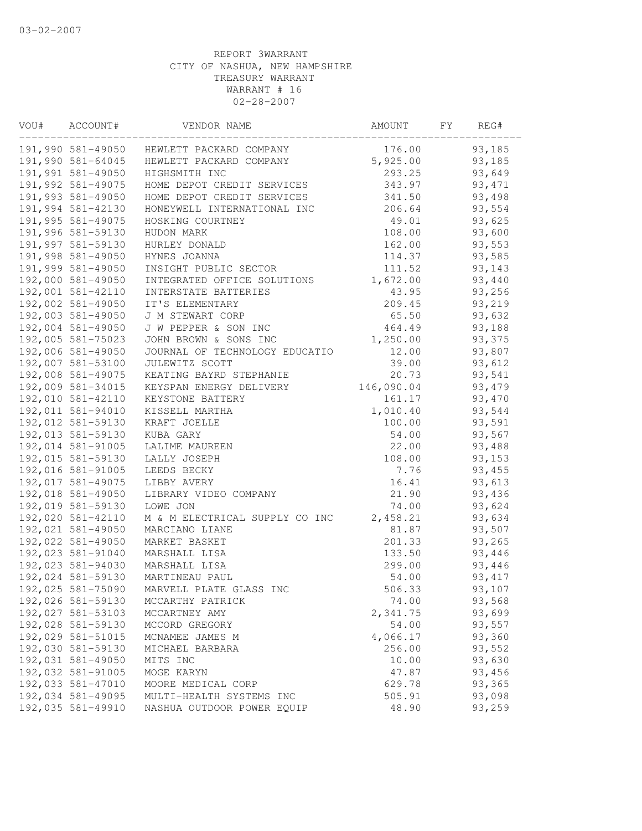| VOU# | ACCOUNT#          | VENDOR NAME                               | AMOUNT     | FΥ | REG#    |
|------|-------------------|-------------------------------------------|------------|----|---------|
|      |                   | 191,990 581-49050 HEWLETT PACKARD COMPANY | 176.00     |    | 93,185  |
|      | 191,990 581-64045 | HEWLETT PACKARD COMPANY                   | 5,925.00   |    | 93,185  |
|      | 191,991 581-49050 | HIGHSMITH INC                             | 293.25     |    | 93,649  |
|      | 191,992 581-49075 | HOME DEPOT CREDIT SERVICES                | 343.97     |    | 93, 471 |
|      | 191,993 581-49050 | HOME DEPOT CREDIT SERVICES                | 341.50     |    | 93,498  |
|      | 191,994 581-42130 | HONEYWELL INTERNATIONAL INC               | 206.64     |    | 93,554  |
|      | 191,995 581-49075 | HOSKING COURTNEY                          | 49.01      |    | 93,625  |
|      | 191,996 581-59130 | HUDON MARK                                | 108.00     |    | 93,600  |
|      | 191,997 581-59130 | HURLEY DONALD                             | 162.00     |    | 93,553  |
|      | 191,998 581-49050 | HYNES JOANNA                              | 114.37     |    | 93,585  |
|      | 191,999 581-49050 | INSIGHT PUBLIC SECTOR                     | 111.52     |    | 93,143  |
|      | 192,000 581-49050 | INTEGRATED OFFICE SOLUTIONS               | 1,672.00   |    | 93,440  |
|      | 192,001 581-42110 | INTERSTATE BATTERIES                      | 43.95      |    | 93,256  |
|      | 192,002 581-49050 | IT'S ELEMENTARY                           | 209.45     |    | 93,219  |
|      | 192,003 581-49050 | J M STEWART CORP                          | 65.50      |    | 93,632  |
|      | 192,004 581-49050 | J W PEPPER & SON INC                      | 464.49     |    | 93,188  |
|      | 192,005 581-75023 | JOHN BROWN & SONS INC                     | 1,250.00   |    | 93,375  |
|      | 192,006 581-49050 | JOURNAL OF TECHNOLOGY EDUCATIO            | 12.00      |    | 93,807  |
|      | 192,007 581-53100 | JULEWITZ SCOTT                            | 39.00      |    | 93,612  |
|      | 192,008 581-49075 | KEATING BAYRD STEPHANIE                   | 20.73      |    | 93,541  |
|      | 192,009 581-34015 | KEYSPAN ENERGY DELIVERY                   | 146,090.04 |    | 93,479  |
|      | 192,010 581-42110 | KEYSTONE BATTERY                          | 161.17     |    | 93,470  |
|      | 192,011 581-94010 | KISSELL MARTHA                            | 1,010.40   |    | 93,544  |
|      | 192,012 581-59130 | KRAFT JOELLE                              | 100.00     |    | 93,591  |
|      | 192,013 581-59130 | KUBA GARY                                 | 54.00      |    | 93,567  |
|      | 192,014 581-91005 | LALIME MAUREEN                            | 22.00      |    | 93,488  |
|      | 192,015 581-59130 | LALLY JOSEPH                              | 108.00     |    | 93,153  |
|      | 192,016 581-91005 | LEEDS BECKY                               | 7.76       |    | 93,455  |
|      | 192,017 581-49075 | LIBBY AVERY                               | 16.41      |    | 93,613  |
|      | 192,018 581-49050 | LIBRARY VIDEO COMPANY                     | 21.90      |    | 93,436  |
|      | 192,019 581-59130 | LOWE JON                                  | 74.00      |    | 93,624  |
|      | 192,020 581-42110 | M & M ELECTRICAL SUPPLY CO INC            | 2,458.21   |    | 93,634  |
|      | 192,021 581-49050 | MARCIANO LIANE                            | 81.87      |    | 93,507  |
|      | 192,022 581-49050 | MARKET BASKET                             | 201.33     |    | 93,265  |
|      | 192,023 581-91040 | MARSHALL LISA                             | 133.50     |    | 93,446  |
|      | 192,023 581-94030 | MARSHALL LISA                             | 299.00     |    | 93,446  |
|      | 192,024 581-59130 | MARTINEAU PAUL                            | 54.00      |    | 93, 417 |
|      | 192,025 581-75090 | MARVELL PLATE GLASS INC                   | 506.33     |    | 93,107  |
|      | 192,026 581-59130 | MCCARTHY PATRICK                          | 74.00      |    | 93,568  |
|      | 192,027 581-53103 | MCCARTNEY AMY                             | 2,341.75   |    | 93,699  |
|      | 192,028 581-59130 | MCCORD GREGORY                            | 54.00      |    | 93,557  |
|      | 192,029 581-51015 | MCNAMEE JAMES M                           | 4,066.17   |    | 93,360  |
|      | 192,030 581-59130 | MICHAEL BARBARA                           | 256.00     |    | 93,552  |
|      | 192,031 581-49050 | MITS INC                                  | 10.00      |    | 93,630  |
|      | 192,032 581-91005 | MOGE KARYN                                | 47.87      |    | 93,456  |
|      | 192,033 581-47010 | MOORE MEDICAL CORP                        | 629.78     |    | 93,365  |
|      | 192,034 581-49095 | MULTI-HEALTH SYSTEMS INC                  | 505.91     |    | 93,098  |
|      | 192,035 581-49910 | NASHUA OUTDOOR POWER EQUIP                | 48.90      |    | 93,259  |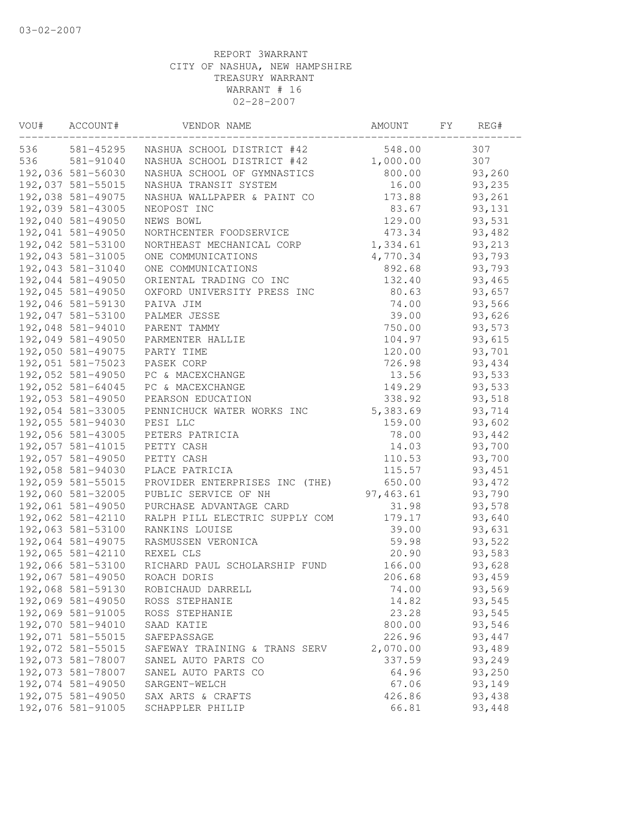| VOU# | ACCOUNT#          | VENDOR NAME                    | AMOUNT    | FΥ | REG#    |  |
|------|-------------------|--------------------------------|-----------|----|---------|--|
| 536  | 581-45295         | NASHUA SCHOOL DISTRICT #42     | 548.00    |    | 307     |  |
| 536  | 581-91040         | NASHUA SCHOOL DISTRICT #42     | 1,000.00  |    | 307     |  |
|      | 192,036 581-56030 | NASHUA SCHOOL OF GYMNASTICS    | 800.00    |    | 93,260  |  |
|      | 192,037 581-55015 | NASHUA TRANSIT SYSTEM          | 16.00     |    | 93,235  |  |
|      | 192,038 581-49075 | NASHUA WALLPAPER & PAINT CO    | 173.88    |    | 93,261  |  |
|      | 192,039 581-43005 | NEOPOST INC                    | 83.67     |    | 93,131  |  |
|      | 192,040 581-49050 | NEWS BOWL                      | 129.00    |    | 93,531  |  |
|      | 192,041 581-49050 | NORTHCENTER FOODSERVICE        | 473.34    |    | 93,482  |  |
|      | 192,042 581-53100 | NORTHEAST MECHANICAL CORP      | 1,334.61  |    | 93,213  |  |
|      | 192,043 581-31005 | ONE COMMUNICATIONS             | 4,770.34  |    | 93,793  |  |
|      | 192,043 581-31040 | ONE COMMUNICATIONS             | 892.68    |    | 93,793  |  |
|      | 192,044 581-49050 | ORIENTAL TRADING CO INC        | 132.40    |    | 93,465  |  |
|      | 192,045 581-49050 | OXFORD UNIVERSITY PRESS INC    | 80.63     |    | 93,657  |  |
|      | 192,046 581-59130 | PAIVA JIM                      | 74.00     |    | 93,566  |  |
|      | 192,047 581-53100 | PALMER JESSE                   | 39.00     |    | 93,626  |  |
|      | 192,048 581-94010 | PARENT TAMMY                   | 750.00    |    | 93,573  |  |
|      | 192,049 581-49050 | PARMENTER HALLIE               | 104.97    |    | 93,615  |  |
|      | 192,050 581-49075 | PARTY TIME                     | 120.00    |    | 93,701  |  |
|      | 192,051 581-75023 | PASEK CORP                     | 726.98    |    | 93,434  |  |
|      | 192,052 581-49050 | PC & MACEXCHANGE               | 13.56     |    | 93,533  |  |
|      | 192,052 581-64045 | PC & MACEXCHANGE               | 149.29    |    | 93,533  |  |
|      | 192,053 581-49050 | PEARSON EDUCATION              | 338.92    |    | 93,518  |  |
|      | 192,054 581-33005 | PENNICHUCK WATER WORKS INC     | 5,383.69  |    | 93,714  |  |
|      | 192,055 581-94030 | PESI LLC                       | 159.00    |    | 93,602  |  |
|      | 192,056 581-43005 | PETERS PATRICIA                | 78.00     |    | 93,442  |  |
|      | 192,057 581-41015 | PETTY CASH                     | 14.03     |    | 93,700  |  |
|      | 192,057 581-49050 | PETTY CASH                     | 110.53    |    | 93,700  |  |
|      | 192,058 581-94030 | PLACE PATRICIA                 | 115.57    |    | 93,451  |  |
|      | 192,059 581-55015 | PROVIDER ENTERPRISES INC (THE) | 650.00    |    | 93, 472 |  |
|      | 192,060 581-32005 | PUBLIC SERVICE OF NH           | 97,463.61 |    | 93,790  |  |
|      | 192,061 581-49050 | PURCHASE ADVANTAGE CARD        | 31.98     |    | 93,578  |  |
|      | 192,062 581-42110 | RALPH PILL ELECTRIC SUPPLY COM | 179.17    |    | 93,640  |  |
|      | 192,063 581-53100 | RANKINS LOUISE                 | 39.00     |    | 93,631  |  |
|      | 192,064 581-49075 |                                | 59.98     |    |         |  |
|      | 192,065 581-42110 | RASMUSSEN VERONICA             | 20.90     |    | 93,522  |  |
|      |                   | REXEL CLS                      |           |    | 93,583  |  |
|      | 192,066 581-53100 | RICHARD PAUL SCHOLARSHIP FUND  | 166.00    |    | 93,628  |  |
|      | 192,067 581-49050 | ROACH DORIS                    | 206.68    |    | 93,459  |  |
|      | 192,068 581-59130 | ROBICHAUD DARRELL              | 74.00     |    | 93,569  |  |
|      | 192,069 581-49050 | ROSS STEPHANIE                 | 14.82     |    | 93,545  |  |
|      | 192,069 581-91005 | ROSS STEPHANIE                 | 23.28     |    | 93,545  |  |
|      | 192,070 581-94010 | SAAD KATIE                     | 800.00    |    | 93,546  |  |
|      | 192,071 581-55015 | SAFEPASSAGE                    | 226.96    |    | 93,447  |  |
|      | 192,072 581-55015 | SAFEWAY TRAINING & TRANS SERV  | 2,070.00  |    | 93,489  |  |
|      | 192,073 581-78007 | SANEL AUTO PARTS CO            | 337.59    |    | 93,249  |  |
|      | 192,073 581-78007 | SANEL AUTO PARTS CO            | 64.96     |    | 93,250  |  |
|      | 192,074 581-49050 | SARGENT-WELCH                  | 67.06     |    | 93,149  |  |
|      | 192,075 581-49050 | SAX ARTS & CRAFTS              | 426.86    |    | 93,438  |  |
|      | 192,076 581-91005 | SCHAPPLER PHILIP               | 66.81     |    | 93,448  |  |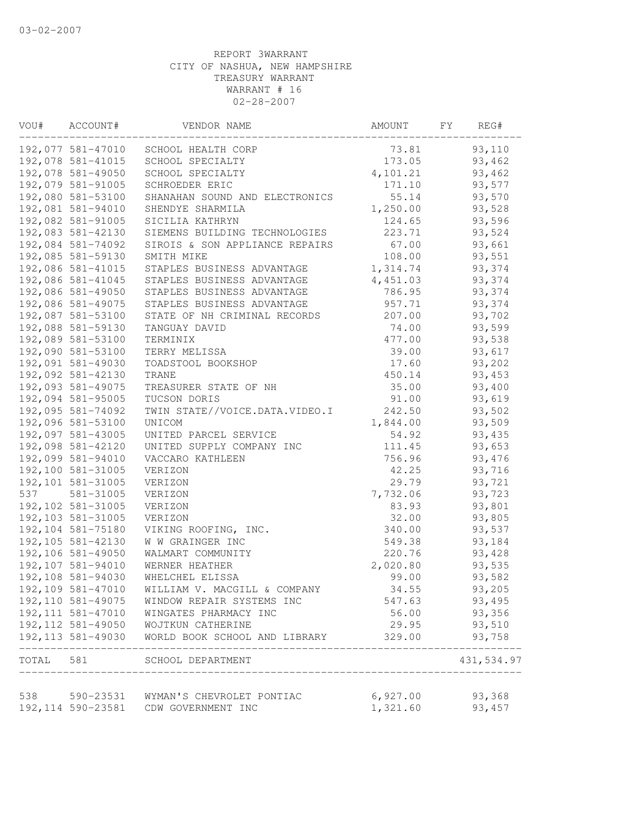| VOU# | ACCOUNT#           | VENDOR NAME                                            | AMOUNT            | FY | REG#       |  |
|------|--------------------|--------------------------------------------------------|-------------------|----|------------|--|
|      |                    | 192,077 581-47010 SCHOOL HEALTH CORP                   | 73.81             |    | 93,110     |  |
|      | 192,078 581-41015  | SCHOOL SPECIALTY                                       | 173.05            |    | 93,462     |  |
|      | 192,078 581-49050  | SCHOOL SPECIALTY                                       | 4,101.21          |    | 93,462     |  |
|      | 192,079 581-91005  | SCHROEDER ERIC                                         | 171.10            |    | 93,577     |  |
|      | 192,080 581-53100  | SHANAHAN SOUND AND ELECTRONICS                         | 55.14             |    | 93,570     |  |
|      | 192,081 581-94010  | SHENDYE SHARMILA                                       | 1,250.00          |    | 93,528     |  |
|      | 192,082 581-91005  | SICILIA KATHRYN                                        | 124.65            |    | 93,596     |  |
|      | 192,083 581-42130  | SIEMENS BUILDING TECHNOLOGIES                          | 223.71            |    | 93,524     |  |
|      | 192,084 581-74092  | SIROIS & SON APPLIANCE REPAIRS                         | 67.00             |    | 93,661     |  |
|      | 192,085 581-59130  | SMITH MIKE                                             | 108.00            |    | 93,551     |  |
|      | 192,086 581-41015  | STAPLES BUSINESS ADVANTAGE                             | 1,314.74          |    | 93,374     |  |
|      | 192,086 581-41045  | STAPLES BUSINESS ADVANTAGE                             | 4,451.03          |    | 93,374     |  |
|      | 192,086 581-49050  | STAPLES BUSINESS ADVANTAGE                             | 786.95            |    | 93,374     |  |
|      | 192,086 581-49075  | STAPLES BUSINESS ADVANTAGE                             | 957.71            |    | 93,374     |  |
|      | 192,087 581-53100  | STATE OF NH CRIMINAL RECORDS                           | 207.00            |    | 93,702     |  |
|      | 192,088 581-59130  | TANGUAY DAVID                                          | 74.00             |    | 93,599     |  |
|      | 192,089 581-53100  | TERMINIX                                               | 477.00            |    | 93,538     |  |
|      | 192,090 581-53100  | TERRY MELISSA                                          | 39.00             |    | 93,617     |  |
|      | 192,091 581-49030  | TOADSTOOL BOOKSHOP                                     | 17.60             |    | 93,202     |  |
|      | 192,092 581-42130  | TRANE                                                  | 450.14            |    | 93,453     |  |
|      | 192,093 581-49075  | TREASURER STATE OF NH                                  | 35.00             |    | 93,400     |  |
|      | 192,094 581-95005  | TUCSON DORIS                                           | 91.00             |    | 93,619     |  |
|      | 192,095 581-74092  | TWIN STATE//VOICE.DATA.VIDEO.I                         | 242.50            |    | 93,502     |  |
|      | 192,096 581-53100  | UNICOM                                                 | 1,844.00          |    | 93,509     |  |
|      | 192,097 581-43005  | UNITED PARCEL SERVICE                                  | 54.92             |    | 93,435     |  |
|      | 192,098 581-42120  | UNITED SUPPLY COMPANY INC                              | 111.45            |    | 93,653     |  |
|      | 192,099 581-94010  | VACCARO KATHLEEN                                       | 756.96            |    | 93,476     |  |
|      | 192,100 581-31005  | VERIZON                                                | 42.25             |    | 93,716     |  |
|      | 192,101 581-31005  | VERIZON                                                | 29.79             |    | 93,721     |  |
| 537  | 581-31005          | VERIZON                                                | 7,732.06          |    | 93,723     |  |
|      | 192,102 581-31005  | VERIZON                                                | 83.93             |    | 93,801     |  |
|      | 192,103 581-31005  | VERIZON                                                | 32.00             |    | 93,805     |  |
|      | 192,104 581-75180  | VIKING ROOFING, INC.                                   | 340.00            |    | 93,537     |  |
|      | 192,105 581-42130  | W W GRAINGER INC                                       | 549.38            |    | 93,184     |  |
|      | 192,106 581-49050  | WALMART COMMUNITY                                      | 220.76            |    | 93,428     |  |
|      | 192,107 581-94010  | WERNER HEATHER                                         | 2,020.80          |    | 93,535     |  |
|      | 192,108 581-94030  | WHELCHEL ELISSA                                        | 99.00             |    | 93,582     |  |
|      | 192,109 581-47010  | WILLIAM V. MACGILL & COMPANY                           | 34.55             |    | 93,205     |  |
|      |                    | 192,110 581-49075  WINDOW REPAIR SYSTEMS INC           | 547.63            |    | 93,495     |  |
|      | 192, 111 581-47010 | WINGATES PHARMACY INC                                  | 56.00             |    | 93,356     |  |
|      |                    | 192,112 581-49050 WOJTKUN CATHERINE                    | 29.95             |    | 93,510     |  |
|      |                    | 192,113 581-49030 WORLD BOOK SCHOOL AND LIBRARY 329.00 |                   |    | 93,758     |  |
|      | ________________   | TOTAL 581 SCHOOL DEPARTMENT                            |                   |    | 431,534.97 |  |
|      |                    | 538 590-23531 WYMAN'S CHEVROLET PONTIAC                | $6,927.00$ 93,368 |    |            |  |
|      |                    | 192,114 590-23581 CDW GOVERNMENT INC                   | 1,321.60          |    | 93, 457    |  |
|      |                    |                                                        |                   |    |            |  |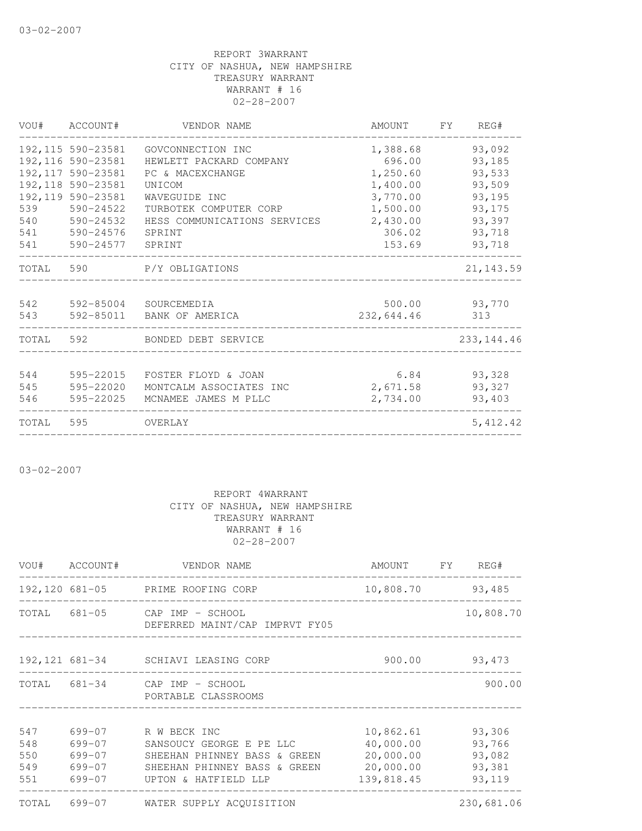|       | VOU# ACCOUNT#      | VENDOR NAME                   | AMOUNT FY  | REG#          |
|-------|--------------------|-------------------------------|------------|---------------|
|       | 192,115 590-23581  | GOVCONNECTION INC             | 1,388.68   | 93,092        |
|       | 192,116 590-23581  | HEWLETT PACKARD COMPANY       | 696.00     | 93,185        |
|       | 192, 117 590-23581 | PC & MACEXCHANGE              | 1,250.60   | 93,533        |
|       | 192, 118 590-23581 | UNICOM                        | 1,400.00   | 93,509        |
|       | 192, 119 590-23581 | WAVEGUIDE INC                 | 3,770.00   | 93,195        |
| 539   | 590-24522          | TURBOTEK COMPUTER CORP        | 1,500.00   | 93,175        |
| 540   | 590-24532          | HESS COMMUNICATIONS SERVICES  | 2,430.00   | 93,397        |
| 541   | 590-24576          | SPRINT                        | 306.02     | 93,718        |
| 541   | 590-24577 SPRINT   |                               | 153.69     | 93,718        |
|       |                    | TOTAL 590 P/Y OBLIGATIONS     |            | 21, 143.59    |
| 542   |                    | 592-85004 SOURCEMEDIA         |            | 500.00 93,770 |
| 543   |                    | 592-85011 BANK OF AMERICA     | 232,644.46 | 313           |
|       |                    | TOTAL 592 BONDED DEBT SERVICE |            | 233, 144.46   |
|       |                    |                               |            |               |
| 544   | 595-22015          | FOSTER FLOYD & JOAN           | 6.84       | 93,328        |
| 545   | 595-22020          | MONTCALM ASSOCIATES INC       | 2,671.58   | 93,327        |
| 546   | 595-22025          | MCNAMEE JAMES M PLLC          | 2,734.00   | 93,403        |
| TOTAL | 595                | OVERLAY                       |            | 5, 412.42     |
|       |                    |                               |            |               |

03-02-2007

|                          |                                | VOU# ACCOUNT# VENDOR NAME<br>-----------------------                                                                                               | AMOUNT FY REG#                                                 |                                                |
|--------------------------|--------------------------------|----------------------------------------------------------------------------------------------------------------------------------------------------|----------------------------------------------------------------|------------------------------------------------|
|                          |                                | 192,120 681-05 PRIME ROOFING CORP                                                                                                                  | 10,808.70 93,485                                               |                                                |
|                          |                                | TOTAL 681-05 CAP IMP - SCHOOL<br>DEFERRED MAINT/CAP IMPRVT FY05                                                                                    |                                                                | 10,808.70                                      |
|                          |                                | 192,121 681-34 SCHIAVI LEASING CORP                                                                                                                |                                                                | 900.00 93,473                                  |
|                          |                                | TOTAL 681-34 CAP IMP - SCHOOL<br>PORTABLE CLASSROOMS                                                                                               |                                                                | 900.00                                         |
| 547<br>548<br>550<br>549 | 699-07<br>699-07<br>$699 - 07$ | 699-07 R W BECK INC<br>SANSOUCY GEORGE E PE LLC<br>SHEEHAN PHINNEY BASS & GREEN<br>SHEEHAN PHINNEY BASS & GREEN<br>551 699-07 UPTON & HATFIELD LLP | 10,862.61<br>40,000.00<br>20,000.00<br>20,000.00<br>139,818.45 | 93,306<br>93,766<br>93,082<br>93,381<br>93,119 |
|                          |                                | TOTAL 699-07 WATER SUPPLY ACQUISITION                                                                                                              |                                                                | 230,681.06                                     |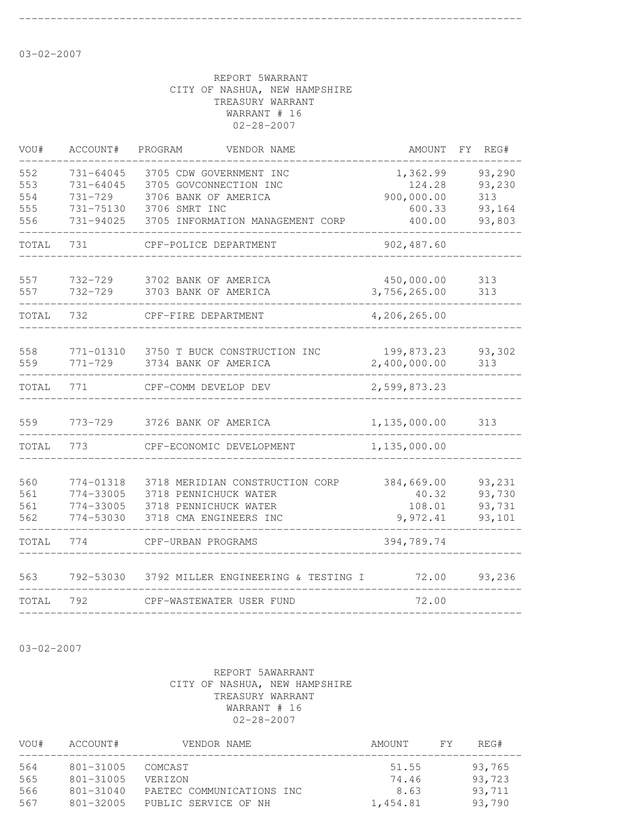--------------------------------------------------------------------------------

03-02-2007

#### REPORT 5WARRANT CITY OF NASHUA, NEW HAMPSHIRE TREASURY WARRANT WARRANT # 16 02-28-2007

| VOU#                            | ACCOUNT#                                         | PROGRAM<br>VENDOR NAME                                                                                                                   | AMOUNT                                               | FY. | REG#                                        |
|---------------------------------|--------------------------------------------------|------------------------------------------------------------------------------------------------------------------------------------------|------------------------------------------------------|-----|---------------------------------------------|
| 552<br>553<br>554<br>555<br>556 | 731-64045<br>731-64045<br>731-729<br>731-94025   | 3705 CDW GOVERNMENT INC<br>3705 GOVCONNECTION INC<br>3706 BANK OF AMERICA<br>731-75130 3706 SMRT INC<br>3705 INFORMATION MANAGEMENT CORP | 1,362.99<br>124.28<br>900,000.00<br>600.33<br>400.00 |     | 93,290<br>93,230<br>313<br>93,164<br>93,803 |
| TOTAL                           | 731                                              | CPF-POLICE DEPARTMENT                                                                                                                    | 902, 487.60                                          |     |                                             |
| 557<br>557                      | 732-729<br>732-729                               | 3702 BANK OF AMERICA<br>3703 BANK OF AMERICA                                                                                             | 450,000.00<br>3,756,265.00                           |     | 313<br>313                                  |
| TOTAL                           | 732                                              | CPF-FIRE DEPARTMENT                                                                                                                      | 4,206,265.00                                         |     |                                             |
| 558<br>559                      | 771-01310<br>$771 - 729$                         | 3750 T BUCK CONSTRUCTION INC<br>3734 BANK OF AMERICA                                                                                     | 199,873.23<br>2,400,000.00                           |     | 93,302<br>313                               |
| TOTAL                           | 771                                              | CPF-COMM DEVELOP DEV                                                                                                                     | 2,599,873.23                                         |     |                                             |
| 559                             | 773-729                                          | 3726 BANK OF AMERICA                                                                                                                     | 1,135,000.00                                         |     | 313                                         |
| TOTAL                           | 773                                              | CPF-ECONOMIC DEVELOPMENT                                                                                                                 | 1,135,000.00                                         |     |                                             |
| 560<br>561<br>561<br>562        | 774-01318<br>774-33005<br>774-33005<br>774-53030 | 3718 MERIDIAN CONSTRUCTION CORP<br>3718 PENNICHUCK WATER<br>3718 PENNICHUCK WATER<br>3718 CMA ENGINEERS INC                              | 384,669.00<br>40.32<br>108.01<br>9,972.41            |     | 93,231<br>93,730<br>93,731<br>93,101        |
| TOTAL                           | 774                                              | CPF-URBAN PROGRAMS                                                                                                                       | 394,789.74                                           |     |                                             |
| 563                             |                                                  | 792-53030 3792 MILLER ENGINEERING & TESTING I                                                                                            | 72.00                                                |     | 93,236                                      |
| TOTAL                           | 792                                              | CPF-WASTEWATER USER FUND                                                                                                                 | 72.00                                                |     |                                             |
|                                 |                                                  |                                                                                                                                          |                                                      |     |                                             |

03-02-2007

| VOU# | ACCOUNT#      | VENDOR NAME               | AMOUNT   | FY. | REG#   |
|------|---------------|---------------------------|----------|-----|--------|
| 564  | $801 - 31005$ | COMCAST                   | 51.55    |     | 93,765 |
| 565  | $801 - 31005$ | <b>VERIZON</b>            | 74.46    |     | 93,723 |
| 566  | $801 - 31040$ | PAETEC COMMUNICATIONS INC | 8.63     |     | 93,711 |
| 567  | $801 - 32005$ | PUBLIC SERVICE OF NH      | 1,454.81 |     | 93,790 |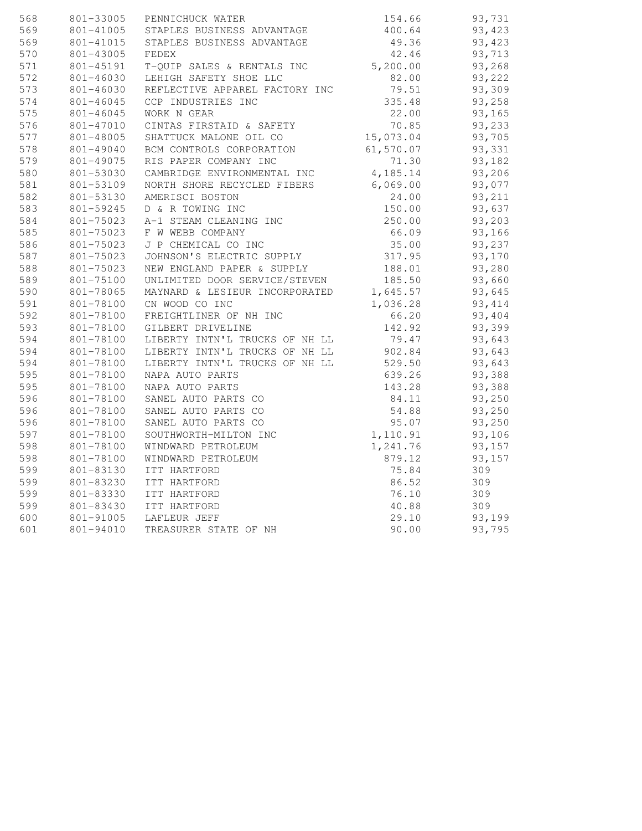| 568 | 801-33005     | PENNICHUCK WATER                                                   | 154.66             | 93,731  |
|-----|---------------|--------------------------------------------------------------------|--------------------|---------|
| 569 | 801-41005     | STAPLES BUSINESS ADVANTAGE                                         | 400.64             | 93,423  |
| 569 | 801-41015     | STAPLES BUSINESS ADVANTAGE                                         | 49.36              | 93,423  |
| 570 | 801-43005     | FEDEX                                                              | 42.46              | 93,713  |
| 571 | 801-45191     | T-QUIP SALES & RENTALS INC                                         | 5,200.00           | 93,268  |
| 572 | 801-46030     | LEHIGH SAFETY SHOE LLC                                             | 82.00              | 93,222  |
| 573 | 801-46030     | REFLECTIVE APPAREL FACTORY INC                                     | 79.51              | 93,309  |
| 574 | $801 - 46045$ | CCP INDUSTRIES INC                                                 | 335.48             | 93,258  |
| 575 | 801-46045     | WORK N GEAR                                                        | 22.00              | 93,165  |
| 576 | 801-47010     | CINTAS FIRSTAID & SAFETY                                           | 70.85              | 93,233  |
| 577 | 801-48005     | SHATTUCK MALONE OIL CO                                             | 15,073.04          | 93,705  |
| 578 | 801-49040     | BCM CONTROLS CORPORATION                                           | 61,570.07          | 93,331  |
| 579 | 801-49075     | RIS PAPER COMPANY INC                                              | 71.30              | 93,182  |
| 580 | 801-53030     | CAMBRIDGE ENVIRONMENTAL INC                                        | 4,185.14           | 93,206  |
| 581 | 801-53109     | NORTH SHORE RECYCLED FIBERS                                        | 6,069.00           | 93,077  |
| 582 | 801-53130     | AMERISCI BOSTON                                                    | 24.00              | 93,211  |
| 583 | 801-59245     | D & R TOWING INC                                                   | 150.00             | 93,637  |
| 584 | 801-75023     | A-1 STEAM CLEANING INC                                             | 250.00             | 93,203  |
| 585 | 801-75023     | F W WEBB COMPANY                                                   | 66.09              | 93,166  |
| 586 | 801-75023     | J P CHEMICAL CO INC                                                | 35.00              | 93,237  |
| 587 | 801-75023     | JOHNSON'S ELECTRIC SUPPLY                                          | 317.95             | 93,170  |
| 588 | 801-75023     | NEW ENGLAND PAPER & SUPPLY                                         | 188.01             | 93,280  |
| 589 | 801-75100     | UNLIMITED DOOR SERVICE/STEVEN                                      | 185.50             | 93,660  |
| 590 | 801-78065     |                                                                    |                    | 93,645  |
| 591 | 801-78100     | MAYNARD & LESIEUR INCORPORATED 1,645.57<br>CN WOOD CO INC 1,036.28 |                    | 93, 414 |
| 592 | 801-78100     | FREIGHTLINER OF NH INC                                             | 66.20              | 93,404  |
| 593 | 801-78100     | GILBERT DRIVELINE                                                  |                    | 93,399  |
| 594 | 801-78100     | LIBERTY INTN'L TRUCKS OF NH LL                                     | 142.92<br>79.47    | 93,643  |
| 594 | 801-78100     | LIBERTY INTN'L TRUCKS OF NH LL 902.84                              |                    | 93,643  |
| 594 | 801-78100     | LIBERTY INTN'L TRUCKS OF NH LL                                     | 529.50             | 93,643  |
| 595 | 801-78100     | NAPA AUTO PARTS                                                    | 639.26             | 93,388  |
| 595 | 801-78100     | NAPA AUTO PARTS                                                    | 143.28             | 93,388  |
| 596 | 801-78100     | SANEL AUTO PARTS CO                                                | 84.11              | 93,250  |
| 596 | 801-78100     | SANEL AUTO PARTS CO                                                | 54.88              | 93,250  |
| 596 | 801-78100     | SANEL AUTO PARTS CO                                                | 95.07              | 93,250  |
| 597 | 801-78100     | SOUTHWORTH-MILTON INC                                              | 1,110.91           | 93,106  |
| 598 | 801-78100     | WINDWARD PETROLEUM                                                 |                    | 93,157  |
| 598 | 801-78100     | WINDWARD PETROLEUM                                                 | 1,241.76<br>879.12 | 93,157  |
| 599 | 801-83130     | ITT HARTFORD                                                       | 75.84              | 309     |
| 599 | 801-83230     | ITT HARTFORD                                                       |                    | 309     |
| 599 | 801-83330     | ITT HARTFORD                                                       | 86.52<br>76.10     | 309     |
| 599 | 801-83430     | ITT HARTFORD                                                       | 40.88              | 309     |
| 600 |               | 801-91005 LAFLEUR JEFF                                             | 29.10              | 93,199  |
| 601 | 801-94010     | TREASURER STATE OF NH                                              | 90.00              | 93,795  |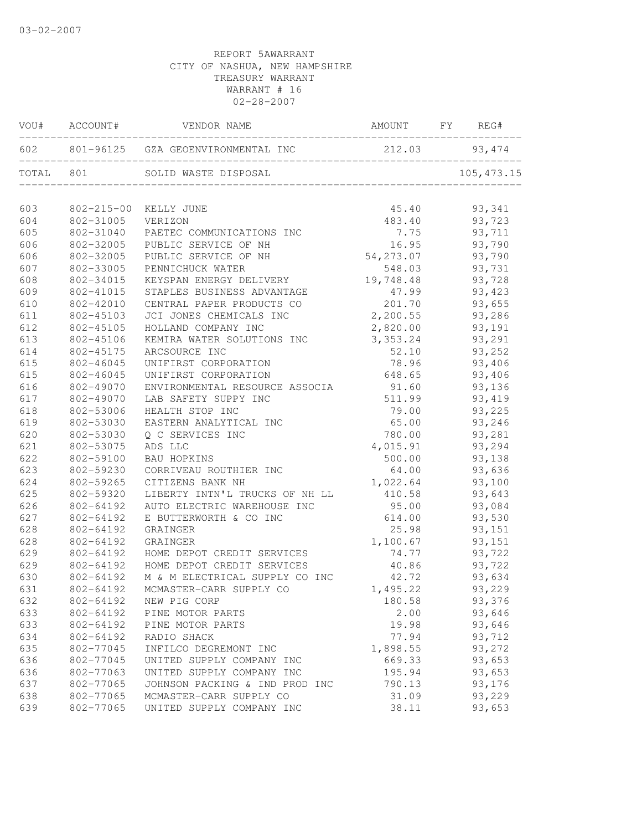|     | VOU# ACCOUNT# | VENDOR NAME                                          | AMOUNT FY REG#                      |         |
|-----|---------------|------------------------------------------------------|-------------------------------------|---------|
|     |               | 602 801-96125 GZA GEOENVIRONMENTAL INC 212.03 93,474 |                                     |         |
|     | TOTAL 801     |                                                      |                                     |         |
| 603 |               | 802-215-00 KELLY JUNE                                | 45.40 93,341                        |         |
| 604 | 802-31005     | VERIZON                                              | 483.40                              | 93,723  |
| 605 | 802-31040     | PAETEC COMMUNICATIONS INC                            | 7.75                                | 93,711  |
| 606 | 802-32005     | PUBLIC SERVICE OF NH                                 |                                     | 93,790  |
| 606 | 802-32005     | PUBLIC SERVICE OF NH                                 | $16.95$<br>54, 273.07<br>54, 273.07 | 93,790  |
| 607 | 802-33005     | PENNICHUCK WATER                                     | 548.03                              | 93,731  |
| 608 | 802-34015     | KEYSPAN ENERGY DELIVERY                              | 19,748.48                           | 93,728  |
| 609 | 802-41015     | STAPLES BUSINESS ADVANTAGE                           | 47.99                               | 93,423  |
| 610 | 802-42010     | CENTRAL PAPER PRODUCTS CO                            | 201.70                              | 93,655  |
| 611 | 802-45103     | JCI JONES CHEMICALS INC                              | 2,200.55                            | 93,286  |
| 612 | 802-45105     | HOLLAND COMPANY INC                                  | 2,820.00                            | 93,191  |
| 613 | 802-45106     | KEMIRA WATER SOLUTIONS INC 3,353.24                  |                                     | 93,291  |
| 614 | 802-45175     | ARCSOURCE INC                                        | 52.10                               | 93,252  |
| 615 | 802-46045     | UNIFIRST CORPORATION                                 | 78.96                               | 93,406  |
| 615 | 802-46045     | UNIFIRST CORPORATION                                 | 648.65                              | 93,406  |
| 616 | 802-49070     | ENVIRONMENTAL RESOURCE ASSOCIA                       | 91.60                               | 93,136  |
| 617 | 802-49070     | LAB SAFETY SUPPY INC                                 | 511.99                              | 93, 419 |
| 618 | 802-53006     | HEALTH STOP INC                                      | 79.00                               | 93,225  |
| 619 | 802-53030     | EASTERN ANALYTICAL INC                               | 65.00                               | 93,246  |
| 620 | 802-53030     | Q C SERVICES INC                                     | 780.00                              | 93,281  |
| 621 | 802-53075     | ADS LLC                                              | 4,015.91                            | 93,294  |
| 622 | 802-59100     | <b>BAU HOPKINS</b>                                   | 500.00                              | 93,138  |
| 623 | 802-59230     | CORRIVEAU ROUTHIER INC                               | 64.00                               | 93,636  |
| 624 | 802-59265     | CITIZENS BANK NH                                     | 1,022.64                            | 93,100  |
| 625 | 802-59320     | LIBERTY INTN'L TRUCKS OF NH LL                       | 410.58                              | 93,643  |
| 626 | 802-64192     | AUTO ELECTRIC WAREHOUSE INC                          | 95.00                               | 93,084  |
| 627 | 802-64192     | E BUTTERWORTH & CO INC                               | 614.00                              | 93,530  |
| 628 | 802-64192     | GRAINGER                                             | 25.98                               | 93,151  |
| 628 | 802-64192     | GRAINGER                                             | 1,100.67                            | 93,151  |
| 629 |               | 802-64192 HOME DEPOT CREDIT SERVICES                 | 74.77                               | 93,722  |
| 629 |               | 802-64192 HOME DEPOT CREDIT SERVICES                 | 40.86                               | 93,722  |
| 630 | 802-64192     | M & M ELECTRICAL SUPPLY CO INC                       | 42.72                               | 93,634  |
| 631 |               | 802-64192 MCMASTER-CARR SUPPLY CO                    | 1,495.22                            | 93,229  |
| 632 | 802-64192     | NEW PIG CORP                                         | 180.58                              | 93,376  |
| 633 | 802-64192     | PINE MOTOR PARTS                                     | 2.00                                | 93,646  |
| 633 | 802-64192     | PINE MOTOR PARTS                                     | 19.98                               | 93,646  |
| 634 | 802-64192     | RADIO SHACK                                          | 77.94                               | 93,712  |
| 635 | 802-77045     | INFILCO DEGREMONT INC                                | 1,898.55                            | 93,272  |
| 636 | 802-77045     | UNITED SUPPLY COMPANY INC                            | 669.33                              | 93,653  |
| 636 | 802-77063     | UNITED SUPPLY COMPANY INC                            | 195.94                              | 93,653  |
| 637 | 802-77065     | JOHNSON PACKING & IND PROD INC                       | 790.13                              | 93,176  |
| 638 | 802-77065     | MCMASTER-CARR SUPPLY CO                              | 31.09                               | 93,229  |
| 639 | 802-77065     | UNITED SUPPLY COMPANY INC                            | 38.11                               | 93,653  |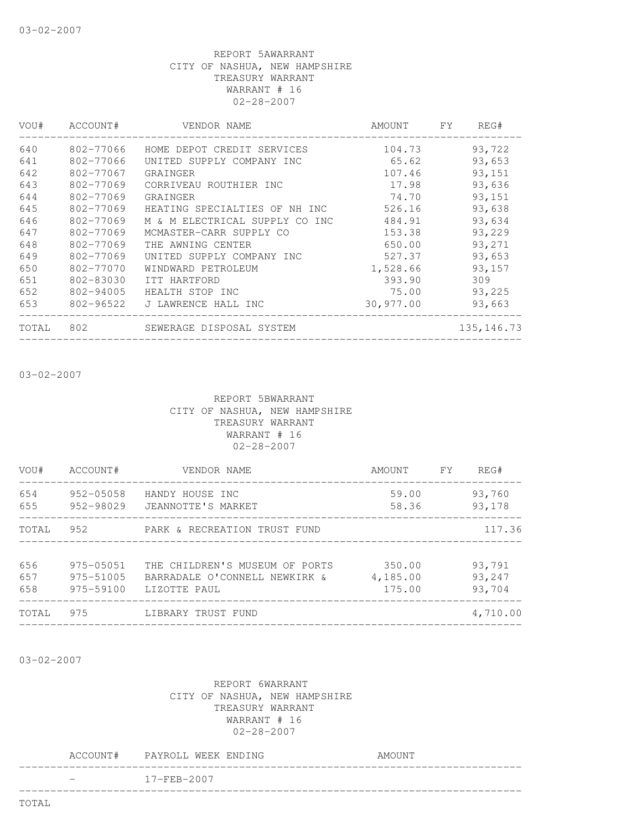| VOU#  | ACCOUNT#  | VENDOR NAME                    | AMOUNT    | <b>FY</b> | REG#         |
|-------|-----------|--------------------------------|-----------|-----------|--------------|
| 640   | 802-77066 | HOME DEPOT CREDIT SERVICES     | 104.73    |           | 93,722       |
| 641   | 802-77066 | UNITED SUPPLY COMPANY INC      | 65.62     |           | 93,653       |
| 642   | 802-77067 | GRAINGER                       | 107.46    |           | 93,151       |
| 643   | 802-77069 | CORRIVEAU ROUTHIER INC         | 17.98     |           | 93,636       |
| 644   | 802-77069 | GRAINGER                       | 74.70     |           | 93,151       |
| 645   | 802-77069 | HEATING SPECIALTIES OF NH INC  | 526.16    |           | 93,638       |
| 646   | 802-77069 | M & M ELECTRICAL SUPPLY CO INC | 484.91    |           | 93,634       |
| 647   | 802-77069 | MCMASTER-CARR SUPPLY CO        | 153.38    |           | 93,229       |
| 648   | 802-77069 | THE AWNING CENTER              | 650.00    |           | 93,271       |
| 649   | 802-77069 | UNITED SUPPLY COMPANY INC      | 527.37    |           | 93,653       |
| 650   | 802-77070 | WINDWARD PETROLEUM             | 1,528.66  |           | 93,157       |
| 651   | 802-83030 | ITT HARTFORD                   | 393.90    |           | 309          |
| 652   | 802-94005 | HEALTH STOP INC                | 75.00     |           | 93,225       |
| 653   | 802-96522 | J LAWRENCE HALL INC            | 30,977.00 |           | 93,663       |
| TOTAL | 802       | SEWERAGE DISPOSAL SYSTEM       |           |           | 135, 146. 73 |
|       |           |                                |           |           |              |

03-02-2007

#### REPORT 5BWARRANT CITY OF NASHUA, NEW HAMPSHIRE TREASURY WARRANT WARRANT # 16 02-28-2007

| VOU#              | ACCOUNT#                            | VENDOR NAME                                                                     | AMOUNT FY                    | REG#                       |
|-------------------|-------------------------------------|---------------------------------------------------------------------------------|------------------------------|----------------------------|
| 654<br>655        | 952-05058<br>952-98029              | HANDY HOUSE INC<br>JEANNOTTE'S MARKET                                           | 59.00<br>58.36               | 93,760<br>93,178           |
| TOTAL             |                                     |                                                                                 |                              | 117.36                     |
| 656<br>657<br>658 | 975-05051<br>975-51005<br>975-59100 | THE CHILDREN'S MUSEUM OF PORTS<br>BARRADALE O'CONNELL NEWKIRK &<br>LIZOTTE PAUL | 350.00<br>4,185.00<br>175.00 | 93,791<br>93,247<br>93,704 |
| TOTAL             | 975                                 | LIBRARY TRUST FUND<br>______________________________________                    |                              | 4,710.00                   |
|                   |                                     |                                                                                 |                              |                            |

03-02-2007

|  | ACCOUNT# PAYROLL WEEK ENDING | AMOUNT |
|--|------------------------------|--------|
|  | $17 - FEB - 2007$            |        |
|  |                              |        |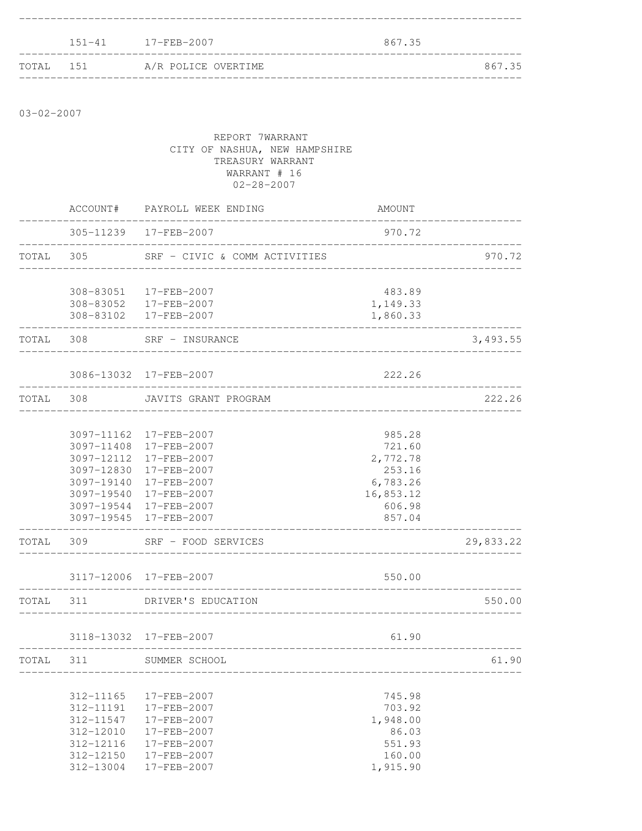|           | 151-41 17-FEB-2007  | 867.35 |  |
|-----------|---------------------|--------|--|
| TOTAL 151 | A/R POLICE OVERTIME | 867.35 |  |

03-02-2007

|           | REPORT 7WARRANT<br>CITY OF NASHUA, NEW HAMPSHIRE<br>TREASURY WARRANT<br>WARRANT # 16<br>$02 - 28 - 2007$ |                                                                                                                                                                                                              |                                                                                     |           |  |
|-----------|----------------------------------------------------------------------------------------------------------|--------------------------------------------------------------------------------------------------------------------------------------------------------------------------------------------------------------|-------------------------------------------------------------------------------------|-----------|--|
|           |                                                                                                          | ACCOUNT# PAYROLL WEEK ENDING                                                                                                                                                                                 | AMOUNT                                                                              |           |  |
|           |                                                                                                          | 305-11239 17-FEB-2007                                                                                                                                                                                        | 970.72                                                                              |           |  |
|           |                                                                                                          | TOTAL 305 SRF - CIVIC & COMM ACTIVITIES                                                                                                                                                                      |                                                                                     | 970.72    |  |
|           |                                                                                                          | 308-83051 17-FEB-2007<br>308-83052 17-FEB-2007<br>308-83102 17-FEB-2007<br>---------------------------                                                                                                       | 483.89<br>1,149.33<br>1,860.33                                                      |           |  |
| TOTAL 308 |                                                                                                          | SRF - INSURANCE<br>_______________________                                                                                                                                                                   |                                                                                     | 3,493.55  |  |
|           |                                                                                                          | 3086-13032 17-FEB-2007                                                                                                                                                                                       | 222.26                                                                              |           |  |
|           |                                                                                                          | TOTAL 308 JAVITS GRANT PROGRAM                                                                                                                                                                               |                                                                                     | 222.26    |  |
|           |                                                                                                          | 3097-11162 17-FEB-2007<br>3097-11408 17-FEB-2007<br>3097-12112 17-FEB-2007<br>3097-12830 17-FEB-2007<br>3097-19140 17-FEB-2007<br>3097-19540 17-FEB-2007<br>3097-19544 17-FEB-2007<br>3097-19545 17-FEB-2007 | 985.28<br>721.60<br>2,772.78<br>253.16<br>6,783.26<br>16,853.12<br>606.98<br>857.04 |           |  |
|           | TOTAL 309                                                                                                | SRF - FOOD SERVICES                                                                                                                                                                                          |                                                                                     | 29,833.22 |  |
|           |                                                                                                          | 3117-12006 17-FEB-2007                                                                                                                                                                                       | 550.00                                                                              |           |  |
|           |                                                                                                          | TOTAL 311 DRIVER'S EDUCATION                                                                                                                                                                                 |                                                                                     | 550.00    |  |
|           |                                                                                                          | 3118-13032 17-FEB-2007<br>__________________________________                                                                                                                                                 | 61.90                                                                               |           |  |
| TOTAL 311 |                                                                                                          | SUMMER SCHOOL                                                                                                                                                                                                |                                                                                     | 61.90     |  |
|           | 312-11165<br>312-11191<br>312-11547<br>312-12010<br>312-12116<br>312-12150<br>312-13004                  | 17-FEB-2007<br>17-FEB-2007<br>17-FEB-2007<br>17-FEB-2007<br>17-FEB-2007<br>17-FEB-2007<br>17-FEB-2007                                                                                                        | 745.98<br>703.92<br>1,948.00<br>86.03<br>551.93<br>160.00<br>1,915.90               |           |  |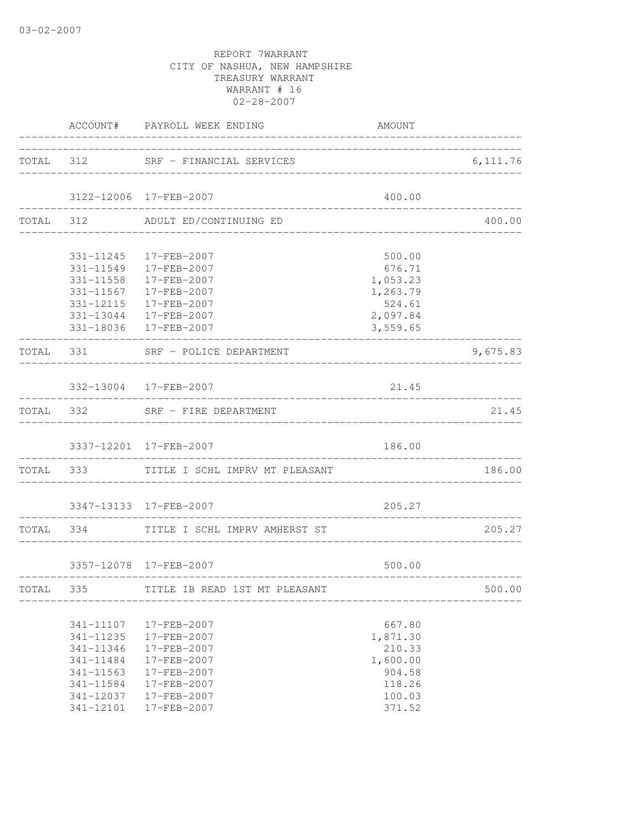|                                                                                         | ACCOUNT# PAYROLL WEEK ENDING                                                                          | AMOUNT<br>______________________________                               |                              |
|-----------------------------------------------------------------------------------------|-------------------------------------------------------------------------------------------------------|------------------------------------------------------------------------|------------------------------|
|                                                                                         | TOTAL 312 SRF - FINANCIAL SERVICES                                                                    |                                                                        | 6,111.76                     |
|                                                                                         | 3122-12006 17-FEB-2007                                                                                | 400.00                                                                 |                              |
|                                                                                         | TOTAL 312 ADULT ED/CONTINUING ED                                                                      |                                                                        | 400.00                       |
|                                                                                         | 331-11245 17-FEB-2007<br>331-11549   17-FEB-2007                                                      | 500.00                                                                 |                              |
|                                                                                         | 331-11558 17-FEB-2007<br>331-11567 17-FEB-2007                                                        | 676.71<br>1,053.23<br>1,263.79                                         |                              |
|                                                                                         | 331-12115 17-FEB-2007<br>331-13044 17-FEB-2007<br>331-18036 17-FEB-2007                               | 524.61<br>2,097.84<br>3,559.65                                         |                              |
|                                                                                         | TOTAL 331 SRF - POLICE DEPARTMENT                                                                     |                                                                        | 9,675.83                     |
|                                                                                         | ________________________<br>332-13004 17-FEB-2007                                                     | 21.45                                                                  |                              |
|                                                                                         | TOTAL 332 SRF - FIRE DEPARTMENT                                                                       |                                                                        | -------------------<br>21.45 |
|                                                                                         | 3337-12201 17-FEB-2007                                                                                | 186.00                                                                 |                              |
|                                                                                         | TOTAL 333 TITLE I SCHL IMPRV MT PLEASANT                                                              | --------------------------------                                       | 186.00                       |
|                                                                                         | 3347-13133 17-FEB-2007                                                                                | 205.27                                                                 |                              |
|                                                                                         | TOTAL 334 TITLE I SCHL IMPRV AMHERST ST                                                               | ______________________________<br>_______________________________      | 205.27                       |
|                                                                                         | 3357-12078 17-FEB-2007                                                                                | 500.00                                                                 |                              |
|                                                                                         | TOTAL 335 TITLE IB READ 1ST MT PLEASANT                                                               |                                                                        | 500.00                       |
| 341-11107<br>341-11235<br>341-11346<br>341-11484<br>341-11563<br>341-11584<br>341-12037 | 17-FEB-2007<br>17-FEB-2007<br>17-FEB-2007<br>17-FEB-2007<br>17-FEB-2007<br>17-FEB-2007<br>17-FEB-2007 | 667.80<br>1,871.30<br>210.33<br>1,600.00<br>904.58<br>118.26<br>100.03 |                              |
| 341-12101                                                                               | 17-FEB-2007                                                                                           | 371.52                                                                 |                              |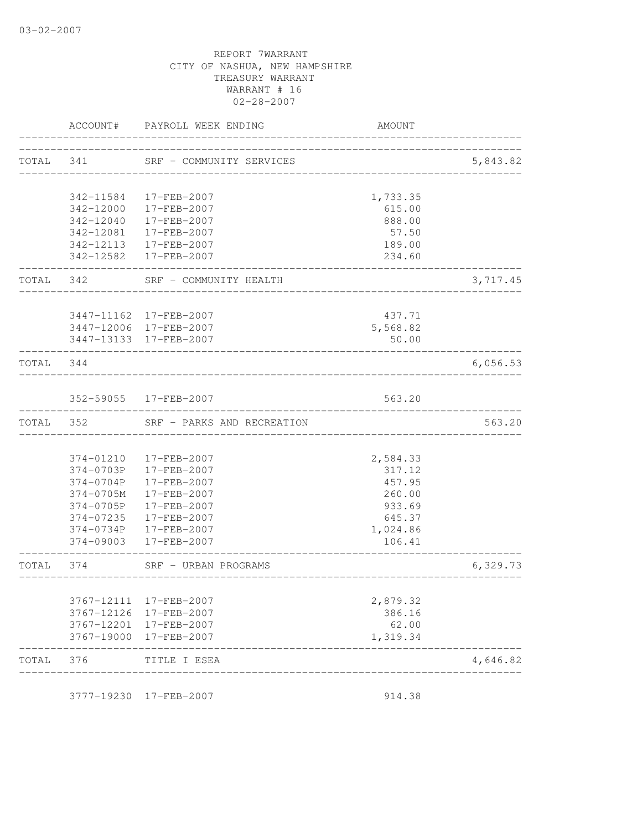|           |            | ACCOUNT# PAYROLL WEEK ENDING                     | AMOUNT                     |          |
|-----------|------------|--------------------------------------------------|----------------------------|----------|
|           |            | TOTAL 341 SRF - COMMUNITY SERVICES               | _______________________    | 5,843.82 |
|           |            | 342-11584 17-FEB-2007                            | 1,733.35                   |          |
|           |            | 342-12000 17-FEB-2007                            | 615.00                     |          |
|           | 342-12040  | 17-FEB-2007<br>342-12081 17-FEB-2007             | 888.00<br>57.50            |          |
|           |            | 342-12113 17-FEB-2007                            | 189.00                     |          |
|           |            | 342-12582 17-FEB-2007                            | 234.60                     |          |
|           |            | TOTAL 342 SRF - COMMUNITY HEALTH                 |                            | 3,717.45 |
|           |            | 3447-11162 17-FEB-2007                           | 437.71                     |          |
|           |            | 3447-12006 17-FEB-2007                           | 5,568.82                   |          |
|           |            | 3447-13133 17-FEB-2007                           | 50.00                      |          |
| TOTAL 344 |            | _____________________________                    |                            | 6,056.53 |
|           |            | 352-59055 17-FEB-2007                            | 563.20                     |          |
| TOTAL 352 |            | SRF - PARKS AND RECREATION                       |                            | 563.20   |
|           |            |                                                  |                            |          |
|           |            | 374-01210 17-FEB-2007                            | 2,584.33                   |          |
|           |            | 374-0703P 17-FEB-2007<br>374-0704P 17-FEB-2007   | 317.12<br>457.95           |          |
|           | 374-0705M  | 17-FEB-2007                                      | 260.00                     |          |
|           | 374-0705P  | 17-FEB-2007                                      | 933.69                     |          |
|           | 374-07235  | 17-FEB-2007                                      | 645.37                     |          |
|           |            | 374-0734P 17-FEB-2007                            | 1,024.86                   |          |
|           |            | 374-09003 17-FEB-2007                            | 106.41                     |          |
| TOTAL 374 |            | SRF - URBAN PROGRAMS                             | __________________________ | 6,329.73 |
|           |            |                                                  |                            |          |
|           | 3767-12111 | 17-FEB-2007                                      | 2,879.32                   |          |
|           |            | 3767-12126 17-FEB-2007                           | 386.16                     |          |
|           |            | 3767-12201 17-FEB-2007<br>3767-19000 17-FEB-2007 | 62.00<br>1,319.34          |          |
| TOTAL     | 376        | TITLE I ESEA                                     |                            | 4,646.82 |

3777-19230 17-FEB-2007 914.38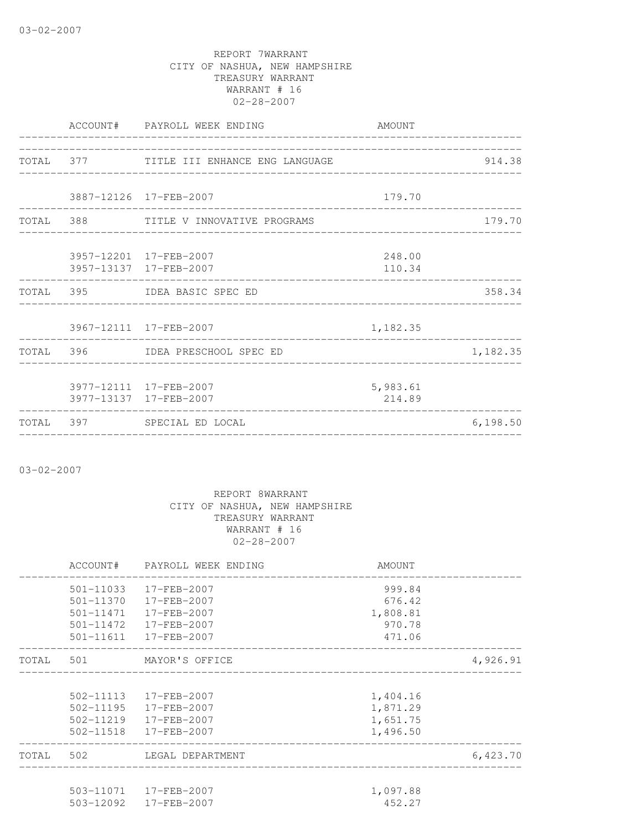|  | ACCOUNT# PAYROLL WEEK ENDING             | AMOUNT   |          |
|--|------------------------------------------|----------|----------|
|  |                                          |          |          |
|  | TOTAL 377 TITLE III ENHANCE ENG LANGUAGE |          | 914.38   |
|  |                                          |          |          |
|  | 3887-12126 17-FEB-2007                   | 179.70   |          |
|  | TOTAL 388 TITLE V INNOVATIVE PROGRAMS    |          | 179.70   |
|  |                                          |          |          |
|  | 3957-12201 17-FEB-2007                   | 248.00   |          |
|  | 3957-13137 17-FEB-2007                   | 110.34   |          |
|  | TOTAL 395 IDEA BASIC SPEC ED             |          | 358.34   |
|  |                                          |          |          |
|  | 3967-12111 17-FEB-2007                   | 1,182.35 |          |
|  | TOTAL 396 IDEA PRESCHOOL SPEC ED         |          | 1,182.35 |
|  |                                          |          |          |
|  | 3977-12111 17-FEB-2007                   | 5,983.61 |          |
|  | 3977-13137 17-FEB-2007                   | 214.89   |          |
|  | TOTAL 397 SPECIAL ED LOCAL               |          | 6,198.50 |

03-02-2007

|  | ACCOUNT# PAYROLL WEEK ENDING | AMOUNT   |          |
|--|------------------------------|----------|----------|
|  | 501-11033 17-FEB-2007        | 999.84   |          |
|  | 501-11370 17-FEB-2007        | 676.42   |          |
|  | 501-11471  17-FEB-2007       | 1,808.81 |          |
|  | 501-11472  17-FEB-2007       | 970.78   |          |
|  | 501-11611 17-FEB-2007        | 471.06   |          |
|  | TOTAL 501 MAYOR'S OFFICE     |          | 4,926.91 |
|  |                              |          |          |
|  | 502-11113 17-FEB-2007        | 1,404.16 |          |
|  | 502-11195 17-FEB-2007        | 1,871.29 |          |
|  | 502-11219 17-FEB-2007        | 1,651.75 |          |
|  | 502-11518 17-FEB-2007        | 1,496.50 |          |
|  | TOTAL 502 LEGAL DEPARTMENT   |          | 6,423.70 |
|  |                              |          |          |
|  | 503-11071  17-FEB-2007       | 1,097.88 |          |
|  | 503-12092 17-FEB-2007        | 452.27   |          |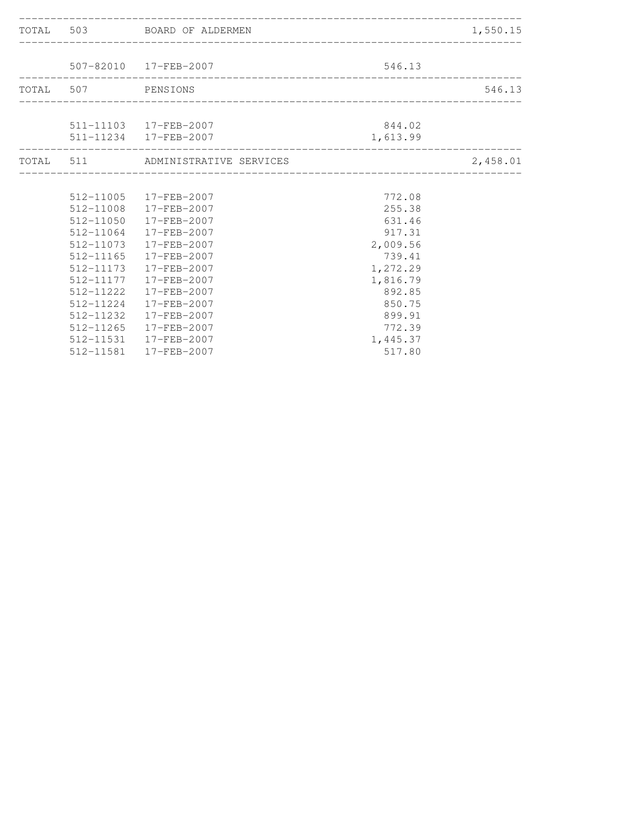|                    | TOTAL 503 BOARD OF ALDERMEN       |                            | 1,550.15 |
|--------------------|-----------------------------------|----------------------------|----------|
|                    |                                   |                            |          |
|                    | 507-82010 17-FEB-2007             | 546.13                     |          |
| TOTAL 507 PENSIONS |                                   |                            | 546.13   |
|                    |                                   |                            |          |
|                    | 511-11103 17-FEB-2007             | 844.02                     |          |
| _______________    | 511-11234 17-FEB-2007             | 1,613.99                   |          |
|                    | TOTAL 511 ADMINISTRATIVE SERVICES | -------------------------- | 2,458.01 |
|                    |                                   |                            |          |
|                    | 512-11005 17-FEB-2007             | 772.08                     |          |
|                    | 512-11008 17-FEB-2007             | 255.38                     |          |
|                    | 512-11050 17-FEB-2007             | 631.46                     |          |
|                    | 512-11064 17-FEB-2007             | 917.31                     |          |
|                    | 512-11073 17-FEB-2007             | 2,009.56                   |          |
| $512 - 11165$      | 17-FEB-2007                       | 739.41                     |          |
|                    | 512-11173  17-FEB-2007            | 1,272.29                   |          |
|                    | 512-11177   17-FEB-2007           | 1,816.79                   |          |
| 512-11222          | 17-FEB-2007                       | 892.85                     |          |
|                    | 512-11224 17-FEB-2007             | 850.75                     |          |
|                    | 512-11232 17-FEB-2007             | 899.91                     |          |
| $512 - 11265$      | 17-FEB-2007                       | 772.39                     |          |
|                    | 512-11531 17-FEB-2007             | 1,445.37                   |          |
|                    | 512-11581 17-FEB-2007             | 517.80                     |          |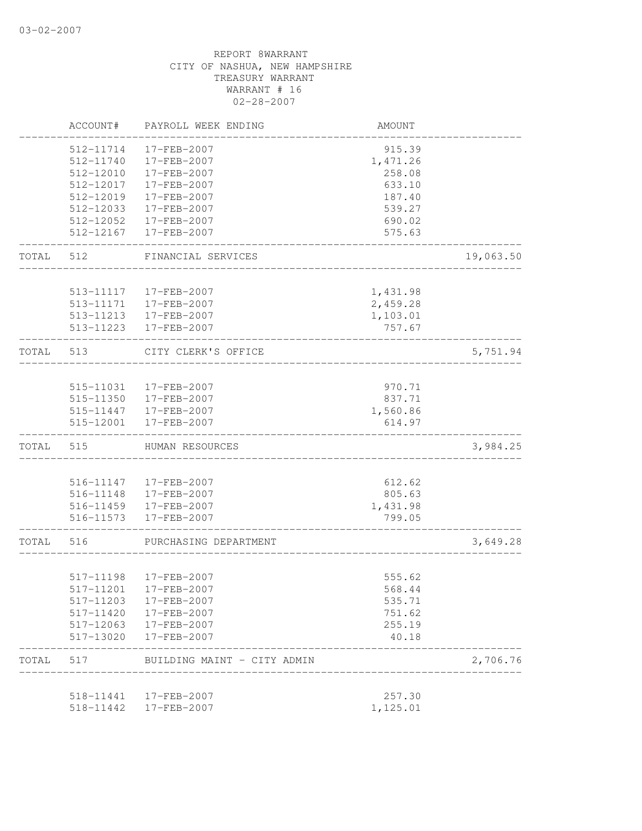|           | ACCOUNT#               | PAYROLL WEEK ENDING                  | AMOUNT             |           |
|-----------|------------------------|--------------------------------------|--------------------|-----------|
|           | 512-11714              | 17-FEB-2007                          | 915.39             |           |
|           | 512-11740              | 17-FEB-2007                          | 1,471.26           |           |
|           | 512-12010              | 17-FEB-2007                          | 258.08             |           |
|           | 512-12017              | 17-FEB-2007                          | 633.10             |           |
|           | 512-12019              | 17-FEB-2007                          | 187.40             |           |
|           | 512-12033              | 17-FEB-2007                          | 539.27             |           |
|           | 512-12052              | 17-FEB-2007                          | 690.02             |           |
|           | 512-12167              | 17-FEB-2007                          | 575.63             |           |
| TOTAL     | 512                    | FINANCIAL SERVICES                   |                    | 19,063.50 |
|           |                        |                                      |                    |           |
|           | 513-11117              | 17-FEB-2007                          | 1,431.98           |           |
|           | 513-11171              | 17-FEB-2007                          | 2,459.28           |           |
|           | 513-11213<br>513-11223 | 17-FEB-2007<br>17-FEB-2007           | 1,103.01<br>757.67 |           |
| TOTAL     | 513                    | CITY CLERK'S OFFICE                  |                    | 5,751.94  |
|           |                        |                                      |                    |           |
|           |                        | 515-11031 17-FEB-2007                | 970.71             |           |
|           |                        | 515-11350 17-FEB-2007                | 837.71             |           |
|           |                        | 515-11447 17-FEB-2007                | 1,560.86           |           |
|           | 515-12001              | 17-FEB-2007                          | 614.97             |           |
| TOTAL     | 515                    | HUMAN RESOURCES                      |                    | 3,984.25  |
|           |                        |                                      |                    |           |
|           | 516-11147              | 17-FEB-2007                          | 612.62             |           |
|           |                        | 516-11148 17-FEB-2007                | 805.63             |           |
|           |                        | 516-11459 17-FEB-2007                | 1,431.98           |           |
|           | 516-11573              | 17-FEB-2007                          | 799.05             |           |
| TOTAL 516 |                        | PURCHASING DEPARTMENT                |                    | 3,649.28  |
|           |                        |                                      | 555.62             |           |
|           |                        | 517-11198 17-FEB-2007                |                    |           |
|           | 517-11203              | 517-11201 17-FEB-2007<br>17-FEB-2007 | 568.44<br>535.71   |           |
|           | 517-11420              | 17-FEB-2007                          | 751.62             |           |
|           | 517-12063              | 17-FEB-2007                          | 255.19             |           |
|           | 517-13020              | 17-FEB-2007                          | 40.18              |           |
| TOTAL     | 517                    | BUILDING MAINT - CITY ADMIN          |                    | 2,706.76  |
|           |                        |                                      |                    |           |
|           | 518-11441              | 17-FEB-2007                          | 257.30             |           |
|           | 518-11442              | 17-FEB-2007                          | 1,125.01           |           |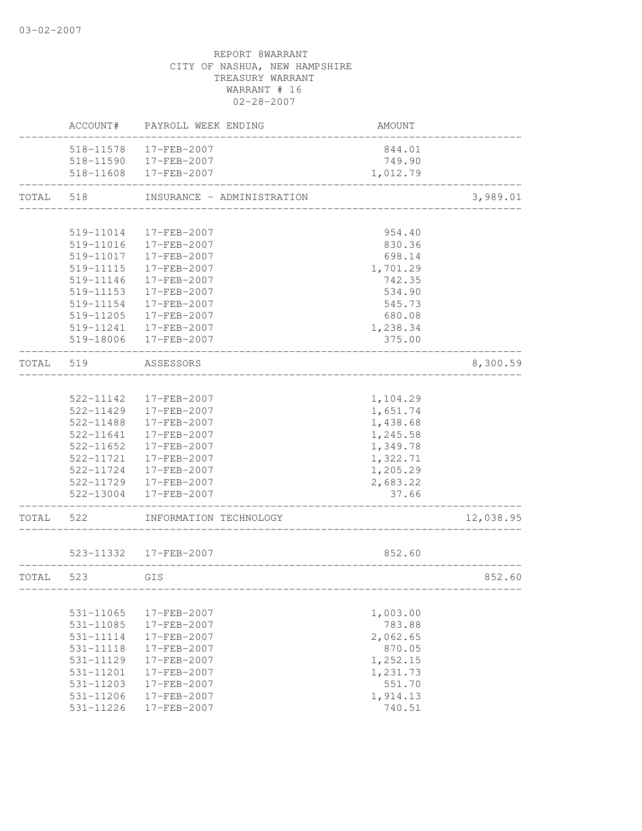|       | ACCOUNT#  | PAYROLL WEEK ENDING        | AMOUNT   |           |
|-------|-----------|----------------------------|----------|-----------|
|       | 518-11578 | 17-FEB-2007                | 844.01   |           |
|       |           | 518-11590 17-FEB-2007      | 749.90   |           |
|       |           | 518-11608 17-FEB-2007      | 1,012.79 |           |
| TOTAL | 518       | INSURANCE - ADMINISTRATION |          | 3,989.01  |
|       |           |                            |          |           |
|       | 519-11014 | 17-FEB-2007                | 954.40   |           |
|       | 519-11016 | 17-FEB-2007                | 830.36   |           |
|       | 519-11017 | 17-FEB-2007                | 698.14   |           |
|       | 519-11115 | 17-FEB-2007                | 1,701.29 |           |
|       | 519-11146 | 17-FEB-2007                | 742.35   |           |
|       | 519-11153 | 17-FEB-2007                | 534.90   |           |
|       | 519-11154 | 17-FEB-2007                | 545.73   |           |
|       | 519-11205 | 17-FEB-2007                | 680.08   |           |
|       | 519-11241 | 17-FEB-2007                | 1,238.34 |           |
|       | 519-18006 | 17-FEB-2007                | 375.00   |           |
| TOTAL | 519       | ASSESSORS                  |          | 8,300.59  |
|       |           |                            |          |           |
|       | 522-11142 | 17-FEB-2007                | 1,104.29 |           |
|       | 522-11429 | 17-FEB-2007                | 1,651.74 |           |
|       | 522-11488 | 17-FEB-2007                | 1,438.68 |           |
|       | 522-11641 | 17-FEB-2007                | 1,245.58 |           |
|       | 522-11652 | 17-FEB-2007                | 1,349.78 |           |
|       | 522-11721 | 17-FEB-2007                | 1,322.71 |           |
|       | 522-11724 | 17-FEB-2007                | 1,205.29 |           |
|       |           | 522-11729 17-FEB-2007      | 2,683.22 |           |
|       | 522-13004 | 17-FEB-2007                | 37.66    |           |
| TOTAL | 522       | INFORMATION TECHNOLOGY     |          | 12,038.95 |
|       |           | 523-11332 17-FEB-2007      | 852.60   |           |
|       |           |                            |          |           |
| TOTAL | 523       | GIS                        |          | 852.60    |
|       | 531-11065 | 17-FEB-2007                | 1,003.00 |           |
|       | 531-11085 | 17-FEB-2007                | 783.88   |           |
|       | 531-11114 | 17-FEB-2007                | 2,062.65 |           |
|       | 531-11118 | 17-FEB-2007                | 870.05   |           |
|       | 531-11129 | 17-FEB-2007                | 1,252.15 |           |
|       | 531-11201 | 17-FEB-2007                | 1,231.73 |           |
|       | 531-11203 | 17-FEB-2007                | 551.70   |           |
|       | 531-11206 | 17-FEB-2007                | 1,914.13 |           |
|       | 531-11226 | 17-FEB-2007                | 740.51   |           |
|       |           |                            |          |           |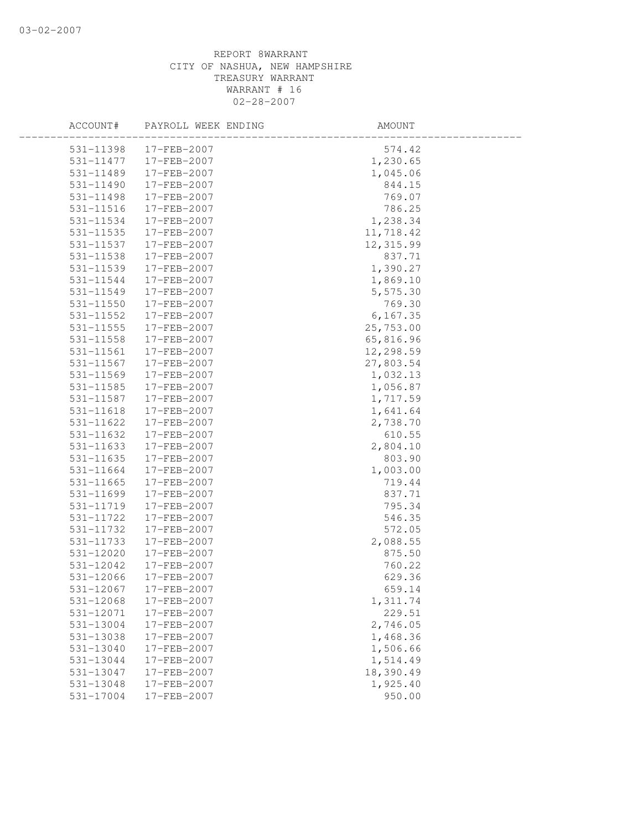| ACCOUNT#      | PAYROLL WEEK ENDING | AMOUNT    |  |
|---------------|---------------------|-----------|--|
| 531-11398     | 17-FEB-2007         | 574.42    |  |
| 531-11477     | 17-FEB-2007         | 1,230.65  |  |
| 531-11489     | 17-FEB-2007         | 1,045.06  |  |
| 531-11490     | 17-FEB-2007         | 844.15    |  |
| 531-11498     | 17-FEB-2007         | 769.07    |  |
| 531-11516     | 17-FEB-2007         | 786.25    |  |
| 531-11534     | 17-FEB-2007         | 1,238.34  |  |
| 531-11535     | 17-FEB-2007         | 11,718.42 |  |
| 531-11537     | 17-FEB-2007         | 12,315.99 |  |
| 531-11538     | 17-FEB-2007         | 837.71    |  |
| 531-11539     | 17-FEB-2007         | 1,390.27  |  |
| 531-11544     | 17-FEB-2007         | 1,869.10  |  |
| 531-11549     | 17-FEB-2007         | 5,575.30  |  |
| 531-11550     | 17-FEB-2007         | 769.30    |  |
| 531-11552     | 17-FEB-2007         | 6, 167.35 |  |
| $531 - 11555$ | 17-FEB-2007         | 25,753.00 |  |
| 531-11558     | 17-FEB-2007         | 65,816.96 |  |
| 531-11561     | 17-FEB-2007         | 12,298.59 |  |
| 531-11567     | 17-FEB-2007         | 27,803.54 |  |
| 531-11569     | 17-FEB-2007         | 1,032.13  |  |
| $531 - 11585$ | 17-FEB-2007         | 1,056.87  |  |
| 531-11587     | 17-FEB-2007         | 1,717.59  |  |
| $531 - 11618$ | 17-FEB-2007         | 1,641.64  |  |
| 531-11622     | 17-FEB-2007         | 2,738.70  |  |
| 531-11632     | 17-FEB-2007         | 610.55    |  |
| 531-11633     | 17-FEB-2007         | 2,804.10  |  |
| 531-11635     | 17-FEB-2007         | 803.90    |  |
| 531-11664     | 17-FEB-2007         | 1,003.00  |  |
| 531-11665     | 17-FEB-2007         | 719.44    |  |
| 531-11699     | 17-FEB-2007         | 837.71    |  |
| 531-11719     | 17-FEB-2007         | 795.34    |  |
| 531-11722     | 17-FEB-2007         | 546.35    |  |
| 531-11732     | 17-FEB-2007         | 572.05    |  |
| 531-11733     | 17-FEB-2007         | 2,088.55  |  |
| $531 - 12020$ | 17-FEB-2007         | 875.50    |  |
| 531-12042     | 17-FEB-2007         | 760.22    |  |
| 531-12066     | 17-FEB-2007         | 629.36    |  |
| 531-12067     | 17-FEB-2007         | 659.14    |  |
| 531-12068     | 17-FEB-2007         | 1,311.74  |  |
| 531-12071     | 17-FEB-2007         | 229.51    |  |
| 531-13004     | 17-FEB-2007         | 2,746.05  |  |
| 531-13038     | 17-FEB-2007         | 1,468.36  |  |
| 531-13040     | 17-FEB-2007         | 1,506.66  |  |
| 531-13044     | 17-FEB-2007         | 1,514.49  |  |
| 531-13047     | 17-FEB-2007         | 18,390.49 |  |
| 531-13048     | 17-FEB-2007         | 1,925.40  |  |
| 531-17004     | 17-FEB-2007         | 950.00    |  |
|               |                     |           |  |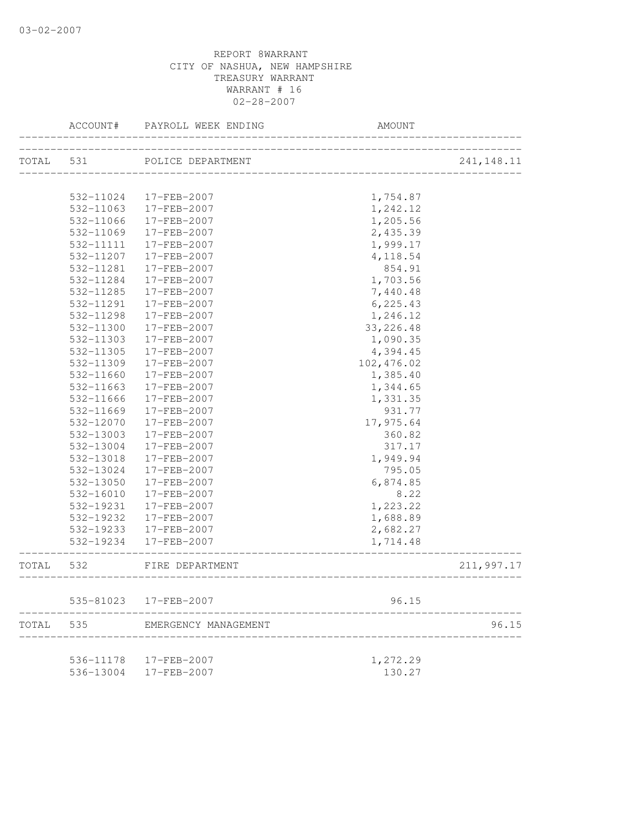|       | ACCOUNT#      | PAYROLL WEEK ENDING  | <b>AMOUNT</b>                      |             |
|-------|---------------|----------------------|------------------------------------|-------------|
| TOTAL | 531           | POLICE DEPARTMENT    |                                    | 241, 148.11 |
|       |               |                      |                                    |             |
|       | 532-11024     | 17-FEB-2007          | 1,754.87                           |             |
|       | 532-11063     | 17-FEB-2007          | 1,242.12                           |             |
|       | 532-11066     | 17-FEB-2007          | 1,205.56                           |             |
|       | 532-11069     | 17-FEB-2007          | 2,435.39                           |             |
|       | 532-11111     | 17-FEB-2007          | 1,999.17                           |             |
|       | 532-11207     | 17-FEB-2007          | 4,118.54                           |             |
|       | 532-11281     | 17-FEB-2007          | 854.91                             |             |
|       | 532-11284     | 17-FEB-2007          | 1,703.56                           |             |
|       | 532-11285     | 17-FEB-2007          | 7,440.48                           |             |
|       | 532-11291     | 17-FEB-2007          | 6, 225.43                          |             |
|       | 532-11298     | 17-FEB-2007          | 1,246.12                           |             |
|       | 532-11300     | 17-FEB-2007          | 33, 226.48                         |             |
|       | 532-11303     | 17-FEB-2007          | 1,090.35                           |             |
|       | 532-11305     | 17-FEB-2007          | 4,394.45                           |             |
|       | 532-11309     | 17-FEB-2007          | 102,476.02                         |             |
|       | 532-11660     | 17-FEB-2007          | 1,385.40                           |             |
|       | 532-11663     | 17-FEB-2007          | 1,344.65                           |             |
|       | 532-11666     | 17-FEB-2007          | 1,331.35                           |             |
|       | 532-11669     | 17-FEB-2007          | 931.77                             |             |
|       | 532-12070     | 17-FEB-2007          | 17,975.64                          |             |
|       | 532-13003     | 17-FEB-2007          | 360.82                             |             |
|       | 532-13004     | 17-FEB-2007          | 317.17                             |             |
|       | 532-13018     | 17-FEB-2007          | 1,949.94                           |             |
|       | 532-13024     | 17-FEB-2007          | 795.05                             |             |
|       | 532-13050     | 17-FEB-2007          | 6,874.85                           |             |
|       | 532-16010     | 17-FEB-2007          | 8.22                               |             |
|       | 532-19231     | 17-FEB-2007          | 1,223.22                           |             |
|       | 532-19232     | 17-FEB-2007          | 1,688.89                           |             |
|       | 532-19233     | 17-FEB-2007          | 2,682.27                           |             |
|       | $532 - 19234$ | 17-FEB-2007          | 1,714.48                           |             |
| TOTAL | 532           | FIRE DEPARTMENT      | __________________________________ | 211,997.17  |
|       | 535-81023     | 17-FEB-2007          | 96.15                              |             |
| TOTAL | 535           | EMERGENCY MANAGEMENT |                                    | 96.15       |
|       |               |                      |                                    |             |
|       | 536-11178     | 17-FEB-2007          | 1,272.29                           |             |
|       | 536-13004     | 17-FEB-2007          | 130.27                             |             |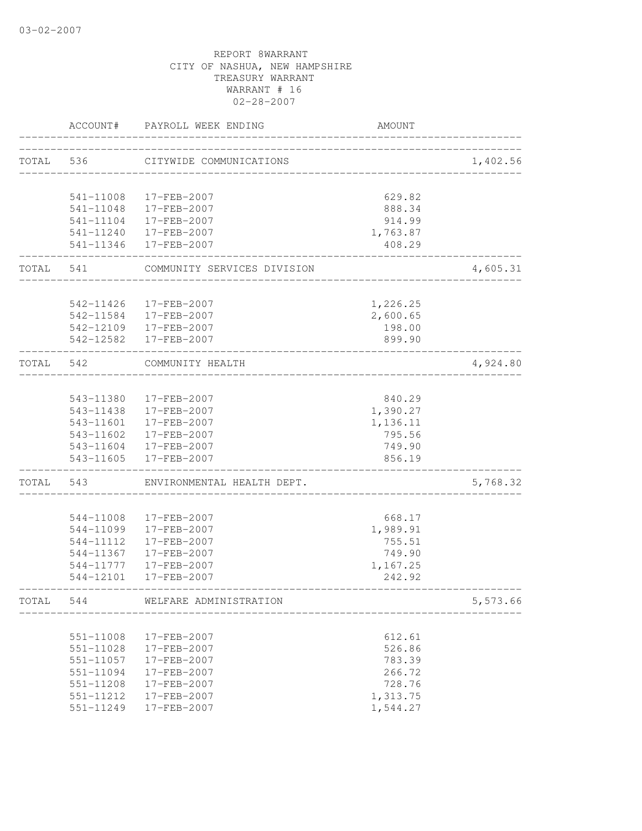|           | ACCOUNT#      | PAYROLL WEEK ENDING         | <b>AMOUNT</b> |          |
|-----------|---------------|-----------------------------|---------------|----------|
| TOTAL 536 |               | CITYWIDE COMMUNICATIONS     |               | 1,402.56 |
|           |               |                             |               |          |
|           | 541-11008     | 17-FEB-2007                 | 629.82        |          |
|           |               | 541-11048 17-FEB-2007       | 888.34        |          |
|           |               | 541-11104 17-FEB-2007       | 914.99        |          |
|           |               | 541-11240  17-FEB-2007      | 1,763.87      |          |
|           | ____________  | 541-11346 17-FEB-2007       | 408.29        |          |
| TOTAL 541 |               | COMMUNITY SERVICES DIVISION |               | 4,605.31 |
|           | 542-11426     | 17-FEB-2007                 | 1,226.25      |          |
|           |               | 542-11584 17-FEB-2007       | 2,600.65      |          |
|           |               | 542-12109 17-FEB-2007       | 198.00        |          |
|           |               | 542-12582 17-FEB-2007       | 899.90        |          |
| TOTAL     | 542           | COMMUNITY HEALTH            |               | 4,924.80 |
|           |               |                             |               |          |
|           |               | 543-11380 17-FEB-2007       | 840.29        |          |
|           | 543-11438     | 17-FEB-2007                 | 1,390.27      |          |
|           | 543-11601     | $17 - FEB - 2007$           | 1,136.11      |          |
|           | 543-11602     | 17-FEB-2007                 | 795.56        |          |
|           |               | 543-11604 17-FEB-2007       | 749.90        |          |
|           |               | 543-11605 17-FEB-2007       | 856.19        |          |
| TOTAL     | 543           | ENVIRONMENTAL HEALTH DEPT.  |               | 5,768.32 |
|           | 544-11008     | 17-FEB-2007                 | 668.17        |          |
|           | 544-11099     | 17-FEB-2007                 | 1,989.91      |          |
|           | 544-11112     | 17-FEB-2007                 | 755.51        |          |
|           | 544-11367     | 17-FEB-2007                 | 749.90        |          |
|           | 544-11777     | 17-FEB-2007                 | 1,167.25      |          |
|           |               | 544-12101 17-FEB-2007       | 242.92        |          |
| TOTAL     | 544           | WELFARE ADMINISTRATION      |               | 5,573.66 |
|           |               |                             |               |          |
|           | $551 - 11008$ | 17-FEB-2007                 | 612.61        |          |
|           | 551-11028     | 17-FEB-2007                 | 526.86        |          |
|           | 551-11057     | 17-FEB-2007                 | 783.39        |          |
|           | 551-11094     | 17-FEB-2007                 | 266.72        |          |
|           | 551-11208     | 17-FEB-2007                 | 728.76        |          |
|           | 551-11212     | 17-FEB-2007                 | 1,313.75      |          |
|           | 551-11249     | 17-FEB-2007                 | 1,544.27      |          |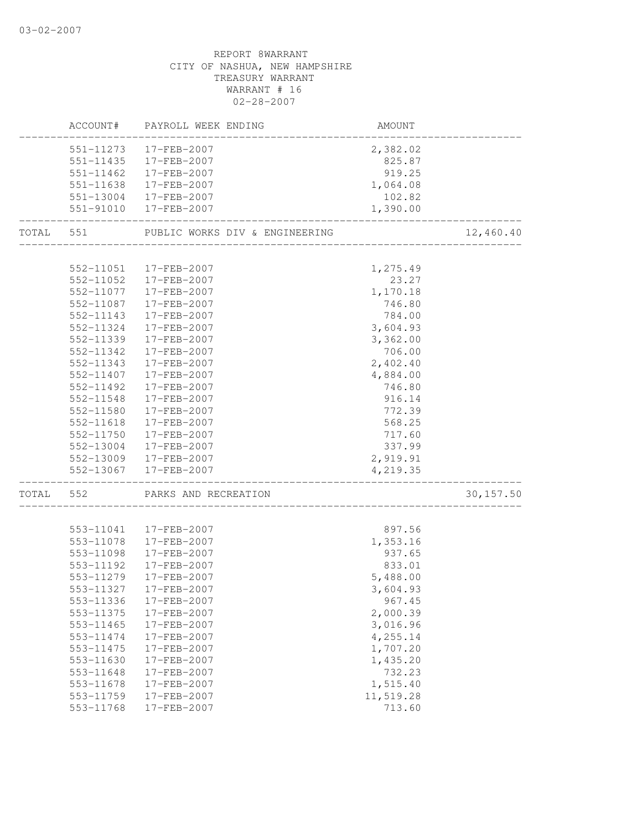# REPORT 8WARRANT CITY OF NASHUA, NEW HAMPSHIRE TREASURY WARRANT WARRANT # 16 02-28-2007 ACCOUNT# PAYROLL WEEK ENDING AMOUNT -------------------------------------------------------------------------------- 551-11273 17-FEB-2007 2,382.02 551-11435 17-FEB-2007 825.87 551-11462 17-FEB-2007 919.25 551-11638 17-FEB-2007 1,064.08 551-13004 17-FEB-2007 102.82 551-91010 17-FEB-2007 1,390.00 -------------------------------------------------------------------------------- TOTAL 551 PUBLIC WORKS DIV & ENGINEERING 12,460.40 -------------------------------------------------------------------------------- 552-11051 17-FEB-2007 1,275.49 552-11052 17-FEB-2007 23.27 552-11077 17-FEB-2007 1,170.18 552-11087 17-FEB-2007 746.80 552-11143 17-FEB-2007 784.00 552-11324 17-FEB-2007 3,604.93 552-11339 17-FEB-2007 3,362.00 552-11342 17-FEB-2007 706.00 552-11343 17-FEB-2007 2,402.40 552-11407 17-FEB-2007 4,884.00 552-11492 17-FEB-2007 746.80 552-11548 17-FEB-2007 916.14 552-11580 17-FEB-2007 772.39 552-11618 17-FEB-2007 568.25 552-11750 17-FEB-2007 717.60 552-13004 17-FEB-2007 337.99 552-13009 17-FEB-2007 2,919.91 552-13067 17-FEB-2007 4,219.35 -------------------------------------------------------------------------------- TOTAL 552 PARKS AND RECREATION 30,157.50 -------------------------------------------------------------------------------- 553-11041 17-FEB-2007 897.56 553-11078 17-FEB-2007 1,353.16 553-11098 17-FEB-2007 937.65 553-11192 17-FEB-2007 833.01 553-11279 17-FEB-2007 5,488.00 553-11327 17-FEB-2007 3,604.93 553-11336 17-FEB-2007 967.45 553-11375 17-FEB-2007 2,000.39 553-11465 17-FEB-2007 3,016.96 553-11474 17-FEB-2007 4,255.14 553-11475 17-FEB-2007 1,707.20 553-11630 17-FEB-2007 1,435.20 553-11648 17-FEB-2007 732.23 553-11678 17-FEB-2007 1,515.40 553-11759 17-FEB-2007 11,519.28 553-11768 17-FEB-2007 713.60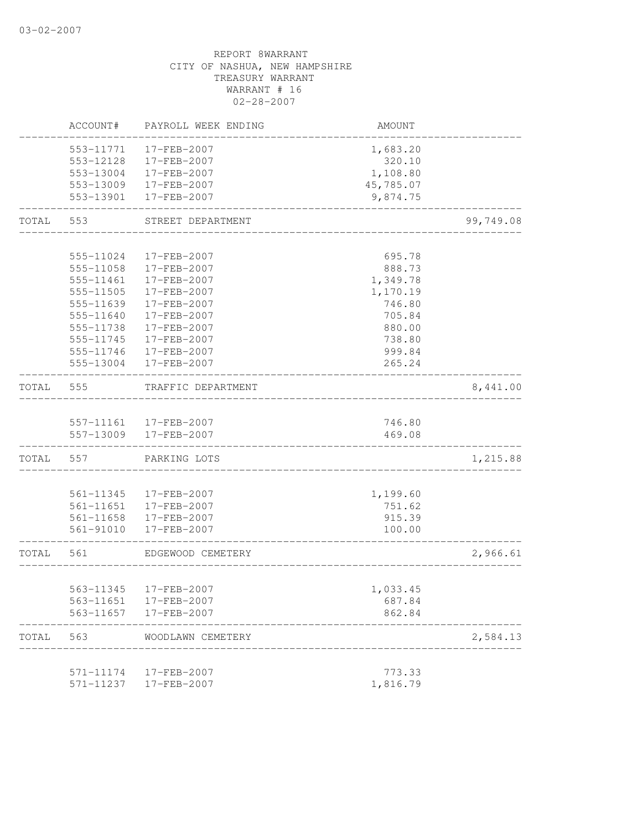# REPORT 8WARRANT CITY OF NASHUA, NEW HAMPSHIRE TREASURY WARRANT WARRANT # 16 02-28-2007 ACCOUNT# PAYROLL WEEK ENDING AMOUNT -------------------------------------------------------------------------------- 553-11771 17-FEB-2007 1,683.20 553-12128 17-FEB-2007 320.10 553-13004 17-FEB-2007 1,108.80 553-13009 17-FEB-2007 45,785.07 553-13901 17-FEB-2007 9,874.75 -------------------------------------------------------------------------------- TOTAL 553 STREET DEPARTMENT 67 (1999) 199,749.08 -------------------------------------------------------------------------------- 555-11024 17-FEB-2007 695.78 555-11058 17-FEB-2007 888.73 555-11461 17-FEB-2007 1,349.78 555-11505 17-FEB-2007 1,170.19 555-11639 17-FEB-2007 746.80 555-11640 17-FEB-2007 705.84 555-11738 17-FEB-2007 880.00 555-11745 17-FEB-2007 738.80 555-11746 17-FEB-2007 999.84 555-13004 17-FEB-2007 265.24 -------------------------------------------------------------------------------- TOTAL 555 TRAFFIC DEPARTMENT 6,441.00 -------------------------------------------------------------------------------- 557-11161 17-FEB-2007 746.80 557-13009 17-FEB-2007 469.08 -------------------------------------------------------------------------------- TOTAL 557 PARKING LOTS 2008 1,215.88 -------------------------------------------------------------------------------- 561-11345 17-FEB-2007 1,199.60 561-11651 17-FEB-2007 751.62 561-11658 17-FEB-2007 915.39 561-91010 17-FEB-2007 100.00 -------------------------------------------------------------------------------- TOTAL 561 EDGEWOOD CEMETERY 2,966.61 -------------------------------------------------------------------------------- 563-11345 17-FEB-2007 1,033.45 563-11651 17-FEB-2007 687.84 563-11657 17-FEB-2007 862.84 -------------------------------------------------------------------------------- TOTAL 563 WOODLAWN CEMETERY 2,584.13 -------------------------------------------------------------------------------- 571-11174 17-FEB-2007 773.33

571-11237 17-FEB-2007 1,816.79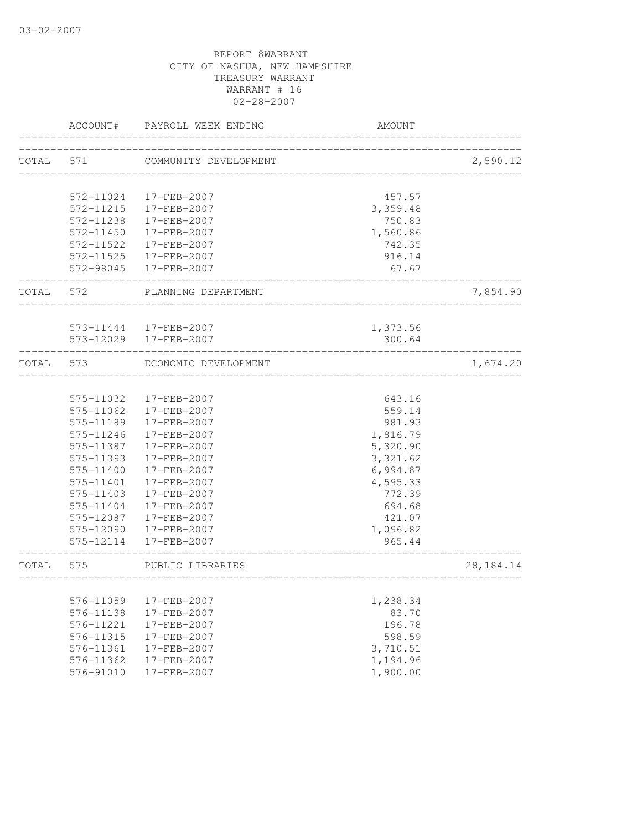|       | ACCOUNT#  | PAYROLL WEEK ENDING   | AMOUNT             |             |
|-------|-----------|-----------------------|--------------------|-------------|
| TOTAL | 571       | COMMUNITY DEVELOPMENT |                    | 2,590.12    |
|       |           |                       |                    |             |
|       | 572-11024 | 17-FEB-2007           | 457.57             |             |
|       | 572-11215 | 17-FEB-2007           | 3,359.48           |             |
|       | 572-11238 | 17-FEB-2007           | 750.83             |             |
|       | 572-11450 | 17-FEB-2007           | 1,560.86           |             |
|       | 572-11522 | 17-FEB-2007           | 742.35             |             |
|       |           | 572-11525 17-FEB-2007 | 916.14             |             |
|       |           | 572-98045 17-FEB-2007 | 67.67              |             |
| TOTAL | 572       | PLANNING DEPARTMENT   |                    | 7,854.90    |
|       |           | 573-11444 17-FEB-2007 |                    |             |
|       |           | 573-12029 17-FEB-2007 | 1,373.56<br>300.64 |             |
|       |           |                       |                    |             |
| TOTAL | 573       | ECONOMIC DEVELOPMENT  |                    | 1,674.20    |
|       |           |                       |                    |             |
|       | 575-11032 | 17-FEB-2007           | 643.16             |             |
|       | 575-11062 | 17-FEB-2007           | 559.14             |             |
|       | 575-11189 | 17-FEB-2007           | 981.93             |             |
|       | 575-11246 | 17-FEB-2007           | 1,816.79           |             |
|       | 575-11387 | 17-FEB-2007           | 5,320.90           |             |
|       | 575-11393 | 17-FEB-2007           | 3, 321.62          |             |
|       | 575-11400 | 17-FEB-2007           | 6,994.87           |             |
|       | 575-11401 | 17-FEB-2007           | 4,595.33           |             |
|       | 575-11403 | 17-FEB-2007           | 772.39             |             |
|       | 575-11404 | 17-FEB-2007           | 694.68             |             |
|       | 575-12087 | 17-FEB-2007           | 421.07             |             |
|       | 575-12090 | 17-FEB-2007           | 1,096.82           |             |
|       | 575-12114 | 17-FEB-2007           | 965.44             |             |
| TOTAL | 575       | PUBLIC LIBRARIES      |                    | 28, 184. 14 |
|       |           |                       |                    |             |
|       | 576-11059 | 17-FEB-2007           | 1,238.34           |             |
|       | 576-11138 | 17-FEB-2007           | 83.70              |             |
|       | 576-11221 | 17-FEB-2007           | 196.78             |             |
|       | 576-11315 | 17-FEB-2007           | 598.59             |             |
|       | 576-11361 | 17-FEB-2007           | 3,710.51           |             |
|       | 576-11362 | 17-FEB-2007           | 1,194.96           |             |
|       | 576-91010 | 17-FEB-2007           | 1,900.00           |             |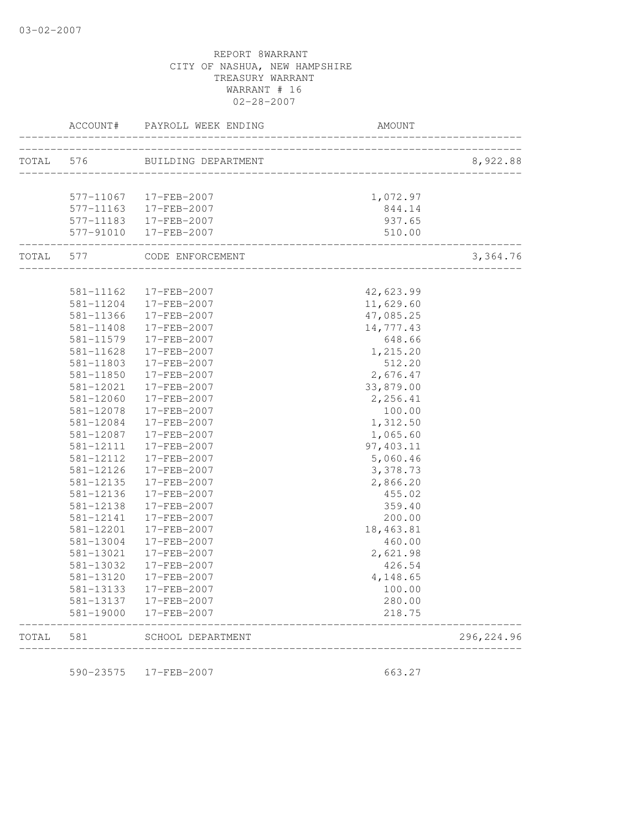|       | ACCOUNT#                   | PAYROLL WEEK ENDING        | AMOUNT              |             |
|-------|----------------------------|----------------------------|---------------------|-------------|
| TOTAL | 576                        | BUILDING DEPARTMENT        |                     | 8,922.88    |
|       |                            |                            |                     |             |
|       | 577-11067                  | 17-FEB-2007                | 1,072.97            |             |
|       | 577-11163                  | 17-FEB-2007                | 844.14              |             |
|       | 577-11183                  | 17-FEB-2007                | 937.65              |             |
|       | 577-91010<br>------------- | 17-FEB-2007                | 510.00              |             |
| TOTAL | 577                        | CODE ENFORCEMENT           | ______________      | 3,364.76    |
|       |                            |                            |                     |             |
|       | 581-11162                  | 17-FEB-2007                | 42,623.99           |             |
|       | 581-11204                  | 17-FEB-2007                | 11,629.60           |             |
|       | 581-11366                  | 17-FEB-2007                | 47,085.25           |             |
|       | 581-11408<br>581-11579     | 17-FEB-2007<br>17-FEB-2007 | 14,777.43<br>648.66 |             |
|       | 581-11628                  | 17-FEB-2007                | 1,215.20            |             |
|       | 581-11803                  | 17-FEB-2007                | 512.20              |             |
|       | 581-11850                  | 17-FEB-2007                | 2,676.47            |             |
|       | 581-12021                  | 17-FEB-2007                | 33,879.00           |             |
|       | 581-12060                  | 17-FEB-2007                | 2,256.41            |             |
|       | 581-12078                  | 17-FEB-2007                | 100.00              |             |
|       | 581-12084                  | 17-FEB-2007                | 1,312.50            |             |
|       | 581-12087                  | 17-FEB-2007                | 1,065.60            |             |
|       | 581-12111                  | 17-FEB-2007                | 97,403.11           |             |
|       | 581-12112                  | 17-FEB-2007                | 5,060.46            |             |
|       | 581-12126                  | 17-FEB-2007                | 3,378.73            |             |
|       | 581-12135                  | 17-FEB-2007                | 2,866.20            |             |
|       | 581-12136                  | 17-FEB-2007                | 455.02              |             |
|       | 581-12138                  | 17-FEB-2007                | 359.40              |             |
|       | 581-12141                  | 17-FEB-2007                | 200.00              |             |
|       | 581-12201                  | 17-FEB-2007                | 18,463.81           |             |
|       | 581-13004                  | 17-FEB-2007                | 460.00              |             |
|       | 581-13021                  | 17-FEB-2007                | 2,621.98            |             |
|       | 581-13032                  | 17-FEB-2007                | 426.54              |             |
|       | 581-13120                  | 17-FEB-2007                | 4,148.65            |             |
|       | 581-13133                  | 17-FEB-2007                | 100.00              |             |
|       | 581-13137                  | 17-FEB-2007                | 280.00              |             |
|       | 581-19000                  | 17-FEB-2007                | 218.75              |             |
| TOTAL | 581                        | SCHOOL DEPARTMENT          |                     | 296, 224.96 |

590-23575 17-FEB-2007 663.27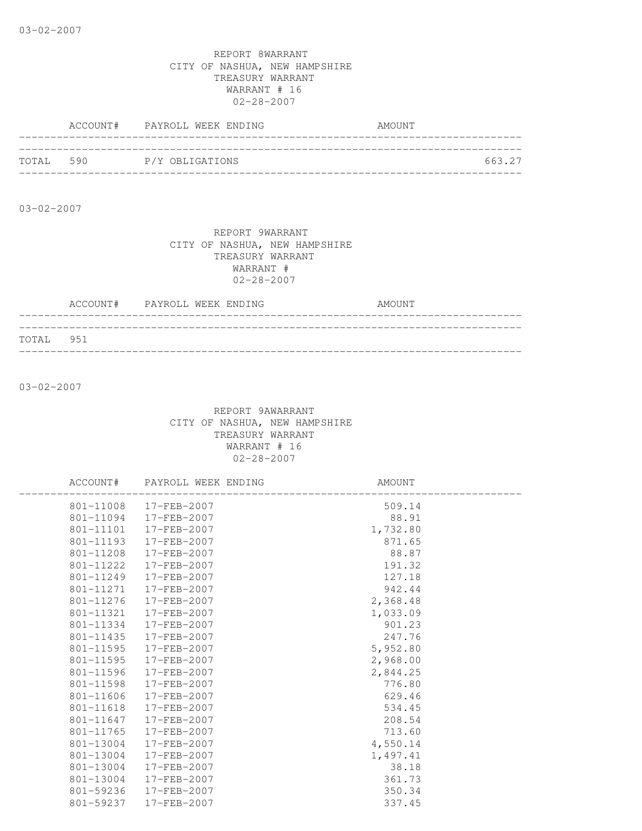|           | ACCOUNT# PAYROLL WEEK ENDING | AMOUNT |
|-----------|------------------------------|--------|
|           |                              |        |
| TOTAL 590 | P/Y OBLIGATIONS              | 663.27 |
|           |                              |        |

03-02-2007

#### REPORT 9WARRANT CITY OF NASHUA, NEW HAMPSHIRE TREASURY WARRANT WARRANT # 02-28-2007

|           | ACCOUNT# PAYROLL WEEK ENDING |  |  | AMOUNT |
|-----------|------------------------------|--|--|--------|
|           |                              |  |  |        |
| TOTAL 951 |                              |  |  |        |

03-02-2007

|           | ACCOUNT# PAYROLL WEEK ENDING | AMOUNT              |
|-----------|------------------------------|---------------------|
|           | 801-11008 17-FEB-2007        |                     |
|           | 801-11094 17-FEB-2007        | $509.14$<br>$88.91$ |
|           | 801-11101  17-FEB-2007       | 1,732.80            |
|           | 801-11193 17-FEB-2007        | 871.65              |
| 801-11208 | 17-FEB-2007                  | 88.87               |
|           | 801-11222 17-FEB-2007        | 191.32              |
|           | 801-11249 17-FEB-2007        | 127.18              |
|           | 801-11271 17-FEB-2007        | 942.44              |
|           | 801-11276 17-FEB-2007        | 2,368.48            |
|           | 801-11321 17-FEB-2007        | 1,033.09            |
|           | 801-11334 17-FEB-2007        | 901.23              |
|           | 801-11435 17-FEB-2007        | 247.76              |
|           | 801-11595 17-FEB-2007        | 5,952.80            |
|           | 801-11595 17-FEB-2007        | 2,968.00            |
|           | 801-11596 17-FEB-2007        | 2,844.25            |
| 801-11598 | 17-FEB-2007                  | 776.80              |
|           | 801-11606 17-FEB-2007        | 629.46              |
|           | 801-11618 17-FEB-2007        | 534.45              |
|           | 801-11647 17-FEB-2007        | 208.54              |
| 801-11765 | 17-FEB-2007                  | 713.60              |
|           | 801-13004 17-FEB-2007        | 4,550.14            |
| 801-13004 | 17-FEB-2007                  | 1,497.41            |
| 801-13004 | 17-FEB-2007                  | 38.18               |
| 801-13004 | 17-FEB-2007                  | 361.73              |
|           | 801-59236 17-FEB-2007        | 350.34              |
|           | 801-59237 17-FEB-2007        | 337.45              |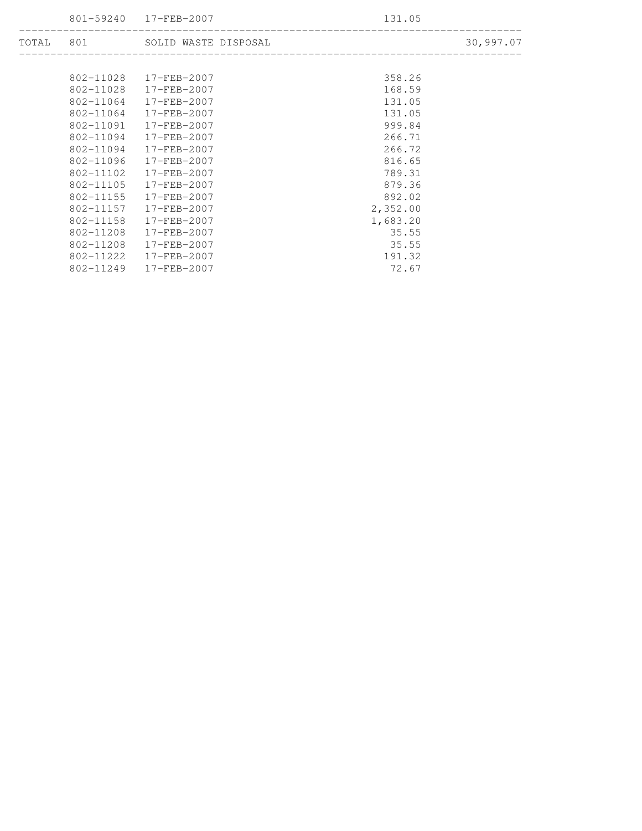801-59240 17-FEB-2007 131.05

| TOTAL | 801           | SOLID WASTE DISPOSAL |          | 30,997.07 |
|-------|---------------|----------------------|----------|-----------|
|       |               |                      |          |           |
|       | 802-11028     | $17 - FEB - 2007$    | 358.26   |           |
|       | 802-11028     | $17 - FEB - 2007$    | 168.59   |           |
|       | $802 - 11064$ | $17 - FEB - 2007$    | 131.05   |           |
|       | 802-11064     | $17 - FEB - 2007$    | 131.05   |           |
|       | 802-11091     | 17-FEB-2007          | 999.84   |           |
|       | 802-11094     | 17-FEB-2007          | 266.71   |           |
|       | 802-11094     | $17 - FEB - 2007$    | 266.72   |           |
|       | 802-11096     | $17 - FEB - 2007$    | 816.65   |           |
|       | 802-11102     | $17 - FEB - 2007$    | 789.31   |           |
|       | 802-11105     | $17 - FEB - 2007$    | 879.36   |           |
|       | 802-11155     | $17 - FEB - 2007$    | 892.02   |           |
|       | 802-11157     | $17 - FEB - 2007$    | 2,352.00 |           |
|       | 802-11158     | $17 - FEB - 2007$    | 1,683.20 |           |
|       | 802-11208     | $17 - FEB - 2007$    | 35.55    |           |
|       | 802-11208     | $17 - FEB - 2007$    | 35.55    |           |
|       | 802-11222     | $17 - FEB - 2007$    | 191.32   |           |
|       | 802-11249     | 17-FEB-2007          | 72.67    |           |

--------------------------------------------------------------------------------